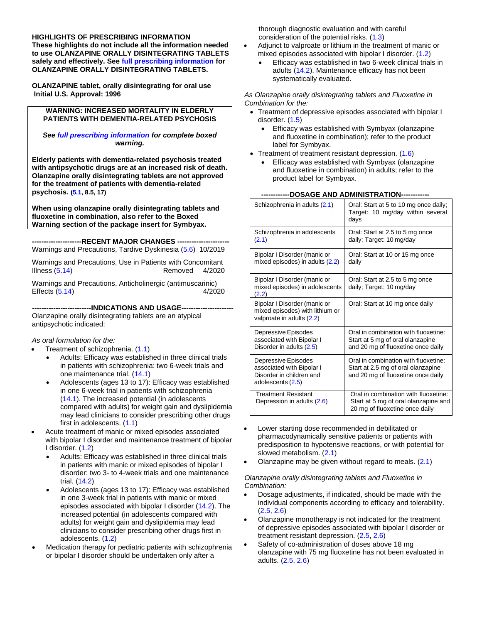**HIGHLIGHTS OF PRESCRIBING INFORMATION These highlights do not include all the information needed to use OLANZAPINE ORALLY DISINTEGRATING TABLETS safely and effectively. Se[e full prescribing information](#page-4-0) for OLANZAPINE ORALLY DISINTEGRATING TABLETS.** 

**OLANZAPINE tablet, orally disintegrating for oral use Initial U.S. Approval: 1996**

**WARNING: INCREASED MORTALITY IN ELDERLY PATIENTS WITH DEMENTIA-RELATED PSYCHOSIS**

*See [full prescribing information](#page-4-0) for complete boxed warning.*

**Elderly patients with dementia-related psychosis treated with antipsychotic drugs are at an increased risk of death. Olanzapine orally disintegrating tablets are not approved for the treatment of patients with dementia-related psychosis. [\(5.1,](#page-9-0) 8.5, 17)**

**When using olanzapine orally disintegrating tablets and fluoxetine in combination, also refer to the Boxed Warning section of the package insert for Symbyax.**

--RECENT MAJOR CHANGES --

Warnings and Precautions, Tardive Dyskinesia [\(5.6\)](#page-16-0) 10/2019

Warnings and Precautions, Use in Patients with Concomitant Illness [\(5.14\)](#page-18-0) Removed 4/2020

Warnings and Precautions, Anticholinergic (antimuscarinic) Effects [\(5.14\)](#page-18-0) 4/2020

---INDICATIONS AND USAGE--

Olanzapine orally disintegrating tablets are an atypical antipsychotic indicated:

*As oral formulation for the:* 

- Treatment of schizophrenia. [\(1.1\)](#page-4-1)
	- Adults: Efficacy was established in three clinical trials in patients with schizophrenia: two 6-week trials and one maintenance trial. [\(14.1\)](#page-39-0)
	- Adolescents (ages 13 to 17): Efficacy was established in one 6-week trial in patients with schizophrenia [\(14.1\)](#page-39-0). The increased potential (in adolescents compared with adults) for weight gain and dyslipidemia may lead clinicians to consider prescribing other drugs first in adolescents. [\(1.1\)](#page-4-1)
- Acute treatment of manic or mixed episodes associated with bipolar I disorder and maintenance treatment of bipolar I disorder. [\(1.2\)](#page-4-2)
	- Adults: Efficacy was established in three clinical trials in patients with manic or mixed episodes of bipolar I disorder: two 3- to 4-week trials and one maintenance trial. [\(14.2\)](#page-41-0)
	- Adolescents (ages 13 to 17): Efficacy was established in one 3-week trial in patients with manic or mixed episodes associated with bipolar I disorder [\(14.2\)](#page-41-0). The increased potential (in adolescents compared with adults) for weight gain and dyslipidemia may lead clinicians to consider prescribing other drugs first in adolescents. [\(1.2\)](#page-4-2)
- Medication therapy for pediatric patients with schizophrenia or bipolar I disorder should be undertaken only after a

thorough diagnostic evaluation and with careful consideration of the potential risks. [\(1.3\)](#page-5-0)

- Adjunct to valproate or lithium in the treatment of manic or mixed episodes associated with bipolar I disorder. [\(1.2\)](#page-4-2)
	- Efficacy was established in two 6-week clinical trials in adults [\(14.2\)](#page-41-0). Maintenance efficacy has not been systematically evaluated.

*As Olanzapine orally disintegrating tablets and Fluoxetine in Combination for the:* 

- Treatment of depressive episodes associated with bipolar I disorder. [\(1.5\)](#page-5-1)
	- Efficacy was established with Symbyax (olanzapine and fluoxetine in combination); refer to the product label for Symbyax.
- Treatment of treatment resistant depression. [\(1.6\)](#page-5-2)
	- Efficacy was established with Symbyax (olanzapine and fluoxetine in combination) in adults; refer to the product label for Symbyax.

| Schizophrenia in adults (2.1)                                                                     | Oral: Start at 5 to 10 mg once daily;<br>Target: 10 mg/day within several<br>days                                |
|---------------------------------------------------------------------------------------------------|------------------------------------------------------------------------------------------------------------------|
| Schizophrenia in adolescents<br>(2.1)                                                             | Oral: Start at 2.5 to 5 mg once<br>daily; Target: 10 mg/day                                                      |
| Bipolar I Disorder (manic or<br>mixed episodes) in adults (2.2)                                   | Oral: Start at 10 or 15 mg once<br>daily                                                                         |
| Bipolar I Disorder (manic or<br>mixed episodes) in adolescents<br>(2.2)                           | Oral: Start at 2.5 to 5 mg once<br>daily; Target: 10 mg/day                                                      |
| Bipolar I Disorder (manic or<br>mixed episodes) with lithium or<br>valproate in adults (2.2)      | Oral: Start at 10 mg once daily                                                                                  |
| Depressive Episodes<br>associated with Bipolar I<br>Disorder in adults (2.5)                      | Oral in combination with fluoxetine:<br>Start at 5 mg of oral olanzapine<br>and 20 mg of fluoxetine once daily   |
| Depressive Episodes<br>associated with Bipolar I<br>Disorder in children and<br>adolescents (2.5) | Oral in combination with fluoxetine:<br>Start at 2.5 mg of oral olanzapine<br>and 20 mg of fluoxetine once daily |
| <b>Treatment Resistant</b><br>Depression in adults (2.6)                                          | Oral in combination with fluoxetine:<br>Start at 5 mg of oral olanzapine and<br>20 mg of fluoxetine once daily   |

- Lower starting dose recommended in debilitated or pharmacodynamically sensitive patients or patients with predisposition to hypotensive reactions, or with potential for slowed metabolism. [\(2.1\)](#page-5-3)
- Olanzapine may be given without regard to meals. [\(2.1\)](#page-5-3)

*Olanzapine orally disintegrating tablets and Fluoxetine in Combination:* 

- Dosage adjustments, if indicated, should be made with the individual components according to efficacy and tolerability. [\(2.5,](#page-7-0) [2.6\)](#page-8-0)
- Olanzapine monotherapy is not indicated for the treatment of depressive episodes associated with bipolar I disorder or treatment resistant depression. [\(2.5,](#page-7-0) [2.6\)](#page-8-0)
- Safety of co-administration of doses above 18 mg olanzapine with 75 mg fluoxetine has not been evaluated in adults. [\(2.5,](#page-7-0) [2.6\)](#page-8-0)

#### **------------DOSAGE AND ADMINISTRATION------------**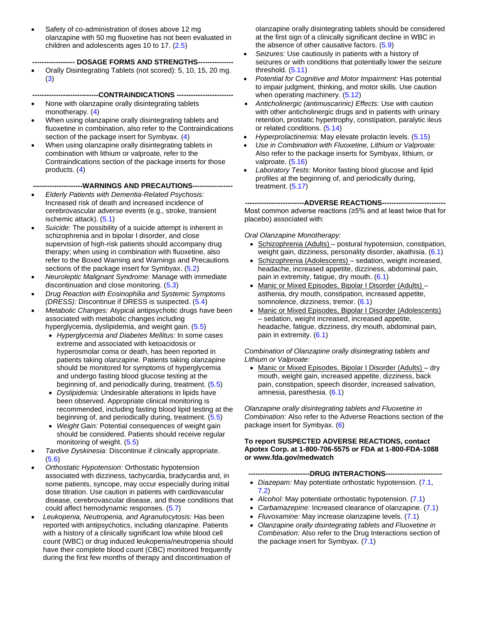Safety of co-administration of doses above 12 mg olanzapine with 50 mg fluoxetine has not been evaluated in children and adolescents ages 10 to 17. [\(2.5\)](#page-7-0)

#### -- DOSAGE FORMS AND STRENGTHS---

- Orally Disintegrating Tablets (not scored): 5, 10, 15, 20 mg. [\(3\)](#page-9-1)
	- **----------------------------CONTRAINDICATIONS ------------------------**
- None with olanzapine orally disintegrating tablets monotherapy. [\(4\)](#page-9-2)
- When using olanzapine orally disintegrating tablets and fluoxetine in combination, also refer to the Contraindications section of the package insert for Symbyax. [\(4\)](#page-9-2)
- When using olanzapine orally disintegrating tablets in combination with lithium or valproate, refer to the Contraindications section of the package inserts for those products. [\(4\)](#page-9-2)

#### **---------------------WARNINGS AND PRECAUTIONS-----------------**

- *Elderly Patients with Dementia-Related Psychosis:*  Increased risk of death and increased incidence of cerebrovascular adverse events (e.g., stroke, transient ischemic attack). [\(5.1\)](#page-9-0)
- *Suicide:* The possibility of a suicide attempt is inherent in schizophrenia and in bipolar I disorder, and close supervision of high-risk patients should accompany drug therapy; when using in combination with fluoxetine, also refer to the Boxed Warning and Warnings and Precautions sections of the package insert for Symbyax. [\(5.2\)](#page-10-0)
- *Neuroleptic Malignant Syndrome:* Manage with immediate discontinuation and close monitoring. [\(5.3\)](#page-10-1)
- *Drug Reaction with Eosinophilia and Systemic Symptoms (DRESS):* Discontinue if DRESS is suspected. [\(5.4\)](#page-10-2)
- *Metabolic Changes:* Atypical antipsychotic drugs have been associated with metabolic changes including hyperglycemia, dyslipidemia, and weight gain. [\(5.5\)](#page-11-0)
	- *Hyperglycemia and Diabetes Mellitus:* In some cases extreme and associated with ketoacidosis or hyperosmolar coma or death, has been reported in patients taking olanzapine. Patients taking olanzapine should be monitored for symptoms of hyperglycemia and undergo fasting blood glucose testing at the beginning of, and periodically during, treatment. [\(5.5\)](#page-11-0)
	- *Dyslipidemia:* Undesirable alterations in lipids have been observed. Appropriate clinical monitoring is recommended, including fasting blood lipid testing at the beginning of, and periodically during, treatment. [\(5.5\)](#page-11-0)
	- Weight Gain: Potential consequences of weight gain should be considered. Patients should receive regular monitoring of weight. [\(5.5\)](#page-11-0)
- *Tardive Dyskinesia:* Discontinue if clinically appropriate. [\(5.6\)](#page-16-0)
- *Orthostatic Hypotension:* Orthostatic hypotension associated with dizziness, tachycardia, bradycardia and, in some patients, syncope, may occur especially during initial dose titration. Use caution in patients with cardiovascular disease, cerebrovascular disease, and those conditions that could affect hemodynamic responses. [\(5.7\)](#page-17-0)
- *Leukopenia, Neutropenia, and Agranulocytosis:* Has been reported with antipsychotics, including olanzapine. Patients with a history of a clinically significant low white blood cell count (WBC) or drug induced leukopenia/neutropenia should have their complete blood count (CBC) monitored frequently during the first few months of therapy and discontinuation of

olanzapine orally disintegrating tablets should be considered at the first sign of a clinically significant decline in WBC in the absence of other causative factors. [\(5.9\)](#page-18-1)

- *Seizures:* Use cautiously in patients with a history of seizures or with conditions that potentially lower the seizure threshold. [\(5.11\)](#page-18-2)
- *Potential for Cognitive and Motor Impairment:* Has potential to impair judgment, thinking, and motor skills. Use caution when operating machinery. [\(5.12\)](#page-18-3)
- *Anticholinergic (antimuscarinic) Effects:* Use with caution with other anticholinergic drugs and in patients with urinary retention, prostatic hypertrophy, constipation, paralytic ileus or related conditions. [\(5.14\)](#page-18-0)
- *Hyperprolactinemia:* May elevate prolactin levels. [\(5.15\)](#page-19-0)
- *Use in Combination with Fluoxetine, Lithium or Valproate:*  Also refer to the package inserts for Symbyax, lithium, or valproate. [\(5.16\)](#page-20-0)
- *Laboratory Tests:* Monitor fasting blood glucose and lipid profiles at the beginning of, and periodically during, treatment. [\(5.17\)](#page-20-1)

#### **-ADVERSE REACTIONS---**

Most common adverse reactions (≥5% and at least twice that for placebo) associated with:

*Oral Olanzapine Monotherapy:* 

- Schizophrenia (Adults) postural hypotension, constipation, weight gain, dizziness, personality disorder, akathisia. [\(6.1\)](#page-20-2)
- Schizophrenia (Adolescents) sedation, weight increased, headache, increased appetite, dizziness, abdominal pain, pain in extremity, fatigue, dry mouth. [\(6.1\)](#page-20-2)
- Manic or Mixed Episodes, Bipolar I Disorder (Adults) asthenia, dry mouth, constipation, increased appetite, somnolence, dizziness, tremor. [\(6.1\)](#page-20-2)
- Manic or Mixed Episodes, Bipolar I Disorder (Adolescents) – sedation, weight increased, increased appetite, headache, fatigue, dizziness, dry mouth, abdominal pain, pain in extremity. [\(6.1\)](#page-20-2)

#### *Combination of Olanzapine orally disintegrating tablets and Lithium or Valproate:*

• Manic or Mixed Episodes, Bipolar I Disorder (Adults) - dry mouth, weight gain, increased appetite, dizziness, back pain, constipation, speech disorder, increased salivation, amnesia, paresthesia. [\(6.1\)](#page-20-2)

*Olanzapine orally disintegrating tablets and Fluoxetine in Combination:* Also refer to the Adverse Reactions section of the package insert for Symbyax. [\(6\)](#page-20-3)

#### **To report SUSPECTED ADVERSE REACTIONS, contact Apotex Corp. at 1-800-706-5575 or FDA at 1-800-FDA-1088 or www.fda.gov/medwatch**

#### **--------------------------DRUG INTERACTIONS------------------------**

- *Diazepam:* May potentiate orthostatic hypotension. [\(7.1,](#page-30-0) [7.2\)](#page-31-0)
- *Alcohol:* May potentiate orthostatic hypotension. [\(7.1\)](#page-30-0)
- *Carbamazepine:* Increased clearance of olanzapine. [\(7.1\)](#page-30-0)
- *Fluvoxamine:* May increase olanzapine levels. [\(7.1\)](#page-30-0)
- *Olanzapine orally disintegrating tablets and Fluoxetine in Combination:* Also refer to the Drug Interactions section of the package insert for Symbyax. [\(7.1\)](#page-30-0)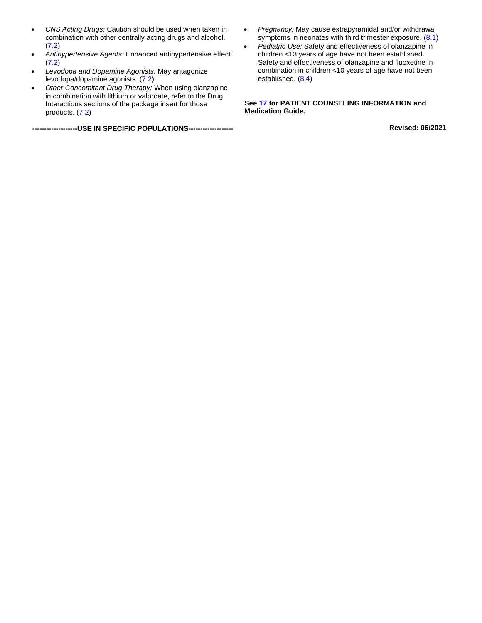- *CNS Acting Drugs:* Caution should be used when taken in combination with other centrally acting drugs and alcohol. [\(7.2\)](#page-31-0)
- *Antihypertensive Agents:* Enhanced antihypertensive effect.  $(7.2)$
- *Levodopa and Dopamine Agonists:* May antagonize levodopa/dopamine agonists. [\(7.2\)](#page-31-0)
- *Other Concomitant Drug Therapy:* When using olanzapine in combination with lithium or valproate, refer to the Drug Interactions sections of the package insert for those products. [\(7.2\)](#page-31-0)

**-------------------USE IN SPECIFIC POPULATIONS-------------------**

- *Pregnancy:* May cause extrapyramidal and/or withdrawal symptoms in neonates with third trimester exposure. [\(8.1\)](#page-32-0)
- *Pediatric Use:* Safety and effectiveness of olanzapine in children <13 years of age have not been established. Safety and effectiveness of olanzapine and fluoxetine in combination in children <10 years of age have not been established. [\(8.4\)](#page-34-0)

**See [17](#page-43-0) for PATIENT COUNSELING INFORMATION and Medication Guide.**

**Revised: 06/2021**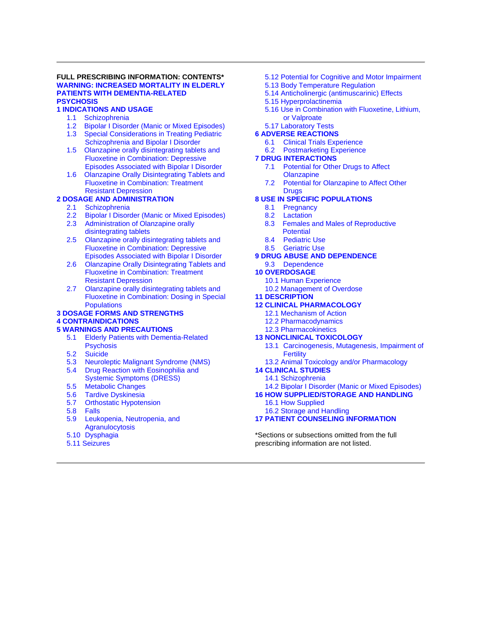#### **FULL PRESCRIBING INFORMATION: CONTENTS\* [WARNING: INCREASED MORTALITY IN ELDERLY](#page-4-3)  [PATIENTS WITH DEMENTIA-RELATED](#page-4-3)  [PSYCHOSIS](#page-4-3)**

#### **[1 INDICATIONS AND USAGE](#page-4-4)**

- 1.1 [Schizophrenia](#page-4-1)
- [1.2 Bipolar I Disorder \(Manic or Mixed Episodes\)](#page-4-2)
- [1.3 Special Considerations in Treating Pediatric](#page-5-0)  [Schizophrenia and Bipolar I Disorder](#page-5-0)
- [1.5 Olanzapine orally disintegrating](#page-5-1) tablets and [Fluoxetine in Combination: Depressive](#page-5-1)  [Episodes Associated with Bipolar I Disorder](#page-5-1)
- 1.6 Olanzapine [Orally Disintegrating Tablets and](#page-5-2)  [Fluoxetine in Combination: Treatment](#page-5-2)  [Resistant Depression](#page-5-2)

#### **[2 DOSAGE AND ADMINISTRATION](#page-5-4)**

- [2.1 Schizophrenia](#page-5-3)
- 2.2 [Bipolar I Disorder \(Manic or Mixed Episodes\)](#page-6-0)
- [2.3 Administration of Olanzapine orally](#page-7-1)  [disintegrating tablets](#page-7-1)
- [2.5 Olanzapine orally disintegrating tablets and](#page-7-0)  [Fluoxetine in Combination: Depressive](#page-7-0)  [Episodes Associated with Bipolar I Disorder](#page-7-0)
- 2.6 [Olanzapine Orally Disintegrating Tablets and](#page-8-0)  [Fluoxetine in Combination: Treatment](#page-8-0)  [Resistant Depression](#page-8-0)
- [2.7 Olanzapine orally disintegrating tablets and](#page-9-3)  [Fluoxetine in Combination: Dosing in Special](#page-9-3)  **[Populations](#page-9-3)**

#### **[3 DOSAGE FORMS AND STRENGTHS](#page-9-1) [4 CONTRAINDICATIONS](#page-9-2)**

#### **[5 WARNINGS AND PRECAUTIONS](#page-9-4)**

- 5.1 Elderly Patients [with Dementia-Related](#page-9-0)  **[Psychosis](#page-9-0)**
- [5.2 Suicide](#page-10-0)
- [5.3 Neuroleptic Malignant Syndrome \(NMS\)](#page-10-1)
- [5.4 Drug Reaction with Eosinophilia and](#page-10-2)  Systemic [Symptoms \(DRESS\)](#page-10-2)
- 5.5 [Metabolic Changes](#page-11-0)
- 5.6 [Tardive Dyskinesia](#page-16-0)
- 5.7 [Orthostatic Hypotension](#page-17-0)
- 5.8 [Falls](#page-17-1)
- 5.9 [Leukopenia, Neutropenia, and](#page-18-1)  **[Agranulocytosis](#page-18-1)**
- 5.10 [Dysphagia](#page-18-4)
- 5.11 [Seizures](#page-18-2)
- 5.12 [Potential for Cognitive and Motor Impairment](#page-18-3)
- 5.13 [Body Temperature Regulation](#page-18-5)
- 5.14 [Anticholinergic \(antimuscarinic\) Effects](#page-18-0)
- 5.15 [Hyperprolactinemia](#page-19-0)
- 5.16 [Use in Combination with Fluoxetine, Lithium,](#page-20-0)  [or Valproate](#page-20-0)
- 5.17 [Laboratory Tests](#page-20-1)

#### **[6 ADVERSE REACTIONS](#page-20-3)**

- [6.1 Clinical Trials Experience](#page-20-2)
- 6.2 [Postmarketing Experience](#page-30-1)

#### **[7 DRUG INTERACTIONS](#page-30-2)**

- [7.1 Potential for Other Drugs to](#page-30-0) Affect **[Olanzapine](#page-30-0)**
- 7.2 Potential for [Olanzapine to Affect Other](#page-31-0)  **[Drugs](#page-31-0)**

#### **[8 USE IN SPECIFIC POPULATIONS](#page-32-1)**

- [8.1 Pregnancy](#page-32-0)
- [8.2 Lactation](#page-34-1)
- [8.3 Females and Males of Reproductive](#page-34-2)  **[Potential](#page-34-2)**
- [8.4 Pediatric Use](#page-34-0)
- [8.5 Geriatric Use](#page-34-3)

#### **[9 DRUG ABUSE AND DEPENDENCE](#page-35-0)**

9.3 [Dependence](#page-35-1)

### **[10 OVERDOSAGE](#page-35-2)**

- [10.1 Human Experience](#page-35-3)
- [10.2 Management of Overdose](#page-36-0)

#### **[11 DESCRIPTION](#page-36-1)**

- **[12 CLINICAL PHARMACOLOGY](#page-37-0)**
	- [12.1 Mechanism of Action](#page-37-1)
	- [12.2 Pharmacodynamics](#page-37-2)
	- [12.3 Pharmacokinetics](#page-37-3)

#### **[13 NONCLINICAL TOXICOLOGY](#page-38-0)**

- 13.1 [Carcinogenesis, Mutagenesis,](#page-38-1) Impairment of **[Fertility](#page-38-1)**
- [13.2 Animal Toxicology and/or Pharmacology](#page-39-1)

#### **[14 CLINICAL STUDIES](#page-39-2)**

#### [14.1 Schizophrenia](#page-39-0)

[14.2 Bipolar I Disorder \(Manic or Mixed Episodes\)](#page-41-0)

#### **[16 HOW SUPPLIED/STORAGE AND HANDLING](#page-42-0)**

- [16.1 How Supplied](#page-42-1)
- [16.2 Storage and Handling](#page-43-1)
- **[17 PATIENT COUNSELING INFORMATION](#page-43-0)**

\*Sections or subsections omitted from the full prescribing information are not listed.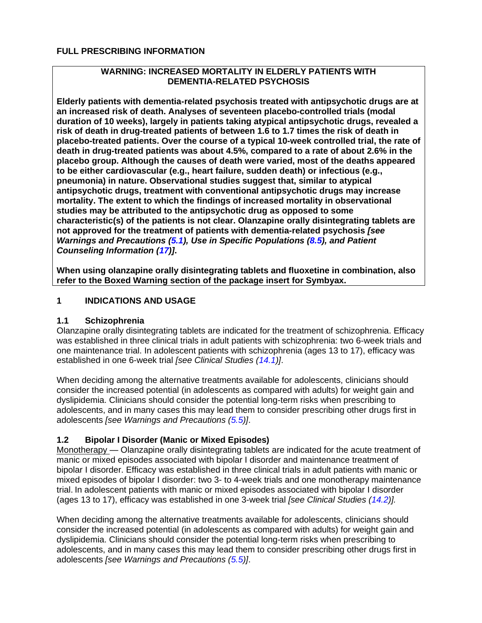### <span id="page-4-3"></span><span id="page-4-0"></span>**FULL PRESCRIBING INFORMATION**

# **WARNING: INCREASED MORTALITY IN ELDERLY PATIENTS WITH DEMENTIA-RELATED PSYCHOSIS**

**Elderly patients with dementia-related psychosis treated with antipsychotic drugs are at an increased risk of death. Analyses of seventeen placebo-controlled trials (modal duration of 10 weeks), largely in patients taking atypical antipsychotic drugs, revealed a risk of death in drug-treated patients of between 1.6 to 1.7 times the risk of death in placebo-treated patients. Over the course of a typical 10-week controlled trial, the rate of death in drug-treated patients was about 4.5%, compared to a rate of about 2.6% in the placebo group. Although the causes of death were varied, most of the deaths appeared to be either cardiovascular (e.g., heart failure, sudden death) or infectious (e.g., pneumonia) in nature. Observational studies suggest that, similar to atypical antipsychotic drugs, treatment with conventional antipsychotic drugs may increase mortality. The extent to which the findings of increased mortality in observational studies may be attributed to the antipsychotic drug as opposed to some characteristic(s) of the patients is not clear. Olanzapine orally disintegrating tablets are not approved for the treatment of patients with dementia-related psychosis** *[see Warnings and Precautions [\(5.1\)](#page-9-0), Use in Specific Populations (8.5), and Patient Counseling Information [\(17\)](#page-43-0)]***.**

**When using olanzapine orally disintegrating tablets and fluoxetine in combination, also refer to the Boxed Warning section of the package insert for Symbyax.**

# <span id="page-4-4"></span>**1 INDICATIONS AND USAGE**

### <span id="page-4-1"></span>**1.1 Schizophrenia**

Olanzapine orally disintegrating tablets are indicated for the treatment of schizophrenia. Efficacy was established in three clinical trials in adult patients with schizophrenia: two 6-week trials and one maintenance trial. In adolescent patients with schizophrenia (ages 13 to 17), efficacy was established in one 6-week trial *[see Clinical Studies [\(14.1\)](#page-39-0)]*.

When deciding among the alternative treatments available for adolescents, clinicians should consider the increased potential (in adolescents as compared with adults) for weight gain and dyslipidemia. Clinicians should consider the potential long-term risks when prescribing to adolescents, and in many cases this may lead them to consider prescribing other drugs first in adolescents *[see Warnings and Precautions [\(5.5\)](#page-11-0)]*.

# <span id="page-4-2"></span>**1.2 Bipolar I Disorder (Manic or Mixed Episodes)**

Monotherapy — Olanzapine orally disintegrating tablets are indicated for the acute treatment of manic or mixed episodes associated with bipolar I disorder and maintenance treatment of bipolar I disorder. Efficacy was established in three clinical trials in adult patients with manic or mixed episodes of bipolar I disorder: two 3- to 4-week trials and one monotherapy maintenance trial. In adolescent patients with manic or mixed episodes associated with bipolar I disorder (ages 13 to 17), efficacy was established in one 3-week trial *[see Clinical Studies [\(14.2\)](#page-41-0)].*

When deciding among the alternative treatments available for adolescents, clinicians should consider the increased potential (in adolescents as compared with adults) for weight gain and dyslipidemia. Clinicians should consider the potential long-term risks when prescribing to adolescents, and in many cases this may lead them to consider prescribing other drugs first in adolescents *[see Warnings and Precautions [\(5.5\)](#page-11-0)]*.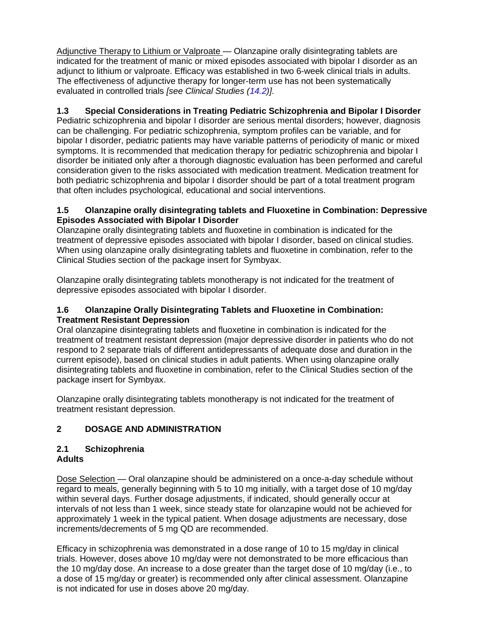Adjunctive Therapy to Lithium or Valproate — Olanzapine orally disintegrating tablets are indicated for the treatment of manic or mixed episodes associated with bipolar I disorder as an adjunct to lithium or valproate. Efficacy was established in two 6-week clinical trials in adults. The effectiveness of adjunctive therapy for longer-term use has not been systematically evaluated in controlled trials *[see Clinical Studies [\(14.2\)](#page-41-0)]*.

# <span id="page-5-0"></span>**1.3 Special Considerations in Treating Pediatric Schizophrenia and Bipolar I Disorder**

Pediatric schizophrenia and bipolar I disorder are serious mental disorders; however, diagnosis can be challenging. For pediatric schizophrenia, symptom profiles can be variable, and for bipolar I disorder, pediatric patients may have variable patterns of periodicity of manic or mixed symptoms. It is recommended that medication therapy for pediatric schizophrenia and bipolar I disorder be initiated only after a thorough diagnostic evaluation has been performed and careful consideration given to the risks associated with medication treatment. Medication treatment for both pediatric schizophrenia and bipolar I disorder should be part of a total treatment program that often includes psychological, educational and social interventions.

# <span id="page-5-1"></span>**1.5 Olanzapine orally disintegrating tablets and Fluoxetine in Combination: Depressive Episodes Associated with Bipolar I Disorder**

Olanzapine orally disintegrating tablets and fluoxetine in combination is indicated for the treatment of depressive episodes associated with bipolar I disorder, based on clinical studies. When using olanzapine orally disintegrating tablets and fluoxetine in combination, refer to the Clinical Studies section of the package insert for Symbyax.

Olanzapine orally disintegrating tablets monotherapy is not indicated for the treatment of depressive episodes associated with bipolar I disorder.

# <span id="page-5-2"></span>**1.6 Olanzapine Orally Disintegrating Tablets and Fluoxetine in Combination: Treatment Resistant Depression**

Oral olanzapine disintegrating tablets and fluoxetine in combination is indicated for the treatment of treatment resistant depression (major depressive disorder in patients who do not respond to 2 separate trials of different antidepressants of adequate dose and duration in the current episode), based on clinical studies in adult patients. When using olanzapine orally disintegrating tablets and fluoxetine in combination, refer to the Clinical Studies section of the package insert for Symbyax.

Olanzapine orally disintegrating tablets monotherapy is not indicated for the treatment of treatment resistant depression.

# <span id="page-5-4"></span>**2 DOSAGE AND ADMINISTRATION**

### <span id="page-5-3"></span>**2.1 Schizophrenia Adults**

Dose Selection — Oral olanzapine should be administered on a once-a-day schedule without regard to meals, generally beginning with 5 to 10 mg initially, with a target dose of 10 mg/day within several days. Further dosage adjustments, if indicated, should generally occur at intervals of not less than 1 week, since steady state for olanzapine would not be achieved for approximately 1 week in the typical patient. When dosage adjustments are necessary, dose increments/decrements of 5 mg QD are recommended.

Efficacy in schizophrenia was demonstrated in a dose range of 10 to 15 mg/day in clinical trials. However, doses above 10 mg/day were not demonstrated to be more efficacious than the 10 mg/day dose. An increase to a dose greater than the target dose of 10 mg/day (i.e., to a dose of 15 mg/day or greater) is recommended only after clinical assessment. Olanzapine is not indicated for use in doses above 20 mg/day.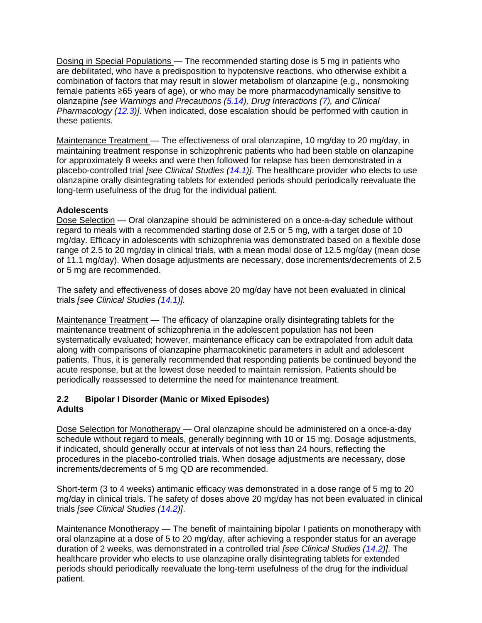Dosing in Special Populations — The recommended starting dose is 5 mg in patients who are debilitated, who have a predisposition to hypotensive reactions, who otherwise exhibit a combination of factors that may result in slower metabolism of olanzapine (e.g., nonsmoking female patients ≥65 years of age), or who may be more pharmacodynamically sensitive to olanzapine *[see Warnings and Precautions [\(5.14\)](#page-18-0), Drug Interactions [\(7\)](#page-30-2), and Clinical Pharmacology [\(12.3\)](#page-37-3)]*. When indicated, dose escalation should be performed with caution in these patients.

Maintenance Treatment — The effectiveness of oral olanzapine, 10 mg/day to 20 mg/day, in maintaining treatment response in schizophrenic patients who had been stable on olanzapine for approximately 8 weeks and were then followed for relapse has been demonstrated in a placebo-controlled trial *[see Clinical Studies [\(14.1\)](#page-39-0)]*. The healthcare provider who elects to use olanzapine orally disintegrating tablets for extended periods should periodically reevaluate the long-term usefulness of the drug for the individual patient.

# **Adolescents**

Dose Selection — Oral olanzapine should be administered on a once-a-day schedule without regard to meals with a recommended starting dose of 2.5 or 5 mg, with a target dose of 10 mg/day. Efficacy in adolescents with schizophrenia was demonstrated based on a flexible dose range of 2.5 to 20 mg/day in clinical trials, with a mean modal dose of 12.5 mg/day (mean dose of 11.1 mg/day). When dosage adjustments are necessary, dose increments/decrements of 2.5 or 5 mg are recommended.

The safety and effectiveness of doses above 20 mg/day have not been evaluated in clinical trials *[see Clinical Studies [\(14.1\)](#page-39-0)].*

Maintenance Treatment — The efficacy of olanzapine orally disintegrating tablets for the maintenance treatment of schizophrenia in the adolescent population has not been systematically evaluated; however, maintenance efficacy can be extrapolated from adult data along with comparisons of olanzapine pharmacokinetic parameters in adult and adolescent patients. Thus, it is generally recommended that responding patients be continued beyond the acute response, but at the lowest dose needed to maintain remission. Patients should be periodically reassessed to determine the need for maintenance treatment.

### <span id="page-6-0"></span>**2.2 Bipolar I Disorder (Manic or Mixed Episodes) Adults**

Dose Selection for Monotherapy — Oral olanzapine should be administered on a once-a-day schedule without regard to meals, generally beginning with 10 or 15 mg. Dosage adjustments, if indicated, should generally occur at intervals of not less than 24 hours, reflecting the procedures in the placebo-controlled trials. When dosage adjustments are necessary, dose increments/decrements of 5 mg QD are recommended.

Short-term (3 to 4 weeks) antimanic efficacy was demonstrated in a dose range of 5 mg to 20 mg/day in clinical trials. The safety of doses above 20 mg/day has not been evaluated in clinical trials *[see Clinical Studies [\(14.2\)](#page-41-0)]*.

Maintenance Monotherapy — The benefit of maintaining bipolar I patients on monotherapy with oral olanzapine at a dose of 5 to 20 mg/day, after achieving a responder status for an average duration of 2 weeks, was demonstrated in a controlled trial *[see Clinical Studies [\(14.2\)](#page-41-0)]*. The healthcare provider who elects to use olanzapine orally disintegrating tablets for extended periods should periodically reevaluate the long-term usefulness of the drug for the individual patient.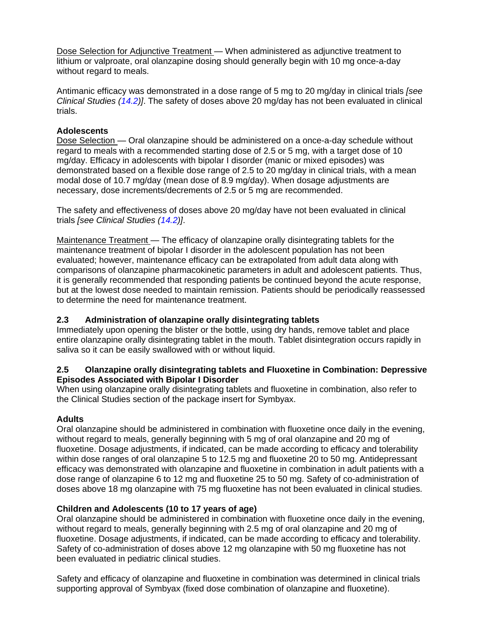Dose Selection for Adjunctive Treatment - When administered as adjunctive treatment to lithium or valproate, oral olanzapine dosing should generally begin with 10 mg once-a-day without regard to meals.

Antimanic efficacy was demonstrated in a dose range of 5 mg to 20 mg/day in clinical trials *[see Clinical Studies [\(14.2\)](#page-41-0)]*. The safety of doses above 20 mg/day has not been evaluated in clinical trials.

### **Adolescents**

Dose Selection — Oral olanzapine should be administered on a once-a-day schedule without regard to meals with a recommended starting dose of 2.5 or 5 mg, with a target dose of 10 mg/day. Efficacy in adolescents with bipolar I disorder (manic or mixed episodes) was demonstrated based on a flexible dose range of 2.5 to 20 mg/day in clinical trials, with a mean modal dose of 10.7 mg/day (mean dose of 8.9 mg/day). When dosage adjustments are necessary, dose increments/decrements of 2.5 or 5 mg are recommended.

The safety and effectiveness of doses above 20 mg/day have not been evaluated in clinical trials *[see Clinical Studies [\(14.2\)](#page-41-0)]*.

Maintenance Treatment — The efficacy of olanzapine orally disintegrating tablets for the maintenance treatment of bipolar I disorder in the adolescent population has not been evaluated; however, maintenance efficacy can be extrapolated from adult data along with comparisons of olanzapine pharmacokinetic parameters in adult and adolescent patients. Thus, it is generally recommended that responding patients be continued beyond the acute response, but at the lowest dose needed to maintain remission. Patients should be periodically reassessed to determine the need for maintenance treatment.

# <span id="page-7-1"></span>**2.3 Administration of olanzapine orally disintegrating tablets**

Immediately upon opening the blister or the bottle, using dry hands, remove tablet and place entire olanzapine orally disintegrating tablet in the mouth. Tablet disintegration occurs rapidly in saliva so it can be easily swallowed with or without liquid.

### <span id="page-7-0"></span>**2.5 Olanzapine orally disintegrating tablets and Fluoxetine in Combination: Depressive Episodes Associated with Bipolar I Disorder**

When using olanzapine orally disintegrating tablets and fluoxetine in combination, also refer to the Clinical Studies section of the package insert for Symbyax.

### **Adults**

Oral olanzapine should be administered in combination with fluoxetine once daily in the evening, without regard to meals, generally beginning with 5 mg of oral olanzapine and 20 mg of fluoxetine. Dosage adjustments, if indicated, can be made according to efficacy and tolerability within dose ranges of oral olanzapine 5 to 12.5 mg and fluoxetine 20 to 50 mg. Antidepressant efficacy was demonstrated with olanzapine and fluoxetine in combination in adult patients with a dose range of olanzapine 6 to 12 mg and fluoxetine 25 to 50 mg. Safety of co-administration of doses above 18 mg olanzapine with 75 mg fluoxetine has not been evaluated in clinical studies.

### **Children and Adolescents (10 to 17 years of age)**

Oral olanzapine should be administered in combination with fluoxetine once daily in the evening, without regard to meals, generally beginning with 2.5 mg of oral olanzapine and 20 mg of fluoxetine. Dosage adjustments, if indicated, can be made according to efficacy and tolerability. Safety of co-administration of doses above 12 mg olanzapine with 50 mg fluoxetine has not been evaluated in pediatric clinical studies.

Safety and efficacy of olanzapine and fluoxetine in combination was determined in clinical trials supporting approval of Symbyax (fixed dose combination of olanzapine and fluoxetine).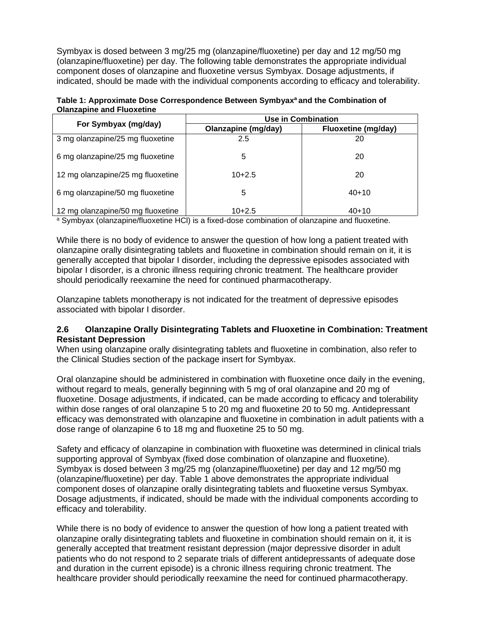Symbyax is dosed between 3 mg/25 mg (olanzapine/fluoxetine) per day and 12 mg/50 mg (olanzapine/fluoxetine) per day. The following table demonstrates the appropriate individual component doses of olanzapine and fluoxetine versus Symbyax. Dosage adjustments, if indicated, should be made with the individual components according to efficacy and tolerability.

**Table 1: Approximate Dose Correspondence Between Symbyax <sup>a</sup> and the Combination of Olanzapine and Fluoxetine**

|                                   | <b>Use in Combination</b> |                            |  |  |
|-----------------------------------|---------------------------|----------------------------|--|--|
| For Symbyax (mg/day)              | Olanzapine (mg/day)       | <b>Fluoxetine (mg/day)</b> |  |  |
| 3 mg olanzapine/25 mg fluoxetine  | 2.5                       | 20                         |  |  |
| 6 mg olanzapine/25 mg fluoxetine  | 5                         | 20                         |  |  |
| 12 mg olanzapine/25 mg fluoxetine | $10+2.5$                  | 20                         |  |  |
| 6 mg olanzapine/50 mg fluoxetine  | 5                         | $40+10$                    |  |  |
| 12 mg olanzapine/50 mg fluoxetine | $10+2.5$                  | $40+10$                    |  |  |

a Symbyax (olanzapine/fluoxetine HCl) is a fixed-dose combination of olanzapine and fluoxetine.

While there is no body of evidence to answer the question of how long a patient treated with olanzapine orally disintegrating tablets and fluoxetine in combination should remain on it, it is generally accepted that bipolar I disorder, including the depressive episodes associated with bipolar I disorder, is a chronic illness requiring chronic treatment. The healthcare provider should periodically reexamine the need for continued pharmacotherapy.

Olanzapine tablets monotherapy is not indicated for the treatment of depressive episodes associated with bipolar I disorder.

# <span id="page-8-0"></span>**2.6 Olanzapine Orally Disintegrating Tablets and Fluoxetine in Combination: Treatment Resistant Depression**

When using olanzapine orally disintegrating tablets and fluoxetine in combination, also refer to the Clinical Studies section of the package insert for Symbyax.

Oral olanzapine should be administered in combination with fluoxetine once daily in the evening, without regard to meals, generally beginning with 5 mg of oral olanzapine and 20 mg of fluoxetine. Dosage adjustments, if indicated, can be made according to efficacy and tolerability within dose ranges of oral olanzapine 5 to 20 mg and fluoxetine 20 to 50 mg. Antidepressant efficacy was demonstrated with olanzapine and fluoxetine in combination in adult patients with a dose range of olanzapine 6 to 18 mg and fluoxetine 25 to 50 mg.

Safety and efficacy of olanzapine in combination with fluoxetine was determined in clinical trials supporting approval of Symbyax (fixed dose combination of olanzapine and fluoxetine). Symbyax is dosed between 3 mg/25 mg (olanzapine/fluoxetine) per day and 12 mg/50 mg (olanzapine/fluoxetine) per day. Table 1 above demonstrates the appropriate individual component doses of olanzapine orally disintegrating tablets and fluoxetine versus Symbyax. Dosage adjustments, if indicated, should be made with the individual components according to efficacy and tolerability.

While there is no body of evidence to answer the question of how long a patient treated with olanzapine orally disintegrating tablets and fluoxetine in combination should remain on it, it is generally accepted that treatment resistant depression (major depressive disorder in adult patients who do not respond to 2 separate trials of different antidepressants of adequate dose and duration in the current episode) is a chronic illness requiring chronic treatment. The healthcare provider should periodically reexamine the need for continued pharmacotherapy.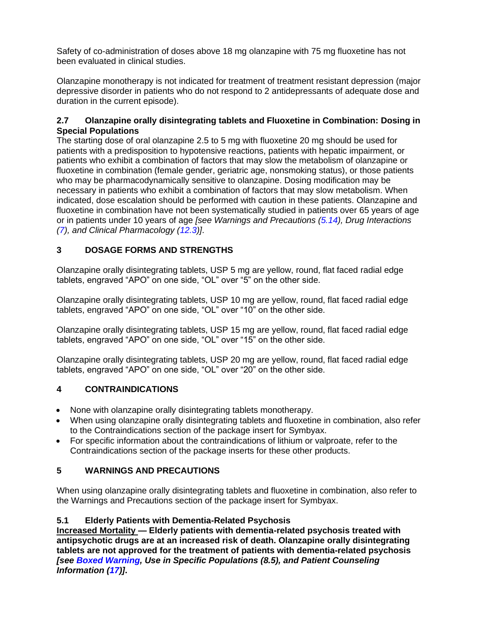Safety of co-administration of doses above 18 mg olanzapine with 75 mg fluoxetine has not been evaluated in clinical studies.

Olanzapine monotherapy is not indicated for treatment of treatment resistant depression (major depressive disorder in patients who do not respond to 2 antidepressants of adequate dose and duration in the current episode).

# <span id="page-9-3"></span>**2.7 Olanzapine orally disintegrating tablets and Fluoxetine in Combination: Dosing in Special Populations**

The starting dose of oral olanzapine 2.5 to 5 mg with fluoxetine 20 mg should be used for patients with a predisposition to hypotensive reactions, patients with hepatic impairment, or patients who exhibit a combination of factors that may slow the metabolism of olanzapine or fluoxetine in combination (female gender, geriatric age, nonsmoking status), or those patients who may be pharmacodynamically sensitive to olanzapine. Dosing modification may be necessary in patients who exhibit a combination of factors that may slow metabolism. When indicated, dose escalation should be performed with caution in these patients. Olanzapine and fluoxetine in combination have not been systematically studied in patients over 65 years of age or in patients under 10 years of age *[see Warnings and Precautions [\(5.14\)](#page-18-0), Drug Interactions [\(7\)](#page-30-2), and Clinical Pharmacology [\(12.3\)](#page-37-3)]*.

# <span id="page-9-1"></span>**3 DOSAGE FORMS AND STRENGTHS**

Olanzapine orally disintegrating tablets, USP 5 mg are yellow, round, flat faced radial edge tablets, engraved "APO" on one side, "OL" over "5" on the other side.

Olanzapine orally disintegrating tablets, USP 10 mg are yellow, round, flat faced radial edge tablets, engraved "APO" on one side, "OL" over "10" on the other side.

Olanzapine orally disintegrating tablets, USP 15 mg are yellow, round, flat faced radial edge tablets, engraved "APO" on one side, "OL" over "15" on the other side.

Olanzapine orally disintegrating tablets, USP 20 mg are yellow, round, flat faced radial edge tablets, engraved "APO" on one side, "OL" over "20" on the other side.

# <span id="page-9-2"></span>**4 CONTRAINDICATIONS**

- None with olanzapine orally disintegrating tablets monotherapy.
- When using olanzapine orally disintegrating tablets and fluoxetine in combination, also refer to the Contraindications section of the package insert for Symbyax.
- For specific information about the contraindications of lithium or valproate, refer to the Contraindications section of the package inserts for these other products.

# <span id="page-9-4"></span>**5 WARNINGS AND PRECAUTIONS**

When using olanzapine orally disintegrating tablets and fluoxetine in combination, also refer to the Warnings and Precautions section of the package insert for Symbyax.

# <span id="page-9-0"></span>**5.1 Elderly Patients with Dementia-Related Psychosis**

**Increased Mortality — Elderly patients with dementia-related psychosis treated with antipsychotic drugs are at an increased risk of death. Olanzapine orally disintegrating tablets are not approved for the treatment of patients with dementia-related psychosis**  *[see [Boxed Warning,](#page-4-3) Use in Specific Populations (8.5), and Patient Counseling Information [\(17\)](#page-43-0)]***.**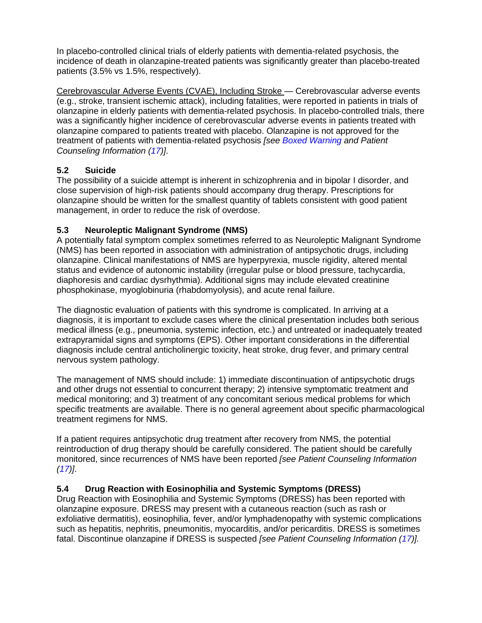In placebo-controlled clinical trials of elderly patients with dementia-related psychosis, the incidence of death in olanzapine-treated patients was significantly greater than placebo-treated patients (3.5% vs 1.5%, respectively).

Cerebrovascular Adverse Events (CVAE), Including Stroke — Cerebrovascular adverse events (e.g., stroke, transient ischemic attack), including fatalities, were reported in patients in trials of olanzapine in elderly patients with dementia-related psychosis. In placebo-controlled trials, there was a significantly higher incidence of cerebrovascular adverse events in patients treated with olanzapine compared to patients treated with placebo. Olanzapine is not approved for the treatment of patients with dementia-related psychosis *[see [Boxed Warning](#page-4-3) and Patient Counseling Information [\(17\)](#page-43-2)]*.

# <span id="page-10-0"></span>**5.2 Suicide**

The possibility of a suicide attempt is inherent in schizophrenia and in bipolar I disorder, and close supervision of high-risk patients should accompany drug therapy. Prescriptions for olanzapine should be written for the smallest quantity of tablets consistent with good patient management, in order to reduce the risk of overdose.

# <span id="page-10-1"></span>**5.3 Neuroleptic Malignant Syndrome (NMS)**

A potentially fatal symptom complex sometimes referred to as Neuroleptic Malignant Syndrome (NMS) has been reported in association with administration of antipsychotic drugs, including olanzapine. Clinical manifestations of NMS are hyperpyrexia, muscle rigidity, altered mental status and evidence of autonomic instability (irregular pulse or blood pressure, tachycardia, diaphoresis and cardiac dysrhythmia). Additional signs may include elevated creatinine phosphokinase, myoglobinuria (rhabdomyolysis), and acute renal failure.

The diagnostic evaluation of patients with this syndrome is complicated. In arriving at a diagnosis, it is important to exclude cases where the clinical presentation includes both serious medical illness (e.g., pneumonia, systemic infection, etc.) and untreated or inadequately treated extrapyramidal signs and symptoms (EPS). Other important considerations in the differential diagnosis include central anticholinergic toxicity, heat stroke, drug fever, and primary central nervous system pathology.

The management of NMS should include: 1) immediate discontinuation of antipsychotic drugs and other drugs not essential to concurrent therapy; 2) intensive symptomatic treatment and medical monitoring; and 3) treatment of any concomitant serious medical problems for which specific treatments are available. There is no general agreement about specific pharmacological treatment regimens for NMS.

If a patient requires antipsychotic drug treatment after recovery from NMS, the potential reintroduction of drug therapy should be carefully considered. The patient should be carefully monitored, since recurrences of NMS have been reported *[see Patient Counseling Information (17)]*.

# <span id="page-10-2"></span>**5.4 Drug Reaction with Eosinophilia and Systemic Symptoms (DRESS)**

Drug Reaction with Eosinophilia and Systemic Symptoms (DRESS) has been reported with olanzapine exposure. DRESS may present with a cutaneous reaction (such as rash or exfoliative dermatitis), eosinophilia, fever, and/or lymphadenopathy with systemic complications such as hepatitis, nephritis, pneumonitis, myocarditis, and/or pericarditis. DRESS is sometimes fatal. Discontinue olanzapine if DRESS is suspected *[see Patient Counseling Information (17)].*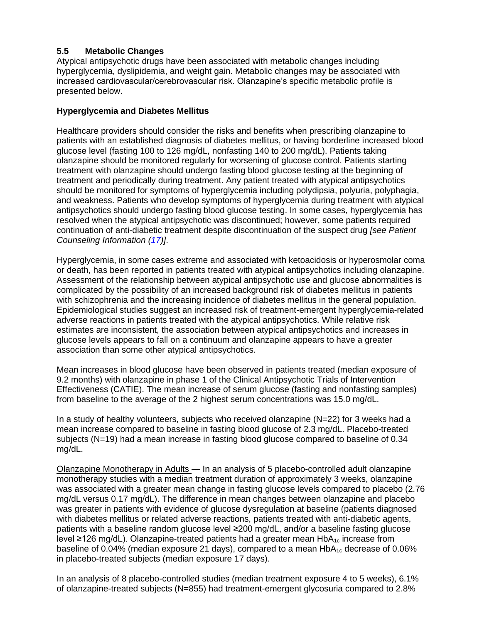# <span id="page-11-0"></span>**5.5 Metabolic Changes**

Atypical antipsychotic drugs have been associated with metabolic changes including hyperglycemia, dyslipidemia, and weight gain. Metabolic changes may be associated with increased cardiovascular/cerebrovascular risk. Olanzapine's specific metabolic profile is presented below.

# **Hyperglycemia and Diabetes Mellitus**

Healthcare providers should consider the risks and benefits when prescribing olanzapine to patients with an established diagnosis of diabetes mellitus, or having borderline increased blood glucose level (fasting 100 to 126 mg/dL, nonfasting 140 to 200 mg/dL). Patients taking olanzapine should be monitored regularly for worsening of glucose control. Patients starting treatment with olanzapine should undergo fasting blood glucose testing at the beginning of treatment and periodically during treatment. Any patient treated with atypical antipsychotics should be monitored for symptoms of hyperglycemia including polydipsia, polyuria, polyphagia, and weakness. Patients who develop symptoms of hyperglycemia during treatment with atypical antipsychotics should undergo fasting blood glucose testing. In some cases, hyperglycemia has resolved when the atypical antipsychotic was discontinued; however, some patients required continuation of anti-diabetic treatment despite discontinuation of the suspect drug *[see Patient Counseling Information [\(17\)](#page-43-0)]*.

Hyperglycemia, in some cases extreme and associated with ketoacidosis or hyperosmolar coma or death, has been reported in patients treated with atypical antipsychotics including olanzapine. Assessment of the relationship between atypical antipsychotic use and glucose abnormalities is complicated by the possibility of an increased background risk of diabetes mellitus in patients with schizophrenia and the increasing incidence of diabetes mellitus in the general population. Epidemiological studies suggest an increased risk of treatment-emergent hyperglycemia-related adverse reactions in patients treated with the atypical antipsychotics. While relative risk estimates are inconsistent, the association between atypical antipsychotics and increases in glucose levels appears to fall on a continuum and olanzapine appears to have a greater association than some other atypical antipsychotics.

Mean increases in blood glucose have been observed in patients treated (median exposure of 9.2 months) with olanzapine in phase 1 of the Clinical Antipsychotic Trials of Intervention Effectiveness (CATIE). The mean increase of serum glucose (fasting and nonfasting samples) from baseline to the average of the 2 highest serum concentrations was 15.0 mg/dL.

In a study of healthy volunteers, subjects who received olanzapine (N=22) for 3 weeks had a mean increase compared to baseline in fasting blood glucose of 2.3 mg/dL. Placebo-treated subjects (N=19) had a mean increase in fasting blood glucose compared to baseline of 0.34 mg/dL.

Olanzapine Monotherapy in Adults — In an analysis of 5 placebo-controlled adult olanzapine monotherapy studies with a median treatment duration of approximately 3 weeks, olanzapine was associated with a greater mean change in fasting glucose levels compared to placebo (2.76 mg/dL versus 0.17 mg/dL). The difference in mean changes between olanzapine and placebo was greater in patients with evidence of glucose dysregulation at baseline (patients diagnosed with diabetes mellitus or related adverse reactions, patients treated with anti-diabetic agents, patients with a baseline random glucose level ≥200 mg/dL, and/or a baseline fasting glucose level ≥126 mg/dL). Olanzapine-treated patients had a greater mean HbA<sub>1c</sub> increase from baseline of 0.04% (median exposure 21 days), compared to a mean  $HbA_{1c}$  decrease of 0.06% in placebo-treated subjects (median exposure 17 days).

In an analysis of 8 placebo-controlled studies (median treatment exposure 4 to 5 weeks), 6.1% of olanzapine-treated subjects (N=855) had treatment-emergent glycosuria compared to 2.8%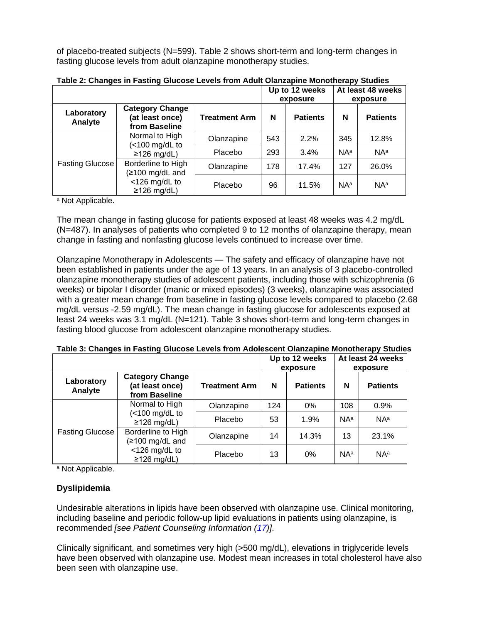of placebo-treated subjects (N=599). Table 2 shows short-term and long-term changes in fasting glucose levels from adult olanzapine monotherapy studies.

|                        |                                                            |                      |     | Up to 12 weeks<br>exposure |                 | At least 48 weeks<br>exposure |
|------------------------|------------------------------------------------------------|----------------------|-----|----------------------------|-----------------|-------------------------------|
| Laboratory<br>Analyte  | <b>Category Change</b><br>(at least once)<br>from Baseline | <b>Treatment Arm</b> | N   | <b>Patients</b>            | N               | <b>Patients</b>               |
|                        | Normal to High<br>$<$ 100 mg/dL to                         | Olanzapine           | 543 | 2.2%                       | 345             | 12.8%                         |
|                        | $≥126$ mg/dL)                                              | Placebo              | 293 | 3.4%                       | $NA^a$          | <b>NA</b> <sup>a</sup>        |
| <b>Fasting Glucose</b> | Borderline to High<br>$(2100 \text{ mg/dL}$ and            | Olanzapine           | 178 | 17.4%                      | 127             | 26.0%                         |
|                        | <126 mg/dL to<br>$≥126$ mg/dL)                             | Placebo              | 96  | 11.5%                      | NA <sup>a</sup> | <b>NA</b> <sup>a</sup>        |

|  | Table 2: Changes in Fasting Glucose Levels from Adult Olanzapine Monotherapy Studies |  |
|--|--------------------------------------------------------------------------------------|--|
|--|--------------------------------------------------------------------------------------|--|

<sup>a</sup> Not Applicable.

The mean change in fasting glucose for patients exposed at least 48 weeks was 4.2 mg/dL (N=487). In analyses of patients who completed 9 to 12 months of olanzapine therapy, mean change in fasting and nonfasting glucose levels continued to increase over time.

Olanzapine Monotherapy in Adolescents — The safety and efficacy of olanzapine have not been established in patients under the age of 13 years. In an analysis of 3 placebo-controlled olanzapine monotherapy studies of adolescent patients, including those with schizophrenia (6 weeks) or bipolar I disorder (manic or mixed episodes) (3 weeks), olanzapine was associated with a greater mean change from baseline in fasting glucose levels compared to placebo (2.68 mg/dL versus -2.59 mg/dL). The mean change in fasting glucose for adolescents exposed at least 24 weeks was 3.1 mg/dL (N=121). Table 3 shows short-term and long-term changes in fasting blood glucose from adolescent olanzapine monotherapy studies.

| Table 3: Changes in Fasting Glucose Levels from Adolescent Olanzapine Monotherapy Studies |  |  |  |  |
|-------------------------------------------------------------------------------------------|--|--|--|--|
|                                                                                           |  |  |  |  |

|                        |                                                            |                      | Up to 12 weeks<br>exposure |                 | At least 24 weeks<br>exposure |                 |
|------------------------|------------------------------------------------------------|----------------------|----------------------------|-----------------|-------------------------------|-----------------|
| Laboratory<br>Analyte  | <b>Category Change</b><br>(at least once)<br>from Baseline | <b>Treatment Arm</b> | N                          | <b>Patients</b> | N                             | <b>Patients</b> |
|                        | Normal to High                                             | Olanzapine           | 124                        | 0%              | 108                           | 0.9%            |
|                        | $\leq 100$ mg/dL to<br>$≥126$ mg/dL)                       | Placebo              | 53                         | 1.9%            | NA <sup>a</sup>               | NA <sup>a</sup> |
| <b>Fasting Glucose</b> | Borderline to High<br>$(2100 \text{ mg/dL}$ and            | Olanzapine           | 14                         | 14.3%           | 13                            | 23.1%           |
|                        | $<$ 126 mg/dL to<br>$≥126$ mg/dL)                          | Placebo              | 13                         | 0%              | <b>NA</b> <sup>a</sup>        | <b>NAa</b>      |

<sup>a</sup> Not Applicable.

# **Dyslipidemia**

Undesirable alterations in lipids have been observed with olanzapine use. Clinical monitoring, including baseline and periodic follow-up lipid evaluations in patients using olanzapine, is recommended *[see Patient Counseling Information [\(17\)](#page-43-0)]*.

Clinically significant, and sometimes very high (>500 mg/dL), elevations in triglyceride levels have been observed with olanzapine use. Modest mean increases in total cholesterol have also been seen with olanzapine use.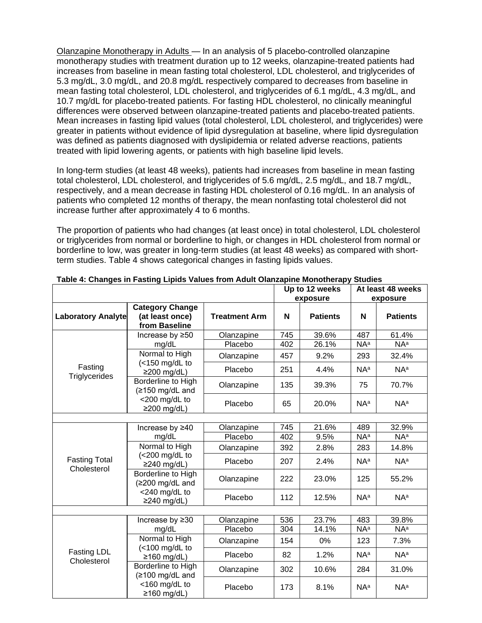Olanzapine Monotherapy in Adults — In an analysis of 5 placebo-controlled olanzapine monotherapy studies with treatment duration up to 12 weeks, olanzapine-treated patients had increases from baseline in mean fasting total cholesterol, LDL cholesterol, and triglycerides of 5.3 mg/dL, 3.0 mg/dL, and 20.8 mg/dL respectively compared to decreases from baseline in mean fasting total cholesterol, LDL cholesterol, and triglycerides of 6.1 mg/dL, 4.3 mg/dL, and 10.7 mg/dL for placebo-treated patients. For fasting HDL cholesterol, no clinically meaningful differences were observed between olanzapine-treated patients and placebo-treated patients. Mean increases in fasting lipid values (total cholesterol, LDL cholesterol, and triglycerides) were greater in patients without evidence of lipid dysregulation at baseline, where lipid dysregulation was defined as patients diagnosed with dyslipidemia or related adverse reactions, patients treated with lipid lowering agents, or patients with high baseline lipid levels.

In long-term studies (at least 48 weeks), patients had increases from baseline in mean fasting total cholesterol, LDL cholesterol, and triglycerides of 5.6 mg/dL, 2.5 mg/dL, and 18.7 mg/dL, respectively, and a mean decrease in fasting HDL cholesterol of 0.16 mg/dL. In an analysis of patients who completed 12 months of therapy, the mean nonfasting total cholesterol did not increase further after approximately 4 to 6 months.

The proportion of patients who had changes (at least once) in total cholesterol, LDL cholesterol or triglycerides from normal or borderline to high, or changes in HDL cholesterol from normal or borderline to low, was greater in long-term studies (at least 48 weeks) as compared with shortterm studies. Table 4 shows categorical changes in fasting lipids values.

|                                     |                                                            |                      |     | Up to 12 weeks  |                 | At least 48 weeks      |
|-------------------------------------|------------------------------------------------------------|----------------------|-----|-----------------|-----------------|------------------------|
|                                     |                                                            |                      |     | exposure        |                 | exposure               |
| <b>Laboratory Analyte</b>           | <b>Category Change</b><br>(at least once)<br>from Baseline | <b>Treatment Arm</b> | N   | <b>Patients</b> | N               | <b>Patients</b>        |
|                                     | Increase by ≥50                                            | Olanzapine           | 745 | 39.6%           | 487             | 61.4%                  |
|                                     | mg/dL                                                      | Placebo              | 402 | 26.1%           | <b>NAa</b>      | <b>NAa</b>             |
|                                     | Normal to High<br>(<150 mg/dL to                           | Olanzapine           | 457 | 9.2%            | 293             | 32.4%                  |
| Fasting<br><b>Triglycerides</b>     | $\geq$ 200 mg/dL)                                          | Placebo              | 251 | 4.4%            | NA <sup>a</sup> | <b>NA</b> <sup>a</sup> |
|                                     | Borderline to High<br>$(≥150$ mg/dL and                    | Olanzapine           | 135 | 39.3%           | 75              | 70.7%                  |
|                                     | <200 mg/dL to<br>$\geq$ 200 mg/dL)                         | Placebo              | 65  | 20.0%           | NA <sup>a</sup> | NA <sup>a</sup>        |
|                                     |                                                            |                      |     |                 |                 |                        |
|                                     | Increase by ≥40                                            | Olanzapine           | 745 | 21.6%           | 489             | 32.9%                  |
|                                     | mg/dL                                                      | Placebo              | 402 | 9.5%            | NA <sup>a</sup> | <b>NA</b> <sup>a</sup> |
|                                     | Normal to High                                             | Olanzapine           | 392 | 2.8%            | 283             | 14.8%                  |
| <b>Fasting Total</b><br>Cholesterol | $(<200$ mg/dL to<br>$\geq$ 240 mg/dL)                      | Placebo              | 207 | 2.4%            | <b>NAa</b>      | NA <sup>a</sup>        |
|                                     | Borderline to High<br>$(2200 \text{ mg/dL}$ and            | Olanzapine           | 222 | 23.0%           | 125             | 55.2%                  |
|                                     | <240 mg/dL to<br>$\geq$ 240 mg/dL)                         | Placebo              | 112 | 12.5%           | NA <sup>a</sup> | NA <sup>a</sup>        |
|                                     |                                                            |                      |     |                 |                 |                        |
|                                     | Increase by ≥30                                            | Olanzapine           | 536 | 23.7%           | 483             | 39.8%                  |
|                                     | mg/dL                                                      | Placebo              | 304 | 14.1%           | NA <sup>a</sup> | NA <sup>a</sup>        |
|                                     | Normal to High<br>$\left($ < 100 mg/dL to                  | Olanzapine           | 154 | $0\%$           | 123             | 7.3%                   |
| <b>Fasting LDL</b><br>Cholesterol   | $≥160$ mg/dL)                                              | Placebo              | 82  | 1.2%            | NA <sup>a</sup> | $NA^a$                 |
|                                     | Borderline to High<br>$(≥100$ mg/dL and                    | Olanzapine           | 302 | 10.6%           | 284             | 31.0%                  |
|                                     | <160 mg/dL to<br>$≥160$ mg/dL)                             | Placebo              | 173 | 8.1%            | NA <sup>a</sup> | <b>NAa</b>             |

#### **Table 4: Changes in Fasting Lipids Values from Adult Olanzapine Monotherapy Studies**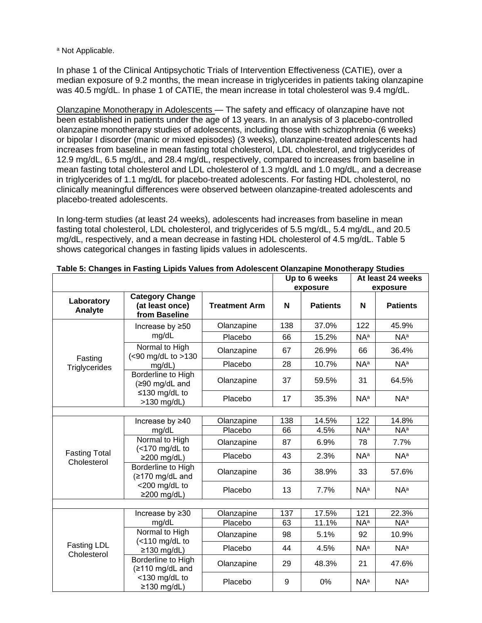<sup>a</sup> Not Applicable.

In phase 1 of the Clinical Antipsychotic Trials of Intervention Effectiveness (CATIE), over a median exposure of 9.2 months, the mean increase in triglycerides in patients taking olanzapine was 40.5 mg/dL. In phase 1 of CATIE, the mean increase in total cholesterol was 9.4 mg/dL.

Olanzapine Monotherapy in Adolescents — The safety and efficacy of olanzapine have not been established in patients under the age of 13 years. In an analysis of 3 placebo-controlled olanzapine monotherapy studies of adolescents, including those with schizophrenia (6 weeks) or bipolar I disorder (manic or mixed episodes) (3 weeks), olanzapine-treated adolescents had increases from baseline in mean fasting total cholesterol, LDL cholesterol, and triglycerides of 12.9 mg/dL, 6.5 mg/dL, and 28.4 mg/dL, respectively, compared to increases from baseline in mean fasting total cholesterol and LDL cholesterol of 1.3 mg/dL and 1.0 mg/dL, and a decrease in triglycerides of 1.1 mg/dL for placebo-treated adolescents. For fasting HDL cholesterol, no clinically meaningful differences were observed between olanzapine-treated adolescents and placebo-treated adolescents.

In long-term studies (at least 24 weeks), adolescents had increases from baseline in mean fasting total cholesterol, LDL cholesterol, and triglycerides of 5.5 mg/dL, 5.4 mg/dL, and 20.5 mg/dL, respectively, and a mean decrease in fasting HDL cholesterol of 4.5 mg/dL. Table 5 shows categorical changes in fasting lipids values in adolescents.

|                                     |                                                            | Up to 6 weeks        |     | At least 24 weeks |                        |                 |
|-------------------------------------|------------------------------------------------------------|----------------------|-----|-------------------|------------------------|-----------------|
|                                     |                                                            |                      |     | exposure          |                        | exposure        |
| Laboratory<br>Analyte               | <b>Category Change</b><br>(at least once)<br>from Baseline | <b>Treatment Arm</b> | N   | <b>Patients</b>   | N                      | <b>Patients</b> |
|                                     | Increase by ≥50                                            | Olanzapine           | 138 | 37.0%             | 122                    | 45.9%           |
|                                     | mg/dL                                                      | Placebo              | 66  | 15.2%             | NA <sup>a</sup>        | $NA^a$          |
| Fasting                             | Normal to High<br>(<90 mg/dL to >130                       | Olanzapine           | 67  | 26.9%             | 66                     | 36.4%           |
| <b>Triglycerides</b>                | mg/dL)                                                     | Placebo              | 28  | 10.7%             | NA <sup>a</sup>        | <b>NAa</b>      |
|                                     | Borderline to High<br>(≥90 mg/dL and                       | Olanzapine           | 37  | 59.5%             | 31                     | 64.5%           |
|                                     | ≤130 mg/dL to<br>$>130$ mg/dL)                             | Placebo              | 17  | 35.3%             | NA <sup>a</sup>        | NA <sup>a</sup> |
|                                     |                                                            |                      |     |                   |                        |                 |
|                                     | Increase by ≥40                                            | Olanzapine           | 138 | 14.5%             | 122                    | 14.8%           |
|                                     | mg/dL                                                      | Placebo              | 66  | 4.5%              | <b>NAa</b>             | NA <sup>a</sup> |
|                                     | Normal to High<br>$(<170$ mg/dL to                         | Olanzapine           | 87  | 6.9%              | 78                     | 7.7%            |
| <b>Fasting Total</b><br>Cholesterol | $\geq$ 200 mg/dL)                                          | Placebo              | 43  | 2.3%              | <b>NAa</b>             | <b>NAa</b>      |
|                                     | Borderline to High<br>$(≥170$ mg/dL and                    | Olanzapine           | 36  | 38.9%             | 33                     | 57.6%           |
|                                     | <200 mg/dL to<br>$≥200$ mg/dL)                             | Placebo              | 13  | 7.7%              | <b>NA</b> <sup>a</sup> | NA <sup>a</sup> |
|                                     |                                                            |                      |     |                   |                        |                 |
|                                     | Increase by ≥30                                            | Olanzapine           | 137 | 17.5%             | 121                    | 22.3%           |
|                                     | mg/dL                                                      | Placebo              | 63  | 11.1%             | <b>NAa</b>             | NA <sup>a</sup> |
|                                     | Normal to High<br>$\left($ < 110 mg/dL to                  | Olanzapine           | 98  | 5.1%              | 92                     | 10.9%           |
| <b>Fasting LDL</b><br>Cholesterol   | $≥130$ mg/dL)                                              | Placebo              | 44  | 4.5%              | NA <sup>a</sup>        | $NA^a$          |
|                                     | Borderline to High<br>$(≥110$ mg/dL and                    | Olanzapine           | 29  | 48.3%             | 21                     | 47.6%           |
|                                     | <130 mg/dL to<br>$≥130$ mg/dL)                             | Placebo              | 9   | 0%                | <b>NAa</b>             | NA <sup>a</sup> |

**Table 5: Changes in Fasting Lipids Values from Adolescent Olanzapine Monotherapy Studies**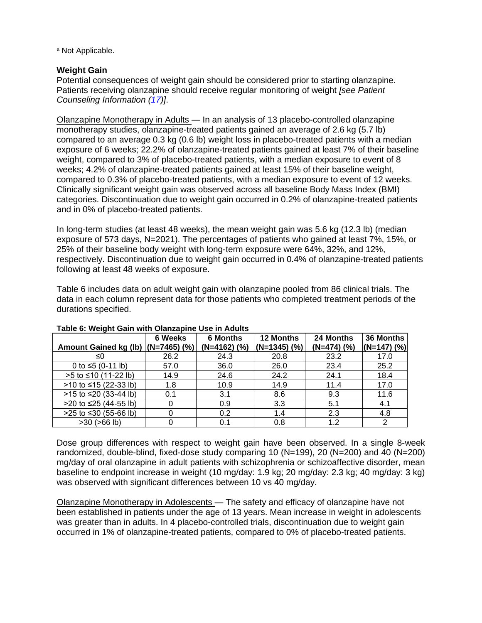<sup>a</sup> Not Applicable.

### **Weight Gain**

Potential consequences of weight gain should be considered prior to starting olanzapine. Patients receiving olanzapine should receive regular monitoring of weight *[see Patient Counseling Information [\(17\)](#page-43-0)]*.

Olanzapine Monotherapy in Adults — In an analysis of 13 placebo-controlled olanzapine monotherapy studies, olanzapine-treated patients gained an average of 2.6 kg (5.7 lb) compared to an average 0.3 kg (0.6 lb) weight loss in placebo-treated patients with a median exposure of 6 weeks; 22.2% of olanzapine-treated patients gained at least 7% of their baseline weight, compared to 3% of placebo-treated patients, with a median exposure to event of 8 weeks; 4.2% of olanzapine-treated patients gained at least 15% of their baseline weight, compared to 0.3% of placebo-treated patients, with a median exposure to event of 12 weeks. Clinically significant weight gain was observed across all baseline Body Mass Index (BMI) categories. Discontinuation due to weight gain occurred in 0.2% of olanzapine-treated patients and in 0% of placebo-treated patients.

In long-term studies (at least 48 weeks), the mean weight gain was 5.6 kg (12.3 lb) (median exposure of 573 days, N=2021). The percentages of patients who gained at least 7%, 15%, or 25% of their baseline body weight with long-term exposure were 64%, 32%, and 12%, respectively. Discontinuation due to weight gain occurred in 0.4% of olanzapine-treated patients following at least 48 weeks of exposure.

Table 6 includes data on adult weight gain with olanzapine pooled from 86 clinical trials. The data in each column represent data for those patients who completed treatment periods of the durations specified.

| Amount Gained kg (lb) $(N=7465)$ (%) | <b>6 Weeks</b> | <b>6 Months</b><br>(N=4162) (%) | <b>12 Months</b><br>$(N=1345)$ (%) | 24 Months<br>$(N=474)$ (%) | 36 Months<br>$(N=147)$ (%) |
|--------------------------------------|----------------|---------------------------------|------------------------------------|----------------------------|----------------------------|
|                                      |                |                                 |                                    |                            |                            |
| ≤0                                   | 26.2           | 24.3                            | 20.8                               | 23.2                       | 17.0                       |
| 0 to $\leq$ 5 (0-11 lb)              | 57.0           | 36.0                            | 26.0                               | 23.4                       | 25.2                       |
| >5 to ≤10 (11-22 lb)                 | 14.9           | 24.6                            | 24.2                               | 24.1                       | 18.4                       |
| >10 to ≤15 (22-33 lb)                | 1.8            | 10.9                            | 14.9                               | 11.4                       | 17.0                       |
| >15 to ≤20 (33-44 lb)                | 0.1            | 3.1                             | 8.6                                | 9.3                        | 11.6                       |
| >20 to ≤25 (44-55 lb)                | 0              | 0.9                             | 3.3                                | 5.1                        | 4.1                        |
| >25 to ≤30 (55-66 lb)                | 0              | 0.2                             | 1.4                                | 2.3                        | 4.8                        |
| $>30$ ( $>66$ lb)                    |                | 0.1                             | 0.8                                | 1.2                        | $\mathcal{P}$              |

### **Table 6: Weight Gain with Olanzapine Use in Adults**

Dose group differences with respect to weight gain have been observed. In a single 8-week randomized, double-blind, fixed-dose study comparing 10 (N=199), 20 (N=200) and 40 (N=200) mg/day of oral olanzapine in adult patients with schizophrenia or schizoaffective disorder, mean baseline to endpoint increase in weight (10 mg/day: 1.9 kg; 20 mg/day: 2.3 kg; 40 mg/day: 3 kg) was observed with significant differences between 10 vs 40 mg/day.

Olanzapine Monotherapy in Adolescents — The safety and efficacy of olanzapine have not been established in patients under the age of 13 years. Mean increase in weight in adolescents was greater than in adults. In 4 placebo-controlled trials, discontinuation due to weight gain occurred in 1% of olanzapine-treated patients, compared to 0% of placebo-treated patients.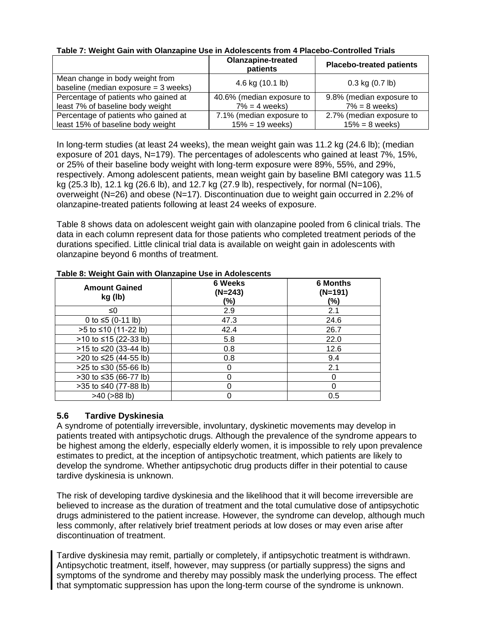| Table 7: Weight Gain with Olanzapine Use in Adolescents from 4 Placebo-Controlled Trials |  |  |
|------------------------------------------------------------------------------------------|--|--|
|------------------------------------------------------------------------------------------|--|--|

|                                                                           | <b>Olanzapine-treated</b><br>patients | <b>Placebo-treated patients</b> |
|---------------------------------------------------------------------------|---------------------------------------|---------------------------------|
| Mean change in body weight from<br>baseline (median exposure $=$ 3 weeks) | 4.6 kg (10.1 lb)                      | $0.3$ kg $(0.7$ lb)             |
| Percentage of patients who gained at                                      | 40.6% (median exposure to             | 9.8% (median exposure to        |
| least 7% of baseline body weight                                          | $7\% = 4$ weeks)                      | $7\% = 8$ weeks)                |
| Percentage of patients who gained at                                      | 7.1% (median exposure to              | 2.7% (median exposure to        |
| least 15% of baseline body weight                                         | $15% = 19$ weeks)                     | $15% = 8$ weeks)                |

In long-term studies (at least 24 weeks), the mean weight gain was 11.2 kg (24.6 lb); (median exposure of 201 days, N=179). The percentages of adolescents who gained at least 7%, 15%, or 25% of their baseline body weight with long-term exposure were 89%, 55%, and 29%, respectively. Among adolescent patients, mean weight gain by baseline BMI category was 11.5 kg (25.3 lb), 12.1 kg (26.6 lb), and 12.7 kg (27.9 lb), respectively, for normal (N=106), overweight (N=26) and obese (N=17). Discontinuation due to weight gain occurred in 2.2% of olanzapine-treated patients following at least 24 weeks of exposure.

Table 8 shows data on adolescent weight gain with olanzapine pooled from 6 clinical trials. The data in each column represent data for those patients who completed treatment periods of the durations specified. Little clinical trial data is available on weight gain in adolescents with olanzapine beyond 6 months of treatment.

| <b>Amount Gained</b><br>kg (lb) | <b>6 Weeks</b><br>$(N=243)$<br>(%) | <b>6 Months</b><br>$(N=191)$<br>(%) |
|---------------------------------|------------------------------------|-------------------------------------|
| ≤0                              | 2.9                                | 2.1                                 |
| 0 to $\leq$ 5 (0-11 lb)         | 47.3                               | 24.6                                |
| >5 to ≤10 (11-22 lb)            | 42.4                               | 26.7                                |
| >10 to ≤15 (22-33 lb)           | 5.8                                | 22.0                                |
| >15 to ≤20 (33-44 lb)           | 0.8                                | 12.6                                |
| >20 to ≤25 (44-55 lb)           | 0.8                                | 9.4                                 |
| >25 to ≤30 (55-66 lb)           | 0                                  | 2.1                                 |
| >30 to ≤35 (66-77 lb)           | O                                  | 0                                   |
| >35 to ≤40 (77-88 lb)           | 0                                  | 0                                   |
| $>40$ ( $>88$ lb)               |                                    | 0.5                                 |

**Table 8: Weight Gain with Olanzapine Use in Adolescents**

# <span id="page-16-0"></span>**5.6 Tardive Dyskinesia**

A syndrome of potentially irreversible, involuntary, dyskinetic movements may develop in patients treated with antipsychotic drugs. Although the prevalence of the syndrome appears to be highest among the elderly, especially elderly women, it is impossible to rely upon prevalence estimates to predict, at the inception of antipsychotic treatment, which patients are likely to develop the syndrome. Whether antipsychotic drug products differ in their potential to cause tardive dyskinesia is unknown.

The risk of developing tardive dyskinesia and the likelihood that it will become irreversible are believed to increase as the duration of treatment and the total cumulative dose of antipsychotic drugs administered to the patient increase. However, the syndrome can develop, although much less commonly, after relatively brief treatment periods at low doses or may even arise after discontinuation of treatment.

Tardive dyskinesia may remit, partially or completely, if antipsychotic treatment is withdrawn. Antipsychotic treatment, itself, however, may suppress (or partially suppress) the signs and symptoms of the syndrome and thereby may possibly mask the underlying process. The effect that symptomatic suppression has upon the long-term course of the syndrome is unknown.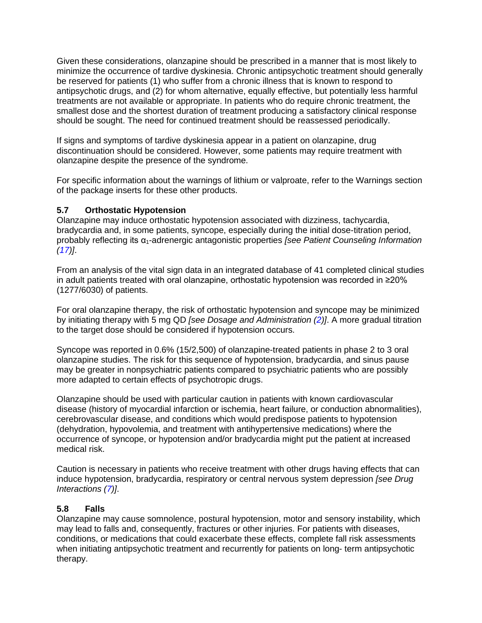Given these considerations, olanzapine should be prescribed in a manner that is most likely to minimize the occurrence of tardive dyskinesia. Chronic antipsychotic treatment should generally be reserved for patients (1) who suffer from a chronic illness that is known to respond to antipsychotic drugs, and (2) for whom alternative, equally effective, but potentially less harmful treatments are not available or appropriate. In patients who do require chronic treatment, the smallest dose and the shortest duration of treatment producing a satisfactory clinical response should be sought. The need for continued treatment should be reassessed periodically.

If signs and symptoms of tardive dyskinesia appear in a patient on olanzapine, drug discontinuation should be considered. However, some patients may require treatment with olanzapine despite the presence of the syndrome.

For specific information about the warnings of lithium or valproate, refer to the Warnings section of the package inserts for these other products.

# <span id="page-17-0"></span>**5.7 Orthostatic Hypotension**

Olanzapine may induce orthostatic hypotension associated with dizziness, tachycardia, bradycardia and, in some patients, syncope, especially during the initial dose-titration period, probably reflecting its α1-adrenergic antagonistic properties *[see Patient Counseling Information [\(17\)](#page-43-0)]*.

From an analysis of the vital sign data in an integrated database of 41 completed clinical studies in adult patients treated with oral olanzapine, orthostatic hypotension was recorded in ≥20% (1277/6030) of patients.

For oral olanzapine therapy, the risk of orthostatic hypotension and syncope may be minimized by initiating therapy with 5 mg QD *[see Dosage and Administration [\(2\)](#page-5-4)]*. A more gradual titration to the target dose should be considered if hypotension occurs.

Syncope was reported in 0.6% (15/2,500) of olanzapine-treated patients in phase 2 to 3 oral olanzapine studies. The risk for this sequence of hypotension, bradycardia, and sinus pause may be greater in nonpsychiatric patients compared to psychiatric patients who are possibly more adapted to certain effects of psychotropic drugs.

Olanzapine should be used with particular caution in patients with known cardiovascular disease (history of myocardial infarction or ischemia, heart failure, or conduction abnormalities), cerebrovascular disease, and conditions which would predispose patients to hypotension (dehydration, hypovolemia, and treatment with antihypertensive medications) where the occurrence of syncope, or hypotension and/or bradycardia might put the patient at increased medical risk.

Caution is necessary in patients who receive treatment with other drugs having effects that can induce hypotension, bradycardia, respiratory or central nervous system depression *[see Drug Interactions [\(7\)](#page-30-2)]*.

# <span id="page-17-1"></span>**5.8 Falls**

Olanzapine may cause somnolence, postural hypotension, motor and sensory instability, which may lead to falls and, consequently, fractures or other injuries. For patients with diseases, conditions, or medications that could exacerbate these effects, complete fall risk assessments when initiating antipsychotic treatment and recurrently for patients on long- term antipsychotic therapy.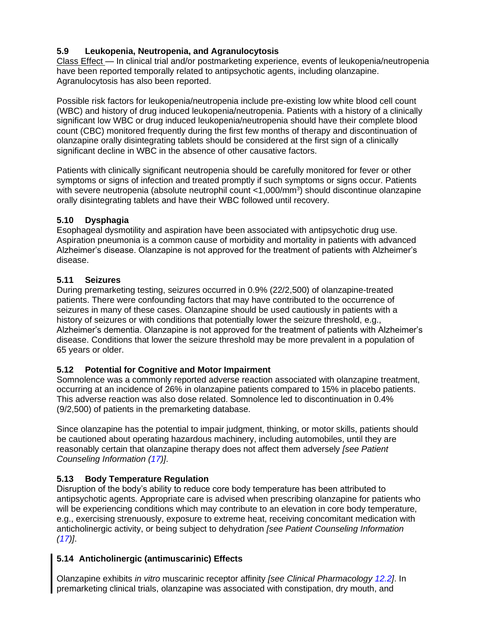# <span id="page-18-1"></span>**5.9 Leukopenia, Neutropenia, and Agranulocytosis**

Class Effect — In clinical trial and/or postmarketing experience, events of leukopenia/neutropenia have been reported temporally related to antipsychotic agents, including olanzapine. Agranulocytosis has also been reported.

Possible risk factors for leukopenia/neutropenia include pre-existing low white blood cell count (WBC) and history of drug induced leukopenia/neutropenia. Patients with a history of a clinically significant low WBC or drug induced leukopenia/neutropenia should have their complete blood count (CBC) monitored frequently during the first few months of therapy and discontinuation of olanzapine orally disintegrating tablets should be considered at the first sign of a clinically significant decline in WBC in the absence of other causative factors.

Patients with clinically significant neutropenia should be carefully monitored for fever or other symptoms or signs of infection and treated promptly if such symptoms or signs occur. Patients with severe neutropenia (absolute neutrophil count <1,000/mm<sup>3</sup>) should discontinue olanzapine orally disintegrating tablets and have their WBC followed until recovery.

# <span id="page-18-4"></span>**5.10 Dysphagia**

Esophageal dysmotility and aspiration have been associated with antipsychotic drug use. Aspiration pneumonia is a common cause of morbidity and mortality in patients with advanced Alzheimer's disease. Olanzapine is not approved for the treatment of patients with Alzheimer's disease.

# <span id="page-18-2"></span>**5.11 Seizures**

During premarketing testing, seizures occurred in 0.9% (22/2,500) of olanzapine-treated patients. There were confounding factors that may have contributed to the occurrence of seizures in many of these cases. Olanzapine should be used cautiously in patients with a history of seizures or with conditions that potentially lower the seizure threshold, e.g., Alzheimer's dementia. Olanzapine is not approved for the treatment of patients with Alzheimer's disease. Conditions that lower the seizure threshold may be more prevalent in a population of 65 years or older.

# <span id="page-18-3"></span>**5.12 Potential for Cognitive and Motor Impairment**

Somnolence was a commonly reported adverse reaction associated with olanzapine treatment, occurring at an incidence of 26% in olanzapine patients compared to 15% in placebo patients. This adverse reaction was also dose related. Somnolence led to discontinuation in 0.4% (9/2,500) of patients in the premarketing database.

Since olanzapine has the potential to impair judgment, thinking, or motor skills, patients should be cautioned about operating hazardous machinery, including automobiles, until they are reasonably certain that olanzapine therapy does not affect them adversely *[see Patient Counseling Information [\(17\)](#page-43-0)]*.

# <span id="page-18-5"></span>**5.13 Body Temperature Regulation**

Disruption of the body's ability to reduce core body temperature has been attributed to antipsychotic agents. Appropriate care is advised when prescribing olanzapine for patients who will be experiencing conditions which may contribute to an elevation in core body temperature, e.g., exercising strenuously, exposure to extreme heat, receiving concomitant medication with anticholinergic activity, or being subject to dehydration *[see Patient Counseling Information [\(17\)](#page-43-0)]*.

# <span id="page-18-0"></span>**5.14 Anticholinergic (antimuscarinic) Effects**

Olanzapine exhibits *in vitro* muscarinic receptor affinity *[see Clinical Pharmacology [12.2\]](#page-37-2)*. In premarketing clinical trials, olanzapine was associated with constipation, dry mouth, and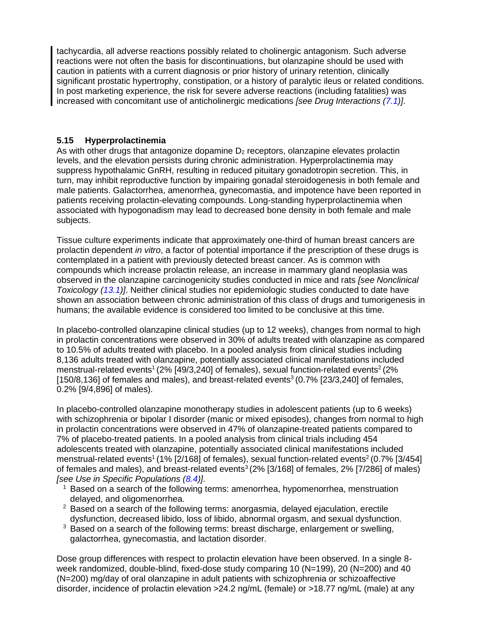tachycardia, all adverse reactions possibly related to cholinergic antagonism. Such adverse reactions were not often the basis for discontinuations, but olanzapine should be used with caution in patients with a current diagnosis or prior history of urinary retention, clinically significant prostatic hypertrophy, constipation, or a history of paralytic ileus or related conditions. In post marketing experience, the risk for severe adverse reactions (including fatalities) was increased with concomitant use of anticholinergic medications *[see Drug Interactions [\(7.1\)](#page-30-0)]*.

# <span id="page-19-0"></span>**5.15 Hyperprolactinemia**

As with other drugs that antagonize dopamine  $D_2$  receptors, olanzapine elevates prolactin levels, and the elevation persists during chronic administration. Hyperprolactinemia may suppress hypothalamic GnRH, resulting in reduced pituitary gonadotropin secretion. This, in turn, may inhibit reproductive function by impairing gonadal steroidogenesis in both female and male patients. Galactorrhea, amenorrhea, gynecomastia, and impotence have been reported in patients receiving prolactin-elevating compounds. Long-standing hyperprolactinemia when associated with hypogonadism may lead to decreased bone density in both female and male subjects.

Tissue culture experiments indicate that approximately one-third of human breast cancers are prolactin dependent *in vitro*, a factor of potential importance if the prescription of these drugs is contemplated in a patient with previously detected breast cancer. As is common with compounds which increase prolactin release, an increase in mammary gland neoplasia was observed in the olanzapine carcinogenicity studies conducted in mice and rats *[see Nonclinical Toxicology [\(13.1\)](#page-38-1)]*. Neither clinical studies nor epidemiologic studies conducted to date have shown an association between chronic administration of this class of drugs and tumorigenesis in humans; the available evidence is considered too limited to be conclusive at this time.

In placebo-controlled olanzapine clinical studies (up to 12 weeks), changes from normal to high in prolactin concentrations were observed in 30% of adults treated with olanzapine as compared to 10.5% of adults treated with placebo. In a pooled analysis from clinical studies including 8,136 adults treated with olanzapine, potentially associated clinical manifestations included menstrual-related events<sup>1</sup> (2% [49/3,240] of females), sexual function-related events<sup>2</sup> (2% [150/8,136] of females and males), and breast-related events<sup>3</sup> (0.7% [23/3,240] of females, 0.2% [9/4,896] of males).

In placebo-controlled olanzapine monotherapy studies in adolescent patients (up to 6 weeks) with schizophrenia or bipolar I disorder (manic or mixed episodes), changes from normal to high in prolactin concentrations were observed in 47% of olanzapine-treated patients compared to 7% of placebo-treated patients. In a pooled analysis from clinical trials including 454 adolescents treated with olanzapine, potentially associated clinical manifestations included menstrual-related events<sup>1</sup> (1% [2/168] of females), sexual function-related events<sup>2</sup> (0.7% [3/454] of females and males), and breast-related events<sup>3</sup> (2% [3/168] of females, 2% [7/286] of males) *[see Use in Specific Populations [\(8.4\)](#page-34-0)]*.

- <sup>1</sup> Based on a search of the following terms: amenorrhea, hypomenorrhea, menstruation delayed, and oligomenorrhea.
- <sup>2</sup> Based on a search of the following terms: anorgasmia, delayed ejaculation, erectile dysfunction, decreased libido, loss of libido, abnormal orgasm, and sexual dysfunction.
- $3$  Based on a search of the following terms: breast discharge, enlargement or swelling, galactorrhea, gynecomastia, and lactation disorder.

Dose group differences with respect to prolactin elevation have been observed. In a single 8 week randomized, double-blind, fixed-dose study comparing 10 (N=199), 20 (N=200) and 40 (N=200) mg/day of oral olanzapine in adult patients with schizophrenia or schizoaffective disorder, incidence of prolactin elevation >24.2 ng/mL (female) or >18.77 ng/mL (male) at any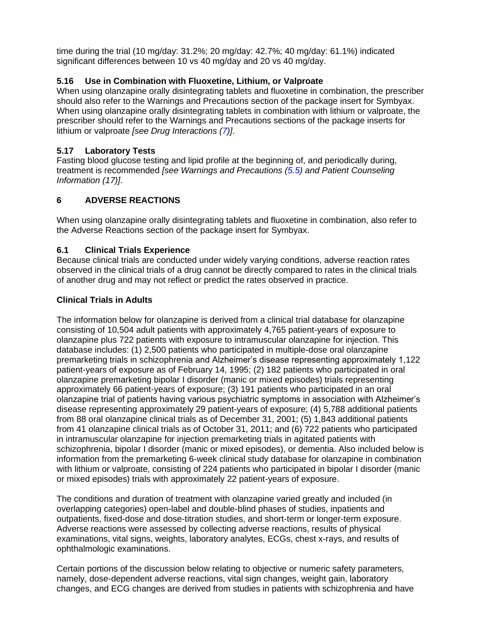time during the trial (10 mg/day: 31.2%; 20 mg/day: 42.7%; 40 mg/day: 61.1%) indicated significant differences between 10 vs 40 mg/day and 20 vs 40 mg/day.

# <span id="page-20-0"></span>**5.16 Use in Combination with Fluoxetine, Lithium, or Valproate**

When using olanzapine orally disintegrating tablets and fluoxetine in combination, the prescriber should also refer to the Warnings and Precautions section of the package insert for Symbyax. When using olanzapine orally disintegrating tablets in combination with lithium or valproate, the prescriber should refer to the Warnings and Precautions sections of the package inserts for lithium or valproate *[see Drug Interactions [\(7\)](#page-30-2)]*.

# <span id="page-20-1"></span>**5.17 Laboratory Tests**

Fasting blood glucose testing and lipid profile at the beginning of, and periodically during, treatment is recommended *[see Warnings and Precautions [\(5.5\)](#page-11-0) and Patient Counseling Information (17)]*.

# <span id="page-20-3"></span>**6 ADVERSE REACTIONS**

When using olanzapine orally disintegrating tablets and fluoxetine in combination, also refer to the Adverse Reactions section of the package insert for Symbyax.

# <span id="page-20-2"></span>**6.1 Clinical Trials Experience**

Because clinical trials are conducted under widely varying conditions, adverse reaction rates observed in the clinical trials of a drug cannot be directly compared to rates in the clinical trials of another drug and may not reflect or predict the rates observed in practice.

# **Clinical Trials in Adults**

The information below for olanzapine is derived from a clinical trial database for olanzapine consisting of 10,504 adult patients with approximately 4,765 patient-years of exposure to olanzapine plus 722 patients with exposure to intramuscular olanzapine for injection. This database includes: (1) 2,500 patients who participated in multiple-dose oral olanzapine premarketing trials in schizophrenia and Alzheimer's disease representing approximately 1,122 patient-years of exposure as of February 14, 1995; (2) 182 patients who participated in oral olanzapine premarketing bipolar I disorder (manic or mixed episodes) trials representing approximately 66 patient-years of exposure; (3) 191 patients who participated in an oral olanzapine trial of patients having various psychiatric symptoms in association with Alzheimer's disease representing approximately 29 patient-years of exposure; (4) 5,788 additional patients from 88 oral olanzapine clinical trials as of December 31, 2001; (5) 1,843 additional patients from 41 olanzapine clinical trials as of October 31, 2011; and (6) 722 patients who participated in intramuscular olanzapine for injection premarketing trials in agitated patients with schizophrenia, bipolar I disorder (manic or mixed episodes), or dementia. Also included below is information from the premarketing 6-week clinical study database for olanzapine in combination with lithium or valproate, consisting of 224 patients who participated in bipolar I disorder (manic or mixed episodes) trials with approximately 22 patient-years of exposure.

The conditions and duration of treatment with olanzapine varied greatly and included (in overlapping categories) open-label and double-blind phases of studies, inpatients and outpatients, fixed-dose and dose-titration studies, and short-term or longer-term exposure. Adverse reactions were assessed by collecting adverse reactions, results of physical examinations, vital signs, weights, laboratory analytes, ECGs, chest x-rays, and results of ophthalmologic examinations.

Certain portions of the discussion below relating to objective or numeric safety parameters, namely, dose-dependent adverse reactions, vital sign changes, weight gain, laboratory changes, and ECG changes are derived from studies in patients with schizophrenia and have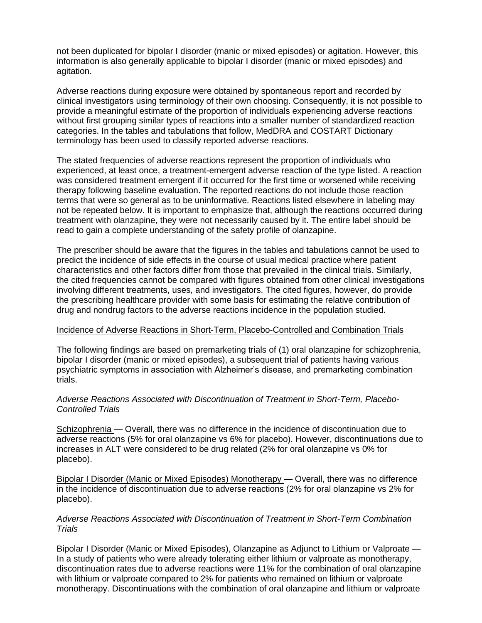not been duplicated for bipolar I disorder (manic or mixed episodes) or agitation. However, this information is also generally applicable to bipolar I disorder (manic or mixed episodes) and agitation.

Adverse reactions during exposure were obtained by spontaneous report and recorded by clinical investigators using terminology of their own choosing. Consequently, it is not possible to provide a meaningful estimate of the proportion of individuals experiencing adverse reactions without first grouping similar types of reactions into a smaller number of standardized reaction categories. In the tables and tabulations that follow, MedDRA and COSTART Dictionary terminology has been used to classify reported adverse reactions.

The stated frequencies of adverse reactions represent the proportion of individuals who experienced, at least once, a treatment-emergent adverse reaction of the type listed. A reaction was considered treatment emergent if it occurred for the first time or worsened while receiving therapy following baseline evaluation. The reported reactions do not include those reaction terms that were so general as to be uninformative. Reactions listed elsewhere in labeling may not be repeated below. It is important to emphasize that, although the reactions occurred during treatment with olanzapine, they were not necessarily caused by it. The entire label should be read to gain a complete understanding of the safety profile of olanzapine.

The prescriber should be aware that the figures in the tables and tabulations cannot be used to predict the incidence of side effects in the course of usual medical practice where patient characteristics and other factors differ from those that prevailed in the clinical trials. Similarly, the cited frequencies cannot be compared with figures obtained from other clinical investigations involving different treatments, uses, and investigators. The cited figures, however, do provide the prescribing healthcare provider with some basis for estimating the relative contribution of drug and nondrug factors to the adverse reactions incidence in the population studied.

#### Incidence of Adverse Reactions in Short-Term, Placebo-Controlled and Combination Trials

The following findings are based on premarketing trials of (1) oral olanzapine for schizophrenia, bipolar I disorder (manic or mixed episodes), a subsequent trial of patients having various psychiatric symptoms in association with Alzheimer's disease, and premarketing combination trials.

### *Adverse Reactions Associated with Discontinuation of Treatment in Short-Term, Placebo-Controlled Trials*

Schizophrenia — Overall, there was no difference in the incidence of discontinuation due to adverse reactions (5% for oral olanzapine vs 6% for placebo). However, discontinuations due to increases in ALT were considered to be drug related (2% for oral olanzapine vs 0% for placebo).

Bipolar I Disorder (Manic or Mixed Episodes) Monotherapy — Overall, there was no difference in the incidence of discontinuation due to adverse reactions (2% for oral olanzapine vs 2% for placebo).

### *Adverse Reactions Associated with Discontinuation of Treatment in Short-Term Combination Trials*

Bipolar I Disorder (Manic or Mixed Episodes), Olanzapine as Adjunct to Lithium or Valproate — In a study of patients who were already tolerating either lithium or valproate as monotherapy, discontinuation rates due to adverse reactions were 11% for the combination of oral olanzapine with lithium or valproate compared to 2% for patients who remained on lithium or valproate monotherapy. Discontinuations with the combination of oral olanzapine and lithium or valproate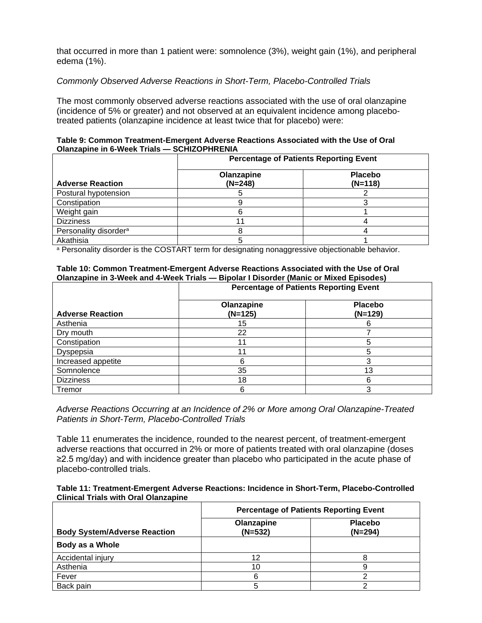that occurred in more than 1 patient were: somnolence (3%), weight gain (1%), and peripheral edema (1%).

### *Commonly Observed Adverse Reactions in Short-Term, Placebo-Controlled Trials*

The most commonly observed adverse reactions associated with the use of oral olanzapine (incidence of 5% or greater) and not observed at an equivalent incidence among placebotreated patients (olanzapine incidence at least twice that for placebo) were:

#### **Table 9: Common Treatment-Emergent Adverse Reactions Associated with the Use of Oral Olanzapine in 6-Week Trials — SCHIZOPHRENIA**

|                                   | <b>Percentage of Patients Reporting Event</b> |                             |  |  |
|-----------------------------------|-----------------------------------------------|-----------------------------|--|--|
| <b>Adverse Reaction</b>           | Olanzapine<br>$(N=248)$                       | <b>Placebo</b><br>$(N=118)$ |  |  |
| Postural hypotension              |                                               |                             |  |  |
| Constipation                      |                                               |                             |  |  |
| Weight gain                       |                                               |                             |  |  |
| <b>Dizziness</b>                  |                                               |                             |  |  |
| Personality disorder <sup>a</sup> |                                               |                             |  |  |
| Akathisia                         |                                               |                             |  |  |

a Personality disorder is the COSTART term for designating nonaggressive objectionable behavior.

### **Table 10: Common Treatment-Emergent Adverse Reactions Associated with the Use of Oral Olanzapine in 3-Week and 4-Week Trials — Bipolar I Disorder (Manic or Mixed Episodes)**

|                         | <b>Percentage of Patients Reporting Event</b> |                           |  |  |  |
|-------------------------|-----------------------------------------------|---------------------------|--|--|--|
| <b>Adverse Reaction</b> | Olanzapine<br>(N=125)                         | <b>Placebo</b><br>(N=129) |  |  |  |
| Asthenia                | 15                                            | 6                         |  |  |  |
| Dry mouth               | 22                                            |                           |  |  |  |
| Constipation            |                                               |                           |  |  |  |
| Dyspepsia               | 11                                            | 5                         |  |  |  |
| Increased appetite      |                                               |                           |  |  |  |
| Somnolence              | 35                                            | 13                        |  |  |  |
| <b>Dizziness</b>        | 18                                            | 6                         |  |  |  |
| Tremor                  |                                               |                           |  |  |  |

*Adverse Reactions Occurring at an Incidence of 2% or More among Oral Olanzapine-Treated Patients in Short-Term, Placebo-Controlled Trials*

Table 11 enumerates the incidence, rounded to the nearest percent, of treatment-emergent adverse reactions that occurred in 2% or more of patients treated with oral olanzapine (doses ≥2.5 mg/day) and with incidence greater than placebo who participated in the acute phase of placebo-controlled trials.

| Table 11: Treatment-Emergent Adverse Reactions: Incidence in Short-Term, Placebo-Controlled |  |
|---------------------------------------------------------------------------------------------|--|
| <b>Clinical Trials with Oral Olanzapine</b>                                                 |  |

|                                     | <b>Percentage of Patients Reporting Event</b> |                             |  |  |  |
|-------------------------------------|-----------------------------------------------|-----------------------------|--|--|--|
| <b>Body System/Adverse Reaction</b> | Olanzapine<br>$(N=532)$                       | <b>Placebo</b><br>$(N=294)$ |  |  |  |
| Body as a Whole                     |                                               |                             |  |  |  |
| Accidental injury                   | 12                                            |                             |  |  |  |
| Asthenia                            | 10                                            |                             |  |  |  |
| Fever                               |                                               |                             |  |  |  |
| Back pain                           |                                               |                             |  |  |  |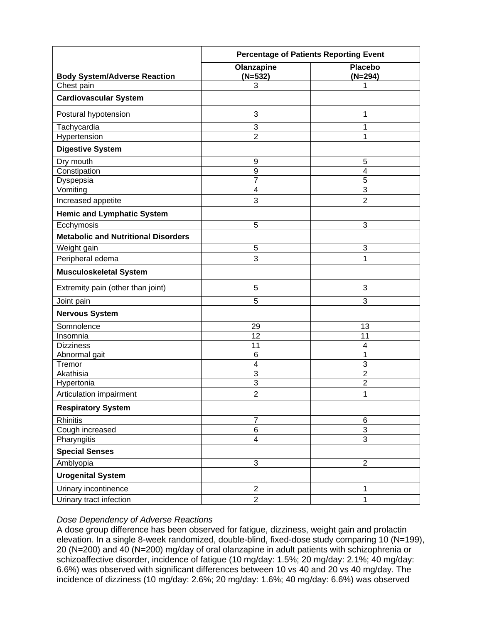|                                                   | <b>Percentage of Patients Reporting Event</b> |                                  |  |
|---------------------------------------------------|-----------------------------------------------|----------------------------------|--|
|                                                   | Olanzapine                                    | <b>Placebo</b>                   |  |
| <b>Body System/Adverse Reaction</b><br>Chest pain | $(N=532)$<br>3                                | $(N=294)$<br>1                   |  |
|                                                   |                                               |                                  |  |
| <b>Cardiovascular System</b>                      |                                               |                                  |  |
| Postural hypotension                              | 3                                             | 1                                |  |
| Tachycardia                                       | 3                                             | 1                                |  |
| Hypertension                                      | $\overline{2}$                                | 1                                |  |
| <b>Digestive System</b>                           |                                               |                                  |  |
| Dry mouth                                         | 9                                             | 5                                |  |
| Constipation                                      | 9                                             | 4                                |  |
| Dyspepsia                                         | 7                                             | 5                                |  |
| Vomiting                                          | 4                                             | 3                                |  |
| Increased appetite                                | 3                                             | $\overline{2}$                   |  |
| <b>Hemic and Lymphatic System</b>                 |                                               |                                  |  |
| Ecchymosis                                        | 5                                             | 3                                |  |
| <b>Metabolic and Nutritional Disorders</b>        |                                               |                                  |  |
| Weight gain                                       | 5                                             | 3                                |  |
| Peripheral edema                                  | 3                                             | 1                                |  |
| <b>Musculoskeletal System</b>                     |                                               |                                  |  |
| Extremity pain (other than joint)                 | 5                                             | 3                                |  |
| Joint pain                                        | 5                                             | 3                                |  |
| <b>Nervous System</b>                             |                                               |                                  |  |
| Somnolence                                        | 29                                            | 13                               |  |
| Insomnia                                          | 12                                            | 11                               |  |
| <b>Dizziness</b>                                  | 11                                            | 4                                |  |
| Abnormal gait                                     | 6                                             | 1                                |  |
| Tremor                                            | $\overline{\mathbf{4}}$                       | 3                                |  |
| Akathisia                                         | 3<br>3                                        | $\overline{2}$<br>$\overline{c}$ |  |
| Hypertonia                                        |                                               |                                  |  |
| Articulation impairment                           | $\overline{2}$                                | 1                                |  |
| <b>Respiratory System</b>                         |                                               |                                  |  |
| Rhinitis                                          | 7                                             | 6                                |  |
| Cough increased                                   | 6                                             | 3                                |  |
| Pharyngitis                                       | $\overline{\mathbf{4}}$                       | 3                                |  |
| <b>Special Senses</b>                             |                                               |                                  |  |
| Amblyopia                                         | $\sqrt{3}$                                    | $\overline{2}$                   |  |
| <b>Urogenital System</b>                          |                                               |                                  |  |
| Urinary incontinence                              | $\overline{2}$                                | $\mathbf{1}$                     |  |
| Urinary tract infection                           | $\overline{2}$                                | 1                                |  |

# *Dose Dependency of Adverse Reactions*

A dose group difference has been observed for fatigue, dizziness, weight gain and prolactin elevation. In a single 8-week randomized, double-blind, fixed-dose study comparing 10 (N=199), 20 (N=200) and 40 (N=200) mg/day of oral olanzapine in adult patients with schizophrenia or schizoaffective disorder, incidence of fatigue (10 mg/day: 1.5%; 20 mg/day: 2.1%; 40 mg/day: 6.6%) was observed with significant differences between 10 vs 40 and 20 vs 40 mg/day. The incidence of dizziness (10 mg/day: 2.6%; 20 mg/day: 1.6%; 40 mg/day: 6.6%) was observed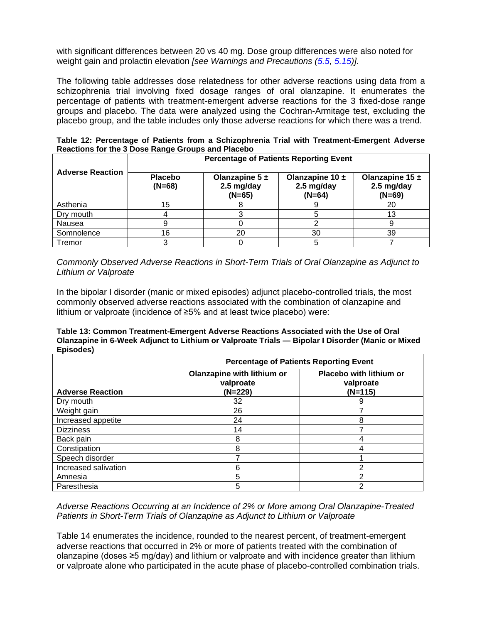with significant differences between 20 vs 40 mg. Dose group differences were also noted for weight gain and prolactin elevation *[see Warnings and Precautions [\(5.5,](#page-11-0) [5.15\)](#page-19-0)]*.

The following table addresses dose relatedness for other adverse reactions using data from a schizophrenia trial involving fixed dosage ranges of oral olanzapine. It enumerates the percentage of patients with treatment-emergent adverse reactions for the 3 fixed-dose range groups and placebo. The data were analyzed using the Cochran-Armitage test, excluding the placebo group, and the table includes only those adverse reactions for which there was a trend.

|  |                                                          |  |  |  | Table 12: Percentage of Patients from a Schizophrenia Trial with Treatment-Emergent Adverse |  |
|--|----------------------------------------------------------|--|--|--|---------------------------------------------------------------------------------------------|--|
|  | <b>Reactions for the 3 Dose Range Groups and Placebo</b> |  |  |  |                                                                                             |  |

|            | <b>Percentage of Patients Reporting Event</b>                                                        |    |                                           |                                               |  |  |
|------------|------------------------------------------------------------------------------------------------------|----|-------------------------------------------|-----------------------------------------------|--|--|
|            | <b>Adverse Reaction</b><br>Olanzapine $5\pm$<br><b>Placebo</b><br>2.5 mg/day<br>$(N=68)$<br>$(N=65)$ |    | Olanzapine 10 ±<br>2.5 mg/day<br>$(N=64)$ | Olanzapine 15 $\pm$<br>2.5 mg/day<br>$(N=69)$ |  |  |
| Asthenia   | 15                                                                                                   |    |                                           | 20                                            |  |  |
| Dry mouth  |                                                                                                      |    |                                           | 13                                            |  |  |
| Nausea     |                                                                                                      |    |                                           |                                               |  |  |
| Somnolence | 16                                                                                                   | 20 | 30                                        | 39                                            |  |  |
| Tremor     |                                                                                                      |    |                                           |                                               |  |  |

*Commonly Observed Adverse Reactions in Short-Term Trials of Oral Olanzapine as Adjunct to Lithium or Valproate* 

In the bipolar I disorder (manic or mixed episodes) adjunct placebo-controlled trials, the most commonly observed adverse reactions associated with the combination of olanzapine and lithium or valproate (incidence of ≥5% and at least twice placebo) were:

**Table 13: Common Treatment-Emergent Adverse Reactions Associated with the Use of Oral Olanzapine in 6-Week Adjunct to Lithium or Valproate Trials — Bipolar I Disorder (Manic or Mixed Episodes)**

|                         | <b>Percentage of Patients Reporting Event</b>      |                                                   |  |  |
|-------------------------|----------------------------------------------------|---------------------------------------------------|--|--|
| <b>Adverse Reaction</b> | Olanzapine with lithium or<br>valproate<br>(N=229) | Placebo with lithium or<br>valproate<br>$(N=115)$ |  |  |
| Dry mouth               | 32                                                 | 9                                                 |  |  |
| Weight gain             | 26                                                 |                                                   |  |  |
| Increased appetite      | 24                                                 | 8                                                 |  |  |
| <b>Dizziness</b>        | 14                                                 |                                                   |  |  |
| Back pain               | 8                                                  |                                                   |  |  |
| Constipation            | 8                                                  |                                                   |  |  |
| Speech disorder         |                                                    |                                                   |  |  |
| Increased salivation    | 6                                                  | າ                                                 |  |  |
| Amnesia                 |                                                    | ⌒                                                 |  |  |
| Paresthesia             |                                                    | 2                                                 |  |  |

*Adverse Reactions Occurring at an Incidence of 2% or More among Oral Olanzapine-Treated Patients in Short-Term Trials of Olanzapine as Adjunct to Lithium or Valproate* 

Table 14 enumerates the incidence, rounded to the nearest percent, of treatment-emergent adverse reactions that occurred in 2% or more of patients treated with the combination of olanzapine (doses ≥5 mg/day) and lithium or valproate and with incidence greater than lithium or valproate alone who participated in the acute phase of placebo-controlled combination trials.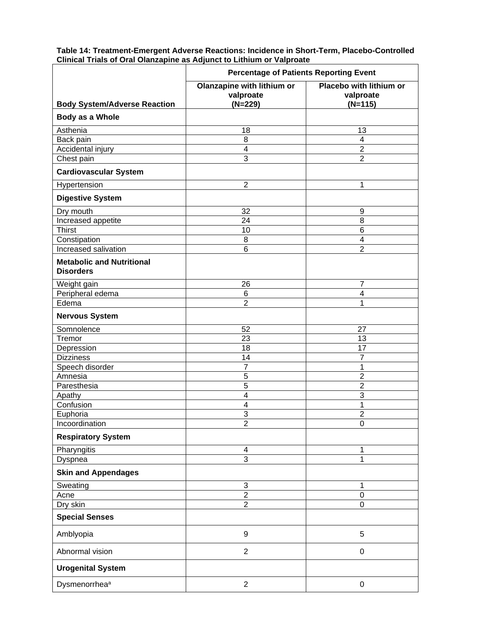|                                                      | <b>Percentage of Patients Reporting Event</b>               |                                                   |  |  |  |
|------------------------------------------------------|-------------------------------------------------------------|---------------------------------------------------|--|--|--|
| <b>Body System/Adverse Reaction</b>                  | <b>Olanzapine with lithium or</b><br>valproate<br>$(N=229)$ | Placebo with lithium or<br>valproate<br>$(N=115)$ |  |  |  |
| Body as a Whole                                      |                                                             |                                                   |  |  |  |
| Asthenia                                             | 18                                                          | 13                                                |  |  |  |
| Back pain                                            | 8                                                           | $\overline{\mathbf{4}}$                           |  |  |  |
| Accidental injury                                    | 4                                                           | $\overline{c}$                                    |  |  |  |
| Chest pain                                           | 3                                                           | $\overline{2}$                                    |  |  |  |
| <b>Cardiovascular System</b>                         |                                                             |                                                   |  |  |  |
| Hypertension                                         | $\overline{2}$                                              | 1                                                 |  |  |  |
| <b>Digestive System</b>                              |                                                             |                                                   |  |  |  |
| Dry mouth                                            | 32                                                          | 9                                                 |  |  |  |
| Increased appetite                                   | $\overline{24}$                                             | 8                                                 |  |  |  |
| <b>Thirst</b>                                        | 10                                                          | 6                                                 |  |  |  |
| Constipation                                         | 8                                                           | 4                                                 |  |  |  |
| Increased salivation                                 | 6                                                           | $\overline{2}$                                    |  |  |  |
| <b>Metabolic and Nutritional</b><br><b>Disorders</b> |                                                             |                                                   |  |  |  |
| Weight gain                                          | 26                                                          | $\overline{7}$                                    |  |  |  |
| Peripheral edema                                     | $6\phantom{1}6$                                             | 4                                                 |  |  |  |
| Edema                                                | $\overline{2}$                                              | 1                                                 |  |  |  |
| <b>Nervous System</b>                                |                                                             |                                                   |  |  |  |
| Somnolence                                           | 52                                                          | 27                                                |  |  |  |
| Tremor                                               | $\overline{23}$                                             | 13                                                |  |  |  |
| Depression                                           | 18                                                          | 17                                                |  |  |  |
| <b>Dizziness</b>                                     | $\overline{14}$                                             | 7                                                 |  |  |  |
| Speech disorder                                      | $\overline{7}$                                              | 1                                                 |  |  |  |
| Amnesia<br>Paresthesia                               | $\overline{5}$<br>5                                         | $\overline{2}$                                    |  |  |  |
|                                                      | $\overline{4}$                                              | $\overline{c}$<br>3                               |  |  |  |
| Apathy<br>Confusion                                  | 4                                                           | 1                                                 |  |  |  |
| Euphoria                                             | 3                                                           | $\overline{c}$                                    |  |  |  |
| Incoordination                                       | $\overline{2}$                                              | $\mathbf 0$                                       |  |  |  |
| <b>Respiratory System</b>                            |                                                             |                                                   |  |  |  |
| Pharyngitis                                          | 4                                                           | 1                                                 |  |  |  |
| Dyspnea                                              | $\overline{3}$                                              | 1                                                 |  |  |  |
| <b>Skin and Appendages</b>                           |                                                             |                                                   |  |  |  |
| Sweating                                             | $\sqrt{3}$                                                  | 1                                                 |  |  |  |
| Acne                                                 | $\overline{c}$                                              | $\pmb{0}$                                         |  |  |  |
| Dry skin                                             | $\overline{2}$                                              | $\mathbf 0$                                       |  |  |  |
| <b>Special Senses</b>                                |                                                             |                                                   |  |  |  |
| Amblyopia                                            | $\boldsymbol{9}$                                            | 5                                                 |  |  |  |
| Abnormal vision                                      | $\overline{2}$                                              | $\mathsf 0$                                       |  |  |  |
| <b>Urogenital System</b>                             |                                                             |                                                   |  |  |  |
| Dysmenorrhea <sup>a</sup>                            | $\overline{2}$                                              | $\pmb{0}$                                         |  |  |  |

**Table 14: Treatment-Emergent Adverse Reactions: Incidence in Short-Term, Placebo-Controlled Clinical Trials of Oral Olanzapine as Adjunct to Lithium or Valproate**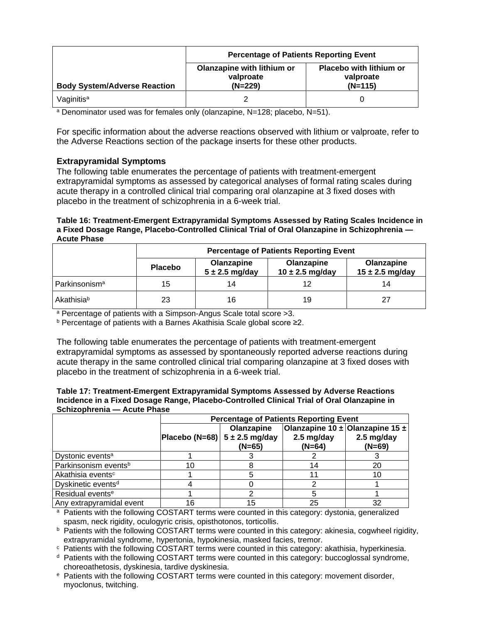|                                     | <b>Percentage of Patients Reporting Event</b>      |                                                        |  |  |  |
|-------------------------------------|----------------------------------------------------|--------------------------------------------------------|--|--|--|
| <b>Body System/Adverse Reaction</b> | Olanzapine with lithium or<br>valproate<br>(N=229) | <b>Placebo with lithium or</b><br>valproate<br>(N=115) |  |  |  |
| Vaginitis <sup>a</sup>              |                                                    |                                                        |  |  |  |

<sup>a</sup> Denominator used was for females only (olanzapine, N=128; placebo, N=51).

For specific information about the adverse reactions observed with lithium or valproate, refer to the Adverse Reactions section of the package inserts for these other products.

# **Extrapyramidal Symptoms**

The following table enumerates the percentage of patients with treatment-emergent extrapyramidal symptoms as assessed by categorical analyses of formal rating scales during acute therapy in a controlled clinical trial comparing oral olanzapine at 3 fixed doses with placebo in the treatment of schizophrenia in a 6-week trial.

**Table 16: Treatment-Emergent Extrapyramidal Symptoms Assessed by Rating Scales Incidence in a Fixed Dosage Range, Placebo-Controlled Clinical Trial of Oral Olanzapine in Schizophrenia — Acute Phase**

|                           | <b>Percentage of Patients Reporting Event</b> |                                  |                                   |                                   |  |  |  |
|---------------------------|-----------------------------------------------|----------------------------------|-----------------------------------|-----------------------------------|--|--|--|
|                           | <b>Placebo</b>                                | Olanzapine<br>$5 \pm 2.5$ mg/day | Olanzapine<br>$10 \pm 2.5$ mg/day | Olanzapine<br>$15 \pm 2.5$ mg/day |  |  |  |
| Parkinsonism <sup>a</sup> | 15                                            | 14                               |                                   |                                   |  |  |  |
| Akathisia <sup>b</sup>    | 23                                            | 16                               | 19                                |                                   |  |  |  |

<sup>a</sup> Percentage of patients with a Simpson-Angus Scale total score >3.

<sup>b</sup> Percentage of patients with a Barnes Akathisia Scale global score ≥2.

The following table enumerates the percentage of patients with treatment-emergent extrapyramidal symptoms as assessed by spontaneously reported adverse reactions during acute therapy in the same controlled clinical trial comparing olanzapine at 3 fixed doses with placebo in the treatment of schizophrenia in a 6-week trial.

**Table 17: Treatment-Emergent Extrapyramidal Symptoms Assessed by Adverse Reactions Incidence in a Fixed Dosage Range, Placebo-Controlled Clinical Trial of Oral Olanzapine in Schizophrenia — Acute Phase**

|                                  | <b>Percentage of Patients Reporting Event</b> |                        |                                                                   |                        |  |  |  |
|----------------------------------|-----------------------------------------------|------------------------|-------------------------------------------------------------------|------------------------|--|--|--|
|                                  | Placebo (N=68) $5 \pm 2.5$ mg/day             | Olanzapine<br>$(N=65)$ | Olanzapine 10 $\pm$ Olanzapine 15 $\pm$<br>2.5 mg/day<br>$(N=64)$ | 2.5 mg/day<br>$(N=69)$ |  |  |  |
| Dystonic events <sup>a</sup>     |                                               |                        |                                                                   |                        |  |  |  |
| Parkinsonism events <sup>b</sup> | 10                                            |                        | 14                                                                | 20                     |  |  |  |
| Akathisia events <sup>c</sup>    |                                               |                        |                                                                   | 10                     |  |  |  |
| Dyskinetic events <sup>d</sup>   |                                               |                        |                                                                   |                        |  |  |  |
| Residual events <sup>e</sup>     |                                               |                        | 5                                                                 |                        |  |  |  |
| Any extrapyramidal event         | 16                                            | 15                     | 25                                                                | 32                     |  |  |  |

<sup>a</sup> Patients with the following COSTART terms were counted in this category: dystonia, generalized spasm, neck rigidity, oculogyric crisis, opisthotonos, torticollis.

<sup>b</sup> Patients with the following COSTART terms were counted in this category: akinesia, cogwheel rigidity, extrapyramidal syndrome, hypertonia, hypokinesia, masked facies, tremor.

 $\degree$  Patients with the following COSTART terms were counted in this category: akathisia, hyperkinesia.

<sup>d</sup> Patients with the following COSTART terms were counted in this category: buccoglossal syndrome, choreoathetosis, dyskinesia, tardive dyskinesia.

<sup>e</sup> Patients with the following COSTART terms were counted in this category: movement disorder, myoclonus, twitching.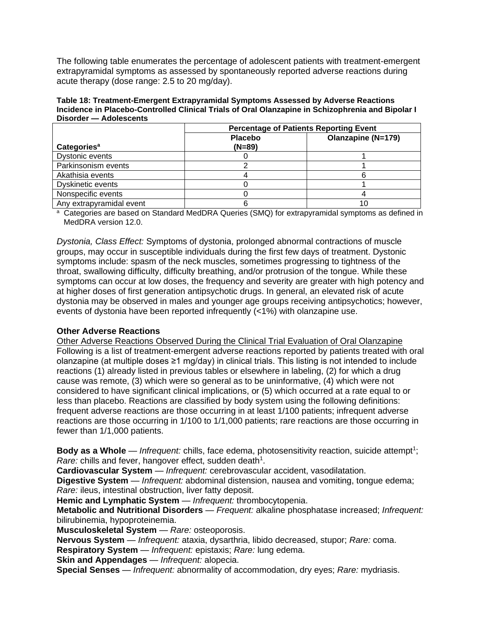The following table enumerates the percentage of adolescent patients with treatment-emergent extrapyramidal symptoms as assessed by spontaneously reported adverse reactions during acute therapy (dose range: 2.5 to 20 mg/day).

| Table 18: Treatment-Emergent Extrapyramidal Symptoms Assessed by Adverse Reactions                |
|---------------------------------------------------------------------------------------------------|
| Incidence in Placebo-Controlled Clinical Trials of Oral Olanzapine in Schizophrenia and Bipolar I |
| Disorder - Adolescents                                                                            |

|                          | <b>Percentage of Patients Reporting Event</b> |                    |  |
|--------------------------|-----------------------------------------------|--------------------|--|
|                          | <b>Placebo</b>                                | Olanzapine (N=179) |  |
| Categories <sup>a</sup>  | $(N=89)$                                      |                    |  |
| Dystonic events          |                                               |                    |  |
| Parkinsonism events      |                                               |                    |  |
| Akathisia events         |                                               |                    |  |
| <b>Dyskinetic events</b> |                                               |                    |  |
| Nonspecific events       |                                               |                    |  |
| Any extrapyramidal event |                                               |                    |  |

a Categories are based on Standard MedDRA Queries (SMQ) for extrapyramidal symptoms as defined in MedDRA version 12.0.

*Dystonia, Class Effect:* Symptoms of dystonia, prolonged abnormal contractions of muscle groups, may occur in susceptible individuals during the first few days of treatment. Dystonic symptoms include: spasm of the neck muscles, sometimes progressing to tightness of the throat, swallowing difficulty, difficulty breathing, and/or protrusion of the tongue. While these symptoms can occur at low doses, the frequency and severity are greater with high potency and at higher doses of first generation antipsychotic drugs. In general, an elevated risk of acute dystonia may be observed in males and younger age groups receiving antipsychotics; however, events of dystonia have been reported infrequently (<1%) with olanzapine use.

# **Other Adverse Reactions**

Other Adverse Reactions Observed During the Clinical Trial Evaluation of Oral Olanzapine Following is a list of treatment-emergent adverse reactions reported by patients treated with oral olanzapine (at multiple doses ≥1 mg/day) in clinical trials. This listing is not intended to include reactions (1) already listed in previous tables or elsewhere in labeling, (2) for which a drug cause was remote, (3) which were so general as to be uninformative, (4) which were not considered to have significant clinical implications, or (5) which occurred at a rate equal to or less than placebo. Reactions are classified by body system using the following definitions: frequent adverse reactions are those occurring in at least 1/100 patients; infrequent adverse reactions are those occurring in 1/100 to 1/1,000 patients; rare reactions are those occurring in fewer than 1/1,000 patients.

Body as a Whole — *Infrequent:* chills, face edema, photosensitivity reaction, suicide attempt<sup>1</sup>; Rare: chills and fever, hangover effect, sudden death<sup>1</sup>.

**Cardiovascular System** — *Infrequent:* cerebrovascular accident, vasodilatation.

**Digestive System** — *Infrequent:* abdominal distension, nausea and vomiting, tongue edema; *Rare:* ileus, intestinal obstruction, liver fatty deposit.

**Hemic and Lymphatic System** — *Infrequent:* thrombocytopenia.

**Metabolic and Nutritional Disorders** — *Frequent:* alkaline phosphatase increased; *Infrequent:* bilirubinemia, hypoproteinemia.

**Musculoskeletal System** — *Rare:* osteoporosis.

**Nervous System** — *Infrequent:* ataxia, dysarthria, libido decreased, stupor; *Rare:* coma. **Respiratory System** — *Infrequent:* epistaxis; *Rare:* lung edema.

**Skin and Appendages** — *Infrequent:* alopecia.

**Special Senses** — *Infrequent:* abnormality of accommodation, dry eyes; *Rare:* mydriasis.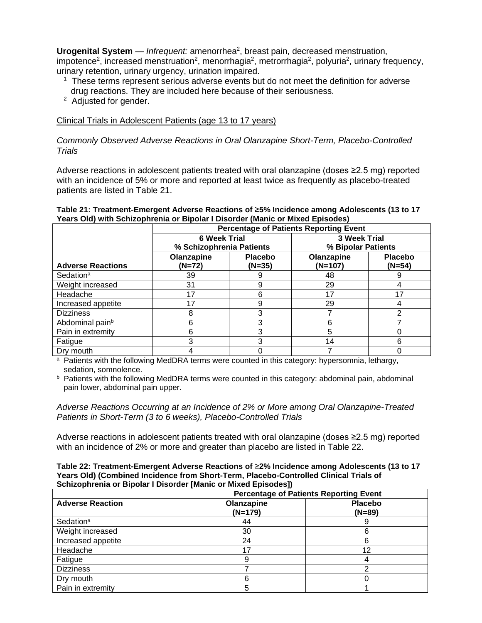Urogenital System — *Infrequent:* amenorrhea<sup>2</sup>, breast pain, decreased menstruation, impotence<sup>2</sup>, increased menstruation<sup>2</sup>, menorrhagia<sup>2</sup>, metrorrhagia<sup>2</sup>, polyuria<sup>2</sup>, urinary frequency, urinary retention, urinary urgency, urination impaired.

- $<sup>1</sup>$  These terms represent serious adverse events but do not meet the definition for adverse</sup> drug reactions. They are included here because of their seriousness.
- <sup>2</sup> Adjusted for gender.

### Clinical Trials in Adolescent Patients (age 13 to 17 years)

### *Commonly Observed Adverse Reactions in Oral Olanzapine Short-Term, Placebo-Controlled Trials*

Adverse reactions in adolescent patients treated with oral olanzapine (doses ≥2.5 mg) reported with an incidence of 5% or more and reported at least twice as frequently as placebo-treated patients are listed in Table 21.

### **Table 21: Treatment-Emergent Adverse Reactions of** ≥**5% Incidence among Adolescents (13 to 17 Years Old) with Schizophrenia or Bipolar I Disorder (Manic or Mixed Episodes)**

|                             | <b>Percentage of Patients Reporting Event</b>   |                            |                                    |                            |
|-----------------------------|-------------------------------------------------|----------------------------|------------------------------------|----------------------------|
|                             | <b>6 Week Trial</b><br>% Schizophrenia Patients |                            | 3 Week Trial<br>% Bipolar Patients |                            |
| <b>Adverse Reactions</b>    | Olanzapine<br>(N=72)                            | <b>Placebo</b><br>$(N=35)$ | Olanzapine<br>(N=107)              | <b>Placebo</b><br>$(N=54)$ |
| Sedation <sup>a</sup>       | 39                                              |                            | 48                                 |                            |
| Weight increased            | 31                                              |                            | 29                                 |                            |
| Headache                    | 17                                              | 6                          | 17                                 | 17                         |
| Increased appetite          | 17                                              | 9                          | 29                                 |                            |
| <b>Dizziness</b>            |                                                 | 3                          |                                    | ົ                          |
| Abdominal pain <sup>b</sup> |                                                 | 3                          |                                    |                            |
| Pain in extremity           | հ                                               |                            | 5                                  |                            |
| Fatigue                     |                                                 | っ                          | 14                                 | 6                          |
| Dry mouth                   |                                                 |                            |                                    |                            |

a Patients with the following MedDRA terms were counted in this category: hypersomnia, lethargy, sedation, somnolence.

 $<sup>b</sup>$  Patients with the following MedDRA terms were counted in this category: abdominal pain, abdominal</sup> pain lower, abdominal pain upper.

*Adverse Reactions Occurring at an Incidence of 2% or More among Oral Olanzapine-Treated Patients in Short-Term (3 to 6 weeks), Placebo-Controlled Trials* 

Adverse reactions in adolescent patients treated with oral olanzapine (doses ≥2.5 mg) reported with an incidence of 2% or more and greater than placebo are listed in Table 22.

#### **Table 22: Treatment-Emergent Adverse Reactions of** ≥**2% Incidence among Adolescents (13 to 17 Years Old) (Combined Incidence from Short-Term, Placebo-Controlled Clinical Trials of Schizophrenia or Bipolar I Disorder [Manic or Mixed Episodes])**

|                         | <b>Percentage of Patients Reporting Event</b> |                            |  |
|-------------------------|-----------------------------------------------|----------------------------|--|
| <b>Adverse Reaction</b> | Olanzapine<br>$(N=179)$                       | <b>Placebo</b><br>$(N=89)$ |  |
| Sedation <sup>a</sup>   | 44                                            |                            |  |
| Weight increased        | 30                                            |                            |  |
| Increased appetite      | 24                                            | n                          |  |
| Headache                |                                               | 12                         |  |
| Fatigue                 | 9                                             |                            |  |
| <b>Dizziness</b>        |                                               |                            |  |
| Dry mouth               | 6                                             |                            |  |
| Pain in extremity       | 5                                             |                            |  |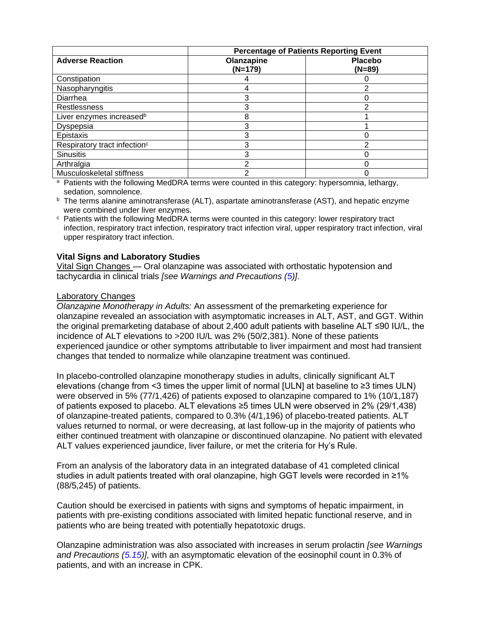|                                          | <b>Percentage of Patients Reporting Event</b> |                          |  |
|------------------------------------------|-----------------------------------------------|--------------------------|--|
| <b>Adverse Reaction</b>                  | Olanzapine<br>$(N=179)$                       | <b>Placebo</b><br>(N=89) |  |
| Constipation                             |                                               |                          |  |
| Nasopharyngitis                          |                                               |                          |  |
| Diarrhea                                 | 3                                             |                          |  |
| Restlessness                             | 3                                             |                          |  |
| Liver enzymes increased <sup>b</sup>     | 8                                             |                          |  |
| Dyspepsia                                | 3                                             |                          |  |
| Epistaxis                                | З                                             |                          |  |
| Respiratory tract infection <sup>c</sup> | 3                                             |                          |  |
| <b>Sinusitis</b>                         |                                               |                          |  |
| Arthralgia                               | ⌒                                             |                          |  |
| Musculoskeletal stiffness                |                                               |                          |  |

<sup>a</sup> Patients with the following MedDRA terms were counted in this category: hypersomnia, lethargy, sedation, somnolence.

b The terms alanine aminotransferase (ALT), aspartate aminotransferase (AST), and hepatic enzyme were combined under liver enzymes.

 $\epsilon$  Patients with the following MedDRA terms were counted in this category: lower respiratory tract infection, respiratory tract infection, respiratory tract infection viral, upper respiratory tract infection, viral upper respiratory tract infection.

### **Vital Signs and Laboratory Studies**

Vital Sign Changes — Oral olanzapine was associated with orthostatic hypotension and tachycardia in clinical trials *[see Warnings and Precautions [\(5\)](#page-9-4)]*.

### Laboratory Changes

*Olanzapine Monotherapy in Adults:* An assessment of the premarketing experience for olanzapine revealed an association with asymptomatic increases in ALT, AST, and GGT. Within the original premarketing database of about 2,400 adult patients with baseline ALT ≤90 IU/L, the incidence of ALT elevations to >200 IU/L was 2% (50/2,381). None of these patients experienced jaundice or other symptoms attributable to liver impairment and most had transient changes that tended to normalize while olanzapine treatment was continued.

In placebo-controlled olanzapine monotherapy studies in adults, clinically significant ALT elevations (change from <3 times the upper limit of normal [ULN] at baseline to ≥3 times ULN) were observed in 5% (77/1,426) of patients exposed to olanzapine compared to 1% (10/1,187) of patients exposed to placebo. ALT elevations ≥5 times ULN were observed in 2% (29/1,438) of olanzapine-treated patients, compared to 0.3% (4/1,196) of placebo-treated patients. ALT values returned to normal, or were decreasing, at last follow-up in the majority of patients who either continued treatment with olanzapine or discontinued olanzapine. No patient with elevated ALT values experienced jaundice, liver failure, or met the criteria for Hy's Rule.

From an analysis of the laboratory data in an integrated database of 41 completed clinical studies in adult patients treated with oral olanzapine, high GGT levels were recorded in ≥1% (88/5,245) of patients.

Caution should be exercised in patients with signs and symptoms of hepatic impairment, in patients with pre-existing conditions associated with limited hepatic functional reserve, and in patients who are being treated with potentially hepatotoxic drugs.

Olanzapine administration was also associated with increases in serum prolactin *[see Warnings and Precautions [\(5.15\)](#page-19-0)]*, with an asymptomatic elevation of the eosinophil count in 0.3% of patients, and with an increase in CPK.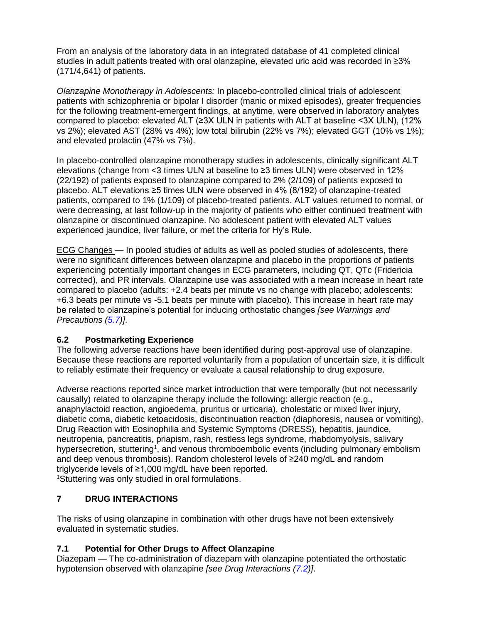From an analysis of the laboratory data in an integrated database of 41 completed clinical studies in adult patients treated with oral olanzapine, elevated uric acid was recorded in ≥3% (171/4,641) of patients.

*Olanzapine Monotherapy in Adolescents:* In placebo-controlled clinical trials of adolescent patients with schizophrenia or bipolar I disorder (manic or mixed episodes), greater frequencies for the following treatment-emergent findings, at anytime, were observed in laboratory analytes compared to placebo: elevated ALT (≥3X ULN in patients with ALT at baseline <3X ULN), (12% vs 2%); elevated AST (28% vs 4%); low total bilirubin (22% vs 7%); elevated GGT (10% vs 1%); and elevated prolactin (47% vs 7%).

In placebo-controlled olanzapine monotherapy studies in adolescents, clinically significant ALT elevations (change from <3 times ULN at baseline to  $\geq$ 3 times ULN) were observed in 12% (22/192) of patients exposed to olanzapine compared to 2% (2/109) of patients exposed to placebo. ALT elevations ≥5 times ULN were observed in 4% (8/192) of olanzapine-treated patients, compared to 1% (1/109) of placebo-treated patients. ALT values returned to normal, or were decreasing, at last follow-up in the majority of patients who either continued treatment with olanzapine or discontinued olanzapine. No adolescent patient with elevated ALT values experienced jaundice, liver failure, or met the criteria for Hy's Rule.

ECG Changes — In pooled studies of adults as well as pooled studies of adolescents, there were no significant differences between olanzapine and placebo in the proportions of patients experiencing potentially important changes in ECG parameters, including QT, QTc (Fridericia corrected), and PR intervals. Olanzapine use was associated with a mean increase in heart rate compared to placebo (adults: +2.4 beats per minute vs no change with placebo; adolescents: +6.3 beats per minute vs -5.1 beats per minute with placebo). This increase in heart rate may be related to olanzapine's potential for inducing orthostatic changes *[see Warnings and Precautions [\(5.7\)](#page-17-0)]*.

# <span id="page-30-1"></span>**6.2 Postmarketing Experience**

The following adverse reactions have been identified during post-approval use of olanzapine. Because these reactions are reported voluntarily from a population of uncertain size, it is difficult to reliably estimate their frequency or evaluate a causal relationship to drug exposure.

Adverse reactions reported since market introduction that were temporally (but not necessarily causally) related to olanzapine therapy include the following: allergic reaction (e.g., anaphylactoid reaction, angioedema, pruritus or urticaria), cholestatic or mixed liver injury, diabetic coma, diabetic ketoacidosis, discontinuation reaction (diaphoresis, nausea or vomiting), Drug Reaction with Eosinophilia and Systemic Symptoms (DRESS), hepatitis, jaundice, neutropenia, pancreatitis, priapism, rash, restless legs syndrome, rhabdomyolysis, salivary hypersecretion, stuttering<sup>1</sup>, and venous thromboembolic events (including pulmonary embolism and deep venous thrombosis). Random cholesterol levels of ≥240 mg/dL and random triglyceride levels of ≥1,000 mg/dL have been reported. <sup>1</sup>Stuttering was only studied in oral formulations.

# <span id="page-30-2"></span>**7 DRUG INTERACTIONS**

The risks of using olanzapine in combination with other drugs have not been extensively evaluated in systematic studies.

# <span id="page-30-0"></span>**7.1 Potential for Other Drugs to Affect Olanzapine**

Diazepam — The co-administration of diazepam with olanzapine potentiated the orthostatic hypotension observed with olanzapine *[see Drug Interactions [\(7.2\)](#page-31-0)]*.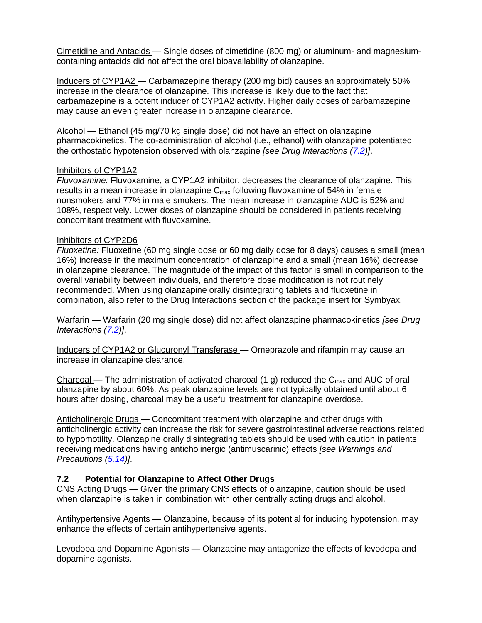Cimetidine and Antacids — Single doses of cimetidine (800 mg) or aluminum- and magnesiumcontaining antacids did not affect the oral bioavailability of olanzapine.

Inducers of CYP1A2 — Carbamazepine therapy (200 mg bid) causes an approximately 50% increase in the clearance of olanzapine. This increase is likely due to the fact that carbamazepine is a potent inducer of CYP1A2 activity. Higher daily doses of carbamazepine may cause an even greater increase in olanzapine clearance.

Alcohol — Ethanol (45 mg/70 kg single dose) did not have an effect on olanzapine pharmacokinetics. The co-administration of alcohol (i.e., ethanol) with olanzapine potentiated the orthostatic hypotension observed with olanzapine *[see Drug Interactions [\(7.2\)](#page-31-0)]*.

### Inhibitors of CYP1A2

*Fluvoxamine:* Fluvoxamine, a CYP1A2 inhibitor, decreases the clearance of olanzapine. This results in a mean increase in olanzapine  $C_{\text{max}}$  following fluvoxamine of 54% in female nonsmokers and 77% in male smokers. The mean increase in olanzapine AUC is 52% and 108%, respectively. Lower doses of olanzapine should be considered in patients receiving concomitant treatment with fluvoxamine.

### Inhibitors of CYP2D6

*Fluoxetine:* Fluoxetine (60 mg single dose or 60 mg daily dose for 8 days) causes a small (mean 16%) increase in the maximum concentration of olanzapine and a small (mean 16%) decrease in olanzapine clearance. The magnitude of the impact of this factor is small in comparison to the overall variability between individuals, and therefore dose modification is not routinely recommended. When using olanzapine orally disintegrating tablets and fluoxetine in combination, also refer to the Drug Interactions section of the package insert for Symbyax.

Warfarin — Warfarin (20 mg single dose) did not affect olanzapine pharmacokinetics *[see Drug Interactions [\(7.2\)](#page-31-0)]*.

Inducers of CYP1A2 or Glucuronyl Transferase — Omeprazole and rifampin may cause an increase in olanzapine clearance.

Charcoal — The administration of activated charcoal (1 g) reduced the  $C_{\text{max}}$  and AUC of oral olanzapine by about 60%. As peak olanzapine levels are not typically obtained until about 6 hours after dosing, charcoal may be a useful treatment for olanzapine overdose.

Anticholinergic Drugs - Concomitant treatment with olanzapine and other drugs with anticholinergic activity can increase the risk for severe gastrointestinal adverse reactions related to hypomotility. Olanzapine orally disintegrating tablets should be used with caution in patients receiving medications having anticholinergic (antimuscarinic) effects *[see Warnings and Precautions (5.14)]*.

# <span id="page-31-0"></span>**7.2 Potential for Olanzapine to Affect Other Drugs**

CNS Acting Drugs — Given the primary CNS effects of olanzapine, caution should be used when olanzapine is taken in combination with other centrally acting drugs and alcohol.

Antihypertensive Agents — Olanzapine, because of its potential for inducing hypotension, may enhance the effects of certain antihypertensive agents.

Levodopa and Dopamine Agonists — Olanzapine may antagonize the effects of levodopa and dopamine agonists.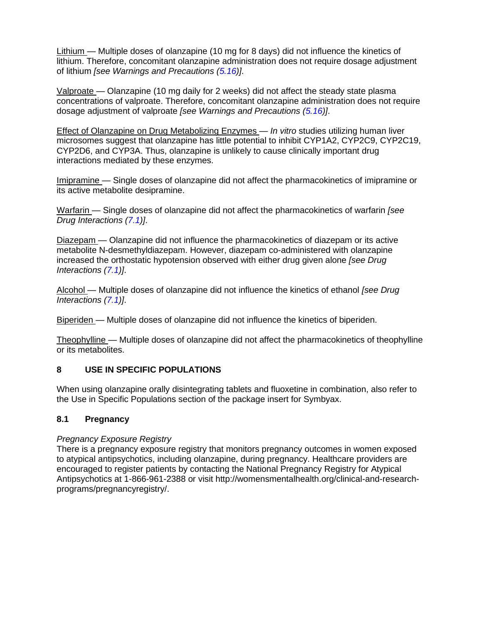Lithium — Multiple doses of olanzapine (10 mg for 8 days) did not influence the kinetics of lithium. Therefore, concomitant olanzapine administration does not require dosage adjustment of lithium *[see Warnings and Precautions [\(5.16\)](#page-20-0)]*.

Valproate — Olanzapine (10 mg daily for 2 weeks) did not affect the steady state plasma concentrations of valproate. Therefore, concomitant olanzapine administration does not require dosage adjustment of valproate *[see Warnings and Precautions [\(5.16\)](#page-20-0)]*.

Effect of Olanzapine on Drug Metabolizing Enzymes — *In vitro* studies utilizing human liver microsomes suggest that olanzapine has little potential to inhibit CYP1A2, CYP2C9, CYP2C19, CYP2D6, and CYP3A. Thus, olanzapine is unlikely to cause clinically important drug interactions mediated by these enzymes.

Imipramine — Single doses of olanzapine did not affect the pharmacokinetics of imipramine or its active metabolite desipramine.

Warfarin — Single doses of olanzapine did not affect the pharmacokinetics of warfarin *[see Drug Interactions [\(7.1\)](#page-30-0)]*.

Diazepam — Olanzapine did not influence the pharmacokinetics of diazepam or its active metabolite N-desmethyldiazepam. However, diazepam co-administered with olanzapine increased the orthostatic hypotension observed with either drug given alone *[see Drug Interactions [\(7.1\)](#page-30-0)]*.

Alcohol — Multiple doses of olanzapine did not influence the kinetics of ethanol *[see Drug Interactions [\(7.1\)](#page-30-0)]*.

Biperiden — Multiple doses of olanzapine did not influence the kinetics of biperiden.

Theophylline — Multiple doses of olanzapine did not affect the pharmacokinetics of theophylline or its metabolites.

# <span id="page-32-1"></span>**8 USE IN SPECIFIC POPULATIONS**

When using olanzapine orally disintegrating tablets and fluoxetine in combination, also refer to the Use in Specific Populations section of the package insert for Symbyax.

# <span id="page-32-0"></span>**8.1 Pregnancy**

# *Pregnancy Exposure Registry*

There is a pregnancy exposure registry that monitors pregnancy outcomes in women exposed to atypical antipsychotics, including olanzapine, during pregnancy. Healthcare providers are encouraged to register patients by contacting the National Pregnancy Registry for Atypical Antipsychotics at 1-866-961-2388 or visit http://womensmentalhealth.org/clinical-and-researchprograms/pregnancyregistry/.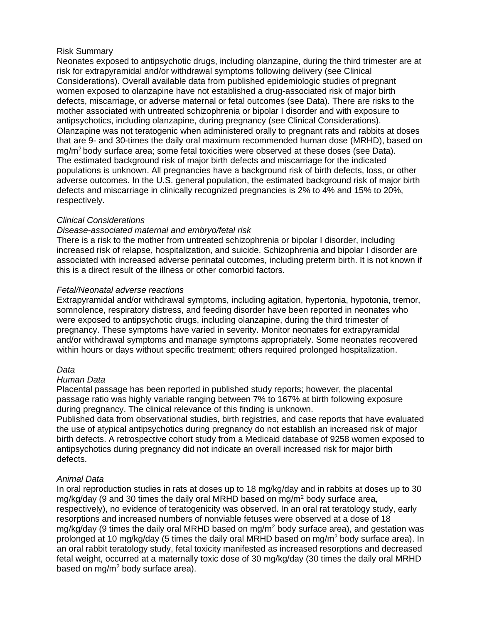### Risk Summary

Neonates exposed to antipsychotic drugs, including olanzapine, during the third trimester are at risk for extrapyramidal and/or withdrawal symptoms following delivery (see Clinical Considerations). Overall available data from published epidemiologic studies of pregnant women exposed to olanzapine have not established a drug-associated risk of major birth defects, miscarriage, or adverse maternal or fetal outcomes (see Data). There are risks to the mother associated with untreated schizophrenia or bipolar I disorder and with exposure to antipsychotics, including olanzapine, during pregnancy (see Clinical Considerations). Olanzapine was not teratogenic when administered orally to pregnant rats and rabbits at doses that are 9- and 30-times the daily oral maximum recommended human dose (MRHD), based on  $mg/m<sup>2</sup>$  body surface area; some fetal toxicities were observed at these doses (see Data). The estimated background risk of major birth defects and miscarriage for the indicated populations is unknown. All pregnancies have a background risk of birth defects, loss, or other adverse outcomes. In the U.S. general population, the estimated background risk of major birth defects and miscarriage in clinically recognized pregnancies is 2% to 4% and 15% to 20%, respectively.

### *Clinical Considerations*

### *Disease-associated maternal and embryo/fetal risk*

There is a risk to the mother from untreated schizophrenia or bipolar I disorder, including increased risk of relapse, hospitalization, and suicide. Schizophrenia and bipolar I disorder are associated with increased adverse perinatal outcomes, including preterm birth. It is not known if this is a direct result of the illness or other comorbid factors.

### *Fetal/Neonatal adverse reactions*

Extrapyramidal and/or withdrawal symptoms, including agitation, hypertonia, hypotonia, tremor, somnolence, respiratory distress, and feeding disorder have been reported in neonates who were exposed to antipsychotic drugs, including olanzapine, during the third trimester of pregnancy. These symptoms have varied in severity. Monitor neonates for extrapyramidal and/or withdrawal symptoms and manage symptoms appropriately. Some neonates recovered within hours or days without specific treatment; others required prolonged hospitalization.

### *Data*

### *Human Data*

Placental passage has been reported in published study reports; however, the placental passage ratio was highly variable ranging between 7% to 167% at birth following exposure during pregnancy. The clinical relevance of this finding is unknown.

Published data from observational studies, birth registries, and case reports that have evaluated the use of atypical antipsychotics during pregnancy do not establish an increased risk of major birth defects. A retrospective cohort study from a Medicaid database of 9258 women exposed to antipsychotics during pregnancy did not indicate an overall increased risk for major birth defects.

# *Animal Data*

In oral reproduction studies in rats at doses up to 18 mg/kg/day and in rabbits at doses up to 30 mg/kg/day (9 and 30 times the daily oral MRHD based on mg/m<sup>2</sup> body surface area, respectively), no evidence of teratogenicity was observed. In an oral rat teratology study, early resorptions and increased numbers of nonviable fetuses were observed at a dose of 18 mg/kg/day (9 times the daily oral MRHD based on mg/m<sup>2</sup> body surface area), and gestation was prolonged at 10 mg/kg/day (5 times the daily oral MRHD based on mg/m<sup>2</sup> body surface area). In an oral rabbit teratology study, fetal toxicity manifested as increased resorptions and decreased fetal weight, occurred at a maternally toxic dose of 30 mg/kg/day (30 times the daily oral MRHD based on mg/m<sup>2</sup> body surface area).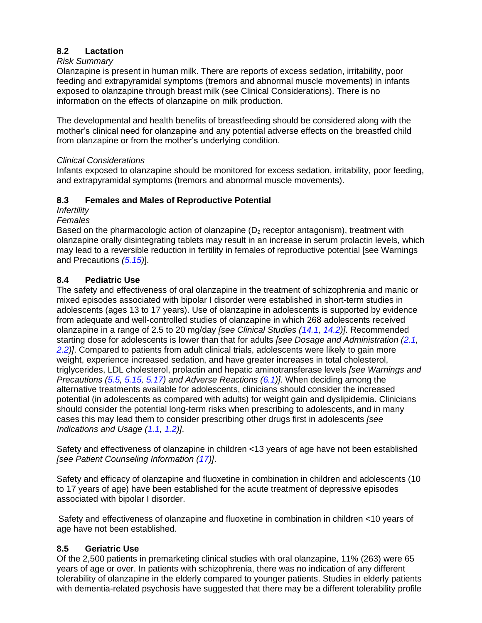# <span id="page-34-1"></span>**8.2 Lactation**

### *Risk Summary*

Olanzapine is present in human milk. There are reports of excess sedation, irritability, poor feeding and extrapyramidal symptoms (tremors and abnormal muscle movements) in infants exposed to olanzapine through breast milk (see Clinical Considerations). There is no information on the effects of olanzapine on milk production.

The developmental and health benefits of breastfeeding should be considered along with the mother's clinical need for olanzapine and any potential adverse effects on the breastfed child from olanzapine or from the mother's underlying condition.

# *Clinical Considerations*

Infants exposed to olanzapine should be monitored for excess sedation, irritability, poor feeding, and extrapyramidal symptoms (tremors and abnormal muscle movements).

# <span id="page-34-2"></span>**8.3 Females and Males of Reproductive Potential**

*Infertility Females*

Based on the pharmacologic action of olanzapine  $(D_2)$  receptor antagonism), treatment with olanzapine orally disintegrating tablets may result in an increase in serum prolactin levels, which may lead to a reversible reduction in fertility in females of reproductive potential [see Warnings and Precautions *[\(5.15\)](#page-19-0)*].

# <span id="page-34-0"></span>**8.4 Pediatric Use**

The safety and effectiveness of oral olanzapine in the treatment of schizophrenia and manic or mixed episodes associated with bipolar I disorder were established in short-term studies in adolescents (ages 13 to 17 years). Use of olanzapine in adolescents is supported by evidence from adequate and well-controlled studies of olanzapine in which 268 adolescents received olanzapine in a range of 2.5 to 20 mg/day *[see Clinical Studies [\(14.1,](#page-39-0) [14.2\)](#page-41-0)]*. Recommended starting dose for adolescents is lower than that for adults *[see Dosage and Administration [\(2.1,](#page-5-3) [2.2\)](#page-6-0)]*. Compared to patients from adult clinical trials, adolescents were likely to gain more weight, experience increased sedation, and have greater increases in total cholesterol, triglycerides, LDL cholesterol, prolactin and hepatic aminotransferase levels *[see Warnings and Precautions [\(5.5,](#page-11-0) [5.15,](#page-19-0) [5.17\)](#page-20-1) and Adverse Reactions [\(6.1\)](#page-20-2)]*. When deciding among the alternative treatments available for adolescents, clinicians should consider the increased potential (in adolescents as compared with adults) for weight gain and dyslipidemia. Clinicians should consider the potential long-term risks when prescribing to adolescents, and in many cases this may lead them to consider prescribing other drugs first in adolescents *[see Indications and Usage [\(1.1,](#page-4-1) [1.2\)](#page-4-2)]*.

Safety and effectiveness of olanzapine in children <13 years of age have not been established *[see Patient Counseling Information [\(17\)](#page-43-0)]*.

Safety and efficacy of olanzapine and fluoxetine in combination in children and adolescents (10 to 17 years of age) have been established for the acute treatment of depressive episodes associated with bipolar I disorder.

Safety and effectiveness of olanzapine and fluoxetine in combination in children <10 years of age have not been established.

# <span id="page-34-3"></span>**8.5 Geriatric Use**

Of the 2,500 patients in premarketing clinical studies with oral olanzapine, 11% (263) were 65 years of age or over. In patients with schizophrenia, there was no indication of any different tolerability of olanzapine in the elderly compared to younger patients. Studies in elderly patients with dementia-related psychosis have suggested that there may be a different tolerability profile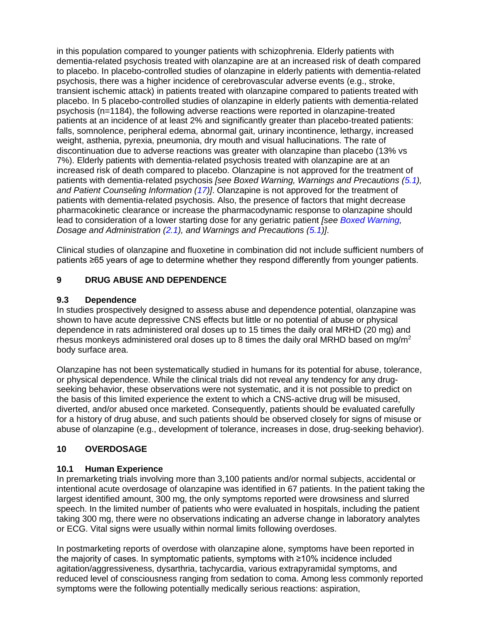in this population compared to younger patients with schizophrenia. Elderly patients with dementia-related psychosis treated with olanzapine are at an increased risk of death compared to placebo. In placebo-controlled studies of olanzapine in elderly patients with dementia-related psychosis, there was a higher incidence of cerebrovascular adverse events (e.g., stroke, transient ischemic attack) in patients treated with olanzapine compared to patients treated with placebo. In 5 placebo-controlled studies of olanzapine in elderly patients with dementia-related psychosis (n=1184), the following adverse reactions were reported in olanzapine-treated patients at an incidence of at least 2% and significantly greater than placebo-treated patients: falls, somnolence, peripheral edema, abnormal gait, urinary incontinence, lethargy, increased weight, asthenia, pyrexia, pneumonia, dry mouth and visual hallucinations. The rate of discontinuation due to adverse reactions was greater with olanzapine than placebo (13% vs 7%). Elderly patients with dementia-related psychosis treated with olanzapine are at an increased risk of death compared to placebo. Olanzapine is not approved for the treatment of patients with dementia-related psychosis *[see Boxed Warning, Warnings and Precautions (5.1), and Patient Counseling Information [\(17\)](#page-43-0)]*. Olanzapine is not approved for the treatment of patients with dementia-related psychosis. Also, the presence of factors that might decrease pharmacokinetic clearance or increase the pharmacodynamic response to olanzapine should lead to consideration of a lower starting dose for any geriatric patient *[see [Boxed Warning,](#page-4-3) Dosage and Administration [\(2.1\)](#page-5-3), and Warnings and Precautions [\(5.1\)](#page-9-0)]*.

Clinical studies of olanzapine and fluoxetine in combination did not include sufficient numbers of patients ≥65 years of age to determine whether they respond differently from younger patients.

# <span id="page-35-0"></span>**9 DRUG ABUSE AND DEPENDENCE**

# <span id="page-35-1"></span>**9.3 Dependence**

In studies prospectively designed to assess abuse and dependence potential, olanzapine was shown to have acute depressive CNS effects but little or no potential of abuse or physical dependence in rats administered oral doses up to 15 times the daily oral MRHD (20 mg) and rhesus monkeys administered oral doses up to 8 times the daily oral MRHD based on mg/m<sup>2</sup> body surface area.

Olanzapine has not been systematically studied in humans for its potential for abuse, tolerance, or physical dependence. While the clinical trials did not reveal any tendency for any drugseeking behavior, these observations were not systematic, and it is not possible to predict on the basis of this limited experience the extent to which a CNS-active drug will be misused, diverted, and/or abused once marketed. Consequently, patients should be evaluated carefully for a history of drug abuse, and such patients should be observed closely for signs of misuse or abuse of olanzapine (e.g., development of tolerance, increases in dose, drug-seeking behavior).

# <span id="page-35-2"></span>**10 OVERDOSAGE**

# <span id="page-35-3"></span>**10.1 Human Experience**

In premarketing trials involving more than 3,100 patients and/or normal subjects, accidental or intentional acute overdosage of olanzapine was identified in 67 patients. In the patient taking the largest identified amount, 300 mg, the only symptoms reported were drowsiness and slurred speech. In the limited number of patients who were evaluated in hospitals, including the patient taking 300 mg, there were no observations indicating an adverse change in laboratory analytes or ECG. Vital signs were usually within normal limits following overdoses.

In postmarketing reports of overdose with olanzapine alone, symptoms have been reported in the majority of cases. In symptomatic patients, symptoms with ≥10% incidence included agitation/aggressiveness, dysarthria, tachycardia, various extrapyramidal symptoms, and reduced level of consciousness ranging from sedation to coma. Among less commonly reported symptoms were the following potentially medically serious reactions: aspiration,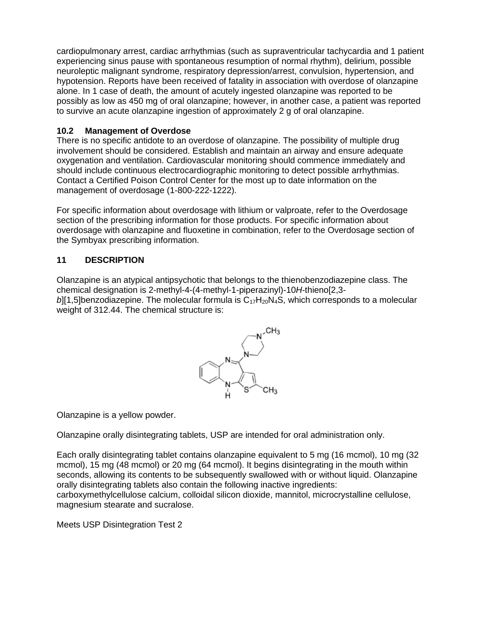cardiopulmonary arrest, cardiac arrhythmias (such as supraventricular tachycardia and 1 patient experiencing sinus pause with spontaneous resumption of normal rhythm), delirium, possible neuroleptic malignant syndrome, respiratory depression/arrest, convulsion, hypertension, and hypotension. Reports have been received of fatality in association with overdose of olanzapine alone. In 1 case of death, the amount of acutely ingested olanzapine was reported to be possibly as low as 450 mg of oral olanzapine; however, in another case, a patient was reported to survive an acute olanzapine ingestion of approximately 2 g of oral olanzapine.

# <span id="page-36-0"></span>**10.2 Management of Overdose**

There is no specific antidote to an overdose of olanzapine. The possibility of multiple drug involvement should be considered. Establish and maintain an airway and ensure adequate oxygenation and ventilation. Cardiovascular monitoring should commence immediately and should include continuous electrocardiographic monitoring to detect possible arrhythmias. Contact a Certified Poison Control Center for the most up to date information on the management of overdosage (1-800-222-1222).

For specific information about overdosage with lithium or valproate, refer to the Overdosage section of the prescribing information for those products. For specific information about overdosage with olanzapine and fluoxetine in combination, refer to the Overdosage section of the Symbyax prescribing information.

# <span id="page-36-1"></span>**11 DESCRIPTION**

Olanzapine is an atypical antipsychotic that belongs to the thienobenzodiazepine class. The chemical designation is 2-methyl-4-(4-methyl-1-piperazinyl)-10*H*-thieno[2,3  $b$ [1,5]benzodiazepine. The molecular formula is  $C_{17}H_{20}N_4S$ , which corresponds to a molecular weight of 312.44. The chemical structure is:



Olanzapine is a yellow powder.

Olanzapine orally disintegrating tablets, USP are intended for oral administration only.

Each orally disintegrating tablet contains olanzapine equivalent to 5 mg (16 mcmol), 10 mg (32 mcmol), 15 mg (48 mcmol) or 20 mg (64 mcmol). It begins disintegrating in the mouth within seconds, allowing its contents to be subsequently swallowed with or without liquid. Olanzapine orally disintegrating tablets also contain the following inactive ingredients: carboxymethylcellulose calcium, colloidal silicon dioxide, mannitol, microcrystalline cellulose, magnesium stearate and sucralose.

Meets USP Disintegration Test 2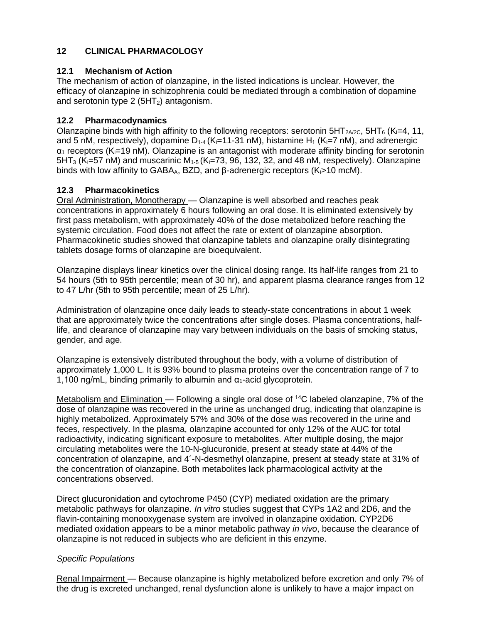# <span id="page-37-0"></span>**12 CLINICAL PHARMACOLOGY**

# <span id="page-37-1"></span>**12.1 Mechanism of Action**

The mechanism of action of olanzapine, in the listed indications is unclear. However, the efficacy of olanzapine in schizophrenia could be mediated through a combination of dopamine and serotonin type 2  $(5HT<sub>2</sub>)$  antagonism.

# <span id="page-37-2"></span>**12.2 Pharmacodynamics**

Olanzapine binds with high affinity to the following receptors: serotonin  $5HT_{2A/2C}$ ,  $5HT_{6}$  (K<sub>i</sub>=4, 11, and 5 nM, respectively), dopamine  $D_{1-4}$  (K<sub>i</sub>=11-31 nM), histamine H<sub>1</sub> (K<sub>i</sub>=7 nM), and adrenergic  $\alpha_1$  receptors (K<sub>i</sub>=19 nM). Olanzapine is an antagonist with moderate affinity binding for serotonin  $5H$ <sub>3</sub> (K<sub>i</sub>=57 nM) and muscarinic M<sub>1-5</sub> (K<sub>i</sub>=73, 96, 132, 32, and 48 nM, respectively). Olanzapine binds with low affinity to GABA<sub>A</sub>, BZD, and β-adrenergic receptors (K<sub>i</sub>>10 mcM).

# <span id="page-37-3"></span>**12.3 Pharmacokinetics**

Oral Administration, Monotherapy — Olanzapine is well absorbed and reaches peak concentrations in approximately 6 hours following an oral dose. It is eliminated extensively by first pass metabolism, with approximately 40% of the dose metabolized before reaching the systemic circulation. Food does not affect the rate or extent of olanzapine absorption. Pharmacokinetic studies showed that olanzapine tablets and olanzapine orally disintegrating tablets dosage forms of olanzapine are bioequivalent.

Olanzapine displays linear kinetics over the clinical dosing range. Its half-life ranges from 21 to 54 hours (5th to 95th percentile; mean of 30 hr), and apparent plasma clearance ranges from 12 to 47 L/hr (5th to 95th percentile; mean of 25 L/hr).

Administration of olanzapine once daily leads to steady-state concentrations in about 1 week that are approximately twice the concentrations after single doses. Plasma concentrations, halflife, and clearance of olanzapine may vary between individuals on the basis of smoking status, gender, and age.

Olanzapine is extensively distributed throughout the body, with a volume of distribution of approximately 1,000 L. It is 93% bound to plasma proteins over the concentration range of 7 to 1,100 ng/mL, binding primarily to albumin and  $\alpha_1$ -acid glycoprotein.

Metabolism and Elimination — Following a single oral dose of  $^{14}C$  labeled olanzapine, 7% of the dose of olanzapine was recovered in the urine as unchanged drug, indicating that olanzapine is highly metabolized. Approximately 57% and 30% of the dose was recovered in the urine and feces, respectively. In the plasma, olanzapine accounted for only 12% of the AUC for total radioactivity, indicating significant exposure to metabolites. After multiple dosing, the major circulating metabolites were the 10-N-glucuronide, present at steady state at 44% of the concentration of olanzapine, and 4´-N-desmethyl olanzapine, present at steady state at 31% of the concentration of olanzapine. Both metabolites lack pharmacological activity at the concentrations observed.

Direct glucuronidation and cytochrome P450 (CYP) mediated oxidation are the primary metabolic pathways for olanzapine. *In vitro* studies suggest that CYPs 1A2 and 2D6, and the flavin-containing monooxygenase system are involved in olanzapine oxidation. CYP2D6 mediated oxidation appears to be a minor metabolic pathway *in vivo*, because the clearance of olanzapine is not reduced in subjects who are deficient in this enzyme.

# *Specific Populations*

Renal Impairment — Because olanzapine is highly metabolized before excretion and only 7% of the drug is excreted unchanged, renal dysfunction alone is unlikely to have a major impact on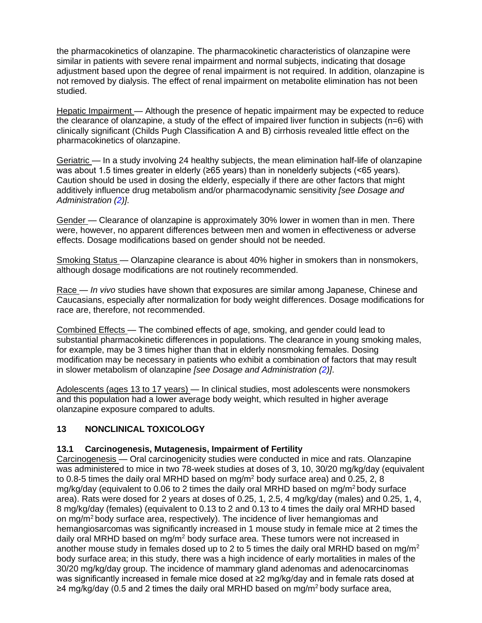the pharmacokinetics of olanzapine. The pharmacokinetic characteristics of olanzapine were similar in patients with severe renal impairment and normal subjects, indicating that dosage adjustment based upon the degree of renal impairment is not required. In addition, olanzapine is not removed by dialysis. The effect of renal impairment on metabolite elimination has not been studied.

Hepatic Impairment — Although the presence of hepatic impairment may be expected to reduce the clearance of olanzapine, a study of the effect of impaired liver function in subjects ( $n=6$ ) with clinically significant (Childs Pugh Classification A and B) cirrhosis revealed little effect on the pharmacokinetics of olanzapine.

Geriatric — In a study involving 24 healthy subjects, the mean elimination half-life of olanzapine was about 1.5 times greater in elderly (≥65 years) than in nonelderly subjects (<65 years). Caution should be used in dosing the elderly, especially if there are other factors that might additively influence drug metabolism and/or pharmacodynamic sensitivity *[see Dosage and Administration [\(2\)](#page-5-4)]*.

Gender — Clearance of olanzapine is approximately 30% lower in women than in men. There were, however, no apparent differences between men and women in effectiveness or adverse effects. Dosage modifications based on gender should not be needed.

Smoking Status — Olanzapine clearance is about 40% higher in smokers than in nonsmokers, although dosage modifications are not routinely recommended.

Race — *In vivo* studies have shown that exposures are similar among Japanese, Chinese and Caucasians, especially after normalization for body weight differences. Dosage modifications for race are, therefore, not recommended.

Combined Effects — The combined effects of age, smoking, and gender could lead to substantial pharmacokinetic differences in populations. The clearance in young smoking males, for example, may be 3 times higher than that in elderly nonsmoking females. Dosing modification may be necessary in patients who exhibit a combination of factors that may result in slower metabolism of olanzapine *[see Dosage and Administration [\(2\)](#page-5-4)]*.

Adolescents (ages 13 to 17 years) — In clinical studies, most adolescents were nonsmokers and this population had a lower average body weight, which resulted in higher average olanzapine exposure compared to adults.

# <span id="page-38-0"></span>**13 NONCLINICAL TOXICOLOGY**

# <span id="page-38-1"></span>**13.1 Carcinogenesis, Mutagenesis, Impairment of Fertility**

Carcinogenesis — Oral carcinogenicity studies were conducted in mice and rats. Olanzapine was administered to mice in two 78-week studies at doses of 3, 10, 30/20 mg/kg/day (equivalent to 0.8-5 times the daily oral MRHD based on mg/m<sup>2</sup> body surface area) and  $0.25, 2, 8$ mg/kg/day (equivalent to 0.06 to 2 times the daily oral MRHD based on mg/m<sup>2</sup> body surface area). Rats were dosed for 2 years at doses of 0.25, 1, 2.5, 4 mg/kg/day (males) and 0.25, 1, 4, 8 mg/kg/day (females) (equivalent to 0.13 to 2 and 0.13 to 4 times the daily oral MRHD based on mg/m<sup>2</sup> body surface area, respectively). The incidence of liver hemangiomas and hemangiosarcomas was significantly increased in 1 mouse study in female mice at 2 times the daily oral MRHD based on mg/m<sup>2</sup> body surface area. These tumors were not increased in another mouse study in females dosed up to 2 to 5 times the daily oral MRHD based on mg/m<sup>2</sup> body surface area; in this study, there was a high incidence of early mortalities in males of the 30/20 mg/kg/day group. The incidence of mammary gland adenomas and adenocarcinomas was significantly increased in female mice dosed at ≥2 mg/kg/day and in female rats dosed at ≥4 mg/kg/day (0.5 and 2 times the daily oral MRHD based on mg/m<sup>2</sup> body surface area,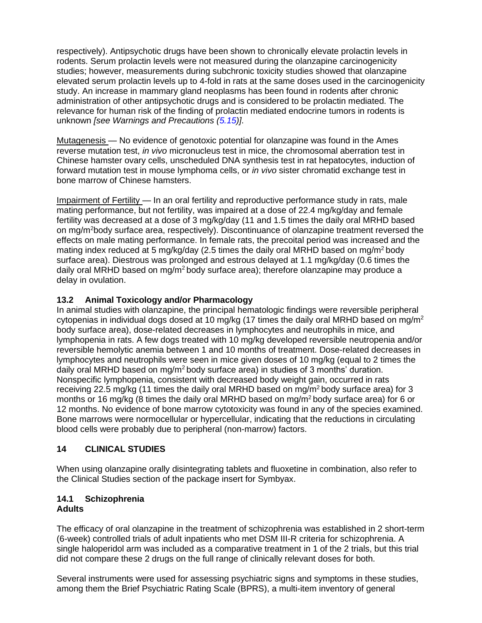respectively). Antipsychotic drugs have been shown to chronically elevate prolactin levels in rodents. Serum prolactin levels were not measured during the olanzapine carcinogenicity studies; however, measurements during subchronic toxicity studies showed that olanzapine elevated serum prolactin levels up to 4-fold in rats at the same doses used in the carcinogenicity study. An increase in mammary gland neoplasms has been found in rodents after chronic administration of other antipsychotic drugs and is considered to be prolactin mediated. The relevance for human risk of the finding of prolactin mediated endocrine tumors in rodents is unknown *[see Warnings and Precautions [\(5.15\)](#page-19-0)]*.

Mutagenesis — No evidence of genotoxic potential for olanzapine was found in the Ames reverse mutation test, *in vivo* micronucleus test in mice, the chromosomal aberration test in Chinese hamster ovary cells, unscheduled DNA synthesis test in rat hepatocytes, induction of forward mutation test in mouse lymphoma cells, or *in vivo* sister chromatid exchange test in bone marrow of Chinese hamsters.

Impairment of Fertility — In an oral fertility and reproductive performance study in rats, male mating performance, but not fertility, was impaired at a dose of 22.4 mg/kg/day and female fertility was decreased at a dose of 3 mg/kg/day (11 and 1.5 times the daily oral MRHD based on mg/m<sup>2</sup>body surface area, respectively). Discontinuance of olanzapine treatment reversed the effects on male mating performance. In female rats, the precoital period was increased and the mating index reduced at 5 mg/kg/day (2.5 times the daily oral MRHD based on mg/m<sup>2</sup> body surface area). Diestrous was prolonged and estrous delayed at 1.1 mg/kg/day (0.6 times the daily oral MRHD based on mg/m<sup>2</sup> body surface area); therefore olanzapine may produce a delay in ovulation.

# <span id="page-39-1"></span>**13.2 Animal Toxicology and/or Pharmacology**

In animal studies with olanzapine, the principal hematologic findings were reversible peripheral cytopenias in individual dogs dosed at 10 mg/kg (17 times the daily oral MRHD based on mg/m<sup>2</sup> body surface area), dose-related decreases in lymphocytes and neutrophils in mice, and lymphopenia in rats. A few dogs treated with 10 mg/kg developed reversible neutropenia and/or reversible hemolytic anemia between 1 and 10 months of treatment. Dose-related decreases in lymphocytes and neutrophils were seen in mice given doses of 10 mg/kg (equal to 2 times the daily oral MRHD based on mg/m<sup>2</sup> body surface area) in studies of 3 months' duration. Nonspecific lymphopenia, consistent with decreased body weight gain, occurred in rats receiving 22.5 mg/kg (11 times the daily oral MRHD based on mg/m<sup>2</sup> body surface area) for 3 months or 16 mg/kg (8 times the daily oral MRHD based on mg/m<sup>2</sup> body surface area) for 6 or 12 months. No evidence of bone marrow cytotoxicity was found in any of the species examined. Bone marrows were normocellular or hypercellular, indicating that the reductions in circulating blood cells were probably due to peripheral (non-marrow) factors.

# <span id="page-39-2"></span>**14 CLINICAL STUDIES**

When using olanzapine orally disintegrating tablets and fluoxetine in combination, also refer to the Clinical Studies section of the package insert for Symbyax.

# <span id="page-39-0"></span>**14.1 Schizophrenia Adults**

The efficacy of oral olanzapine in the treatment of schizophrenia was established in 2 short-term (6-week) controlled trials of adult inpatients who met DSM III-R criteria for schizophrenia. A single haloperidol arm was included as a comparative treatment in 1 of the 2 trials, but this trial did not compare these 2 drugs on the full range of clinically relevant doses for both.

Several instruments were used for assessing psychiatric signs and symptoms in these studies, among them the Brief Psychiatric Rating Scale (BPRS), a multi-item inventory of general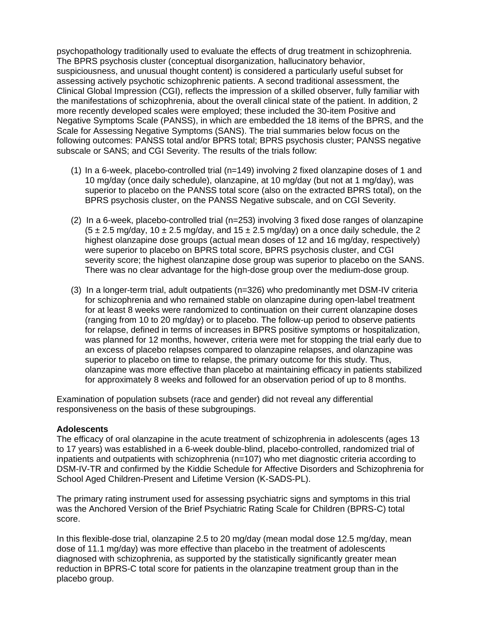psychopathology traditionally used to evaluate the effects of drug treatment in schizophrenia. The BPRS psychosis cluster (conceptual disorganization, hallucinatory behavior, suspiciousness, and unusual thought content) is considered a particularly useful subset for assessing actively psychotic schizophrenic patients. A second traditional assessment, the Clinical Global Impression (CGI), reflects the impression of a skilled observer, fully familiar with the manifestations of schizophrenia, about the overall clinical state of the patient. In addition, 2 more recently developed scales were employed; these included the 30-item Positive and Negative Symptoms Scale (PANSS), in which are embedded the 18 items of the BPRS, and the Scale for Assessing Negative Symptoms (SANS). The trial summaries below focus on the following outcomes: PANSS total and/or BPRS total; BPRS psychosis cluster; PANSS negative subscale or SANS; and CGI Severity. The results of the trials follow:

- (1) In a 6-week, placebo-controlled trial (n=149) involving 2 fixed olanzapine doses of 1 and 10 mg/day (once daily schedule), olanzapine, at 10 mg/day (but not at 1 mg/day), was superior to placebo on the PANSS total score (also on the extracted BPRS total), on the BPRS psychosis cluster, on the PANSS Negative subscale, and on CGI Severity.
- (2) In a 6-week, placebo-controlled trial (n=253) involving 3 fixed dose ranges of olanzapine  $(5 \pm 2.5 \text{ mg/day}, 10 \pm 2.5 \text{ mg/day}, \text{and } 15 \pm 2.5 \text{ mg/day})$  on a once daily schedule, the 2 highest olanzapine dose groups (actual mean doses of 12 and 16 mg/day, respectively) were superior to placebo on BPRS total score, BPRS psychosis cluster, and CGI severity score; the highest olanzapine dose group was superior to placebo on the SANS. There was no clear advantage for the high-dose group over the medium-dose group.
- (3) In a longer-term trial, adult outpatients (n=326) who predominantly met DSM-IV criteria for schizophrenia and who remained stable on olanzapine during open-label treatment for at least 8 weeks were randomized to continuation on their current olanzapine doses (ranging from 10 to 20 mg/day) or to placebo. The follow-up period to observe patients for relapse, defined in terms of increases in BPRS positive symptoms or hospitalization, was planned for 12 months, however, criteria were met for stopping the trial early due to an excess of placebo relapses compared to olanzapine relapses, and olanzapine was superior to placebo on time to relapse, the primary outcome for this study. Thus, olanzapine was more effective than placebo at maintaining efficacy in patients stabilized for approximately 8 weeks and followed for an observation period of up to 8 months.

Examination of population subsets (race and gender) did not reveal any differential responsiveness on the basis of these subgroupings.

### **Adolescents**

The efficacy of oral olanzapine in the acute treatment of schizophrenia in adolescents (ages 13 to 17 years) was established in a 6-week double-blind, placebo-controlled, randomized trial of inpatients and outpatients with schizophrenia (n=107) who met diagnostic criteria according to DSM-IV-TR and confirmed by the Kiddie Schedule for Affective Disorders and Schizophrenia for School Aged Children-Present and Lifetime Version (K-SADS-PL).

The primary rating instrument used for assessing psychiatric signs and symptoms in this trial was the Anchored Version of the Brief Psychiatric Rating Scale for Children (BPRS-C) total score.

In this flexible-dose trial, olanzapine 2.5 to 20 mg/day (mean modal dose 12.5 mg/day, mean dose of 11.1 mg/day) was more effective than placebo in the treatment of adolescents diagnosed with schizophrenia, as supported by the statistically significantly greater mean reduction in BPRS-C total score for patients in the olanzapine treatment group than in the placebo group.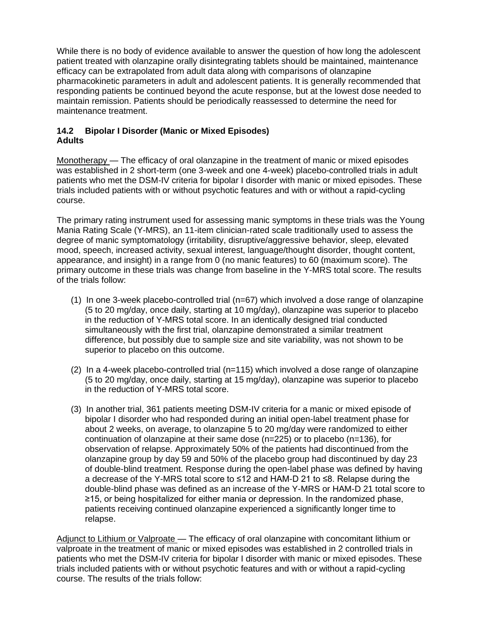While there is no body of evidence available to answer the question of how long the adolescent patient treated with olanzapine orally disintegrating tablets should be maintained, maintenance efficacy can be extrapolated from adult data along with comparisons of olanzapine pharmacokinetic parameters in adult and adolescent patients. It is generally recommended that responding patients be continued beyond the acute response, but at the lowest dose needed to maintain remission. Patients should be periodically reassessed to determine the need for maintenance treatment.

# <span id="page-41-0"></span>**14.2 Bipolar I Disorder (Manic or Mixed Episodes) Adults**

Monotherapy — The efficacy of oral olanzapine in the treatment of manic or mixed episodes was established in 2 short-term (one 3-week and one 4-week) placebo-controlled trials in adult patients who met the DSM-IV criteria for bipolar I disorder with manic or mixed episodes. These trials included patients with or without psychotic features and with or without a rapid-cycling course.

The primary rating instrument used for assessing manic symptoms in these trials was the Young Mania Rating Scale (Y-MRS), an 11-item clinician-rated scale traditionally used to assess the degree of manic symptomatology (irritability, disruptive/aggressive behavior, sleep, elevated mood, speech, increased activity, sexual interest, language/thought disorder, thought content, appearance, and insight) in a range from 0 (no manic features) to 60 (maximum score). The primary outcome in these trials was change from baseline in the Y-MRS total score. The results of the trials follow:

- (1) In one 3-week placebo-controlled trial (n=67) which involved a dose range of olanzapine (5 to 20 mg/day, once daily, starting at 10 mg/day), olanzapine was superior to placebo in the reduction of Y-MRS total score. In an identically designed trial conducted simultaneously with the first trial, olanzapine demonstrated a similar treatment difference, but possibly due to sample size and site variability, was not shown to be superior to placebo on this outcome.
- (2) In a 4-week placebo-controlled trial (n=115) which involved a dose range of olanzapine (5 to 20 mg/day, once daily, starting at 15 mg/day), olanzapine was superior to placebo in the reduction of Y-MRS total score.
- (3) In another trial, 361 patients meeting DSM-IV criteria for a manic or mixed episode of bipolar I disorder who had responded during an initial open-label treatment phase for about 2 weeks, on average, to olanzapine 5 to 20 mg/day were randomized to either continuation of olanzapine at their same dose (n=225) or to placebo (n=136), for observation of relapse. Approximately 50% of the patients had discontinued from the olanzapine group by day 59 and 50% of the placebo group had discontinued by day 23 of double-blind treatment. Response during the open-label phase was defined by having a decrease of the Y-MRS total score to ≤12 and HAM-D 21 to ≤8. Relapse during the double-blind phase was defined as an increase of the Y-MRS or HAM-D 21 total score to ≥15, or being hospitalized for either mania or depression. In the randomized phase, patients receiving continued olanzapine experienced a significantly longer time to relapse.

Adjunct to Lithium or Valproate — The efficacy of oral olanzapine with concomitant lithium or valproate in the treatment of manic or mixed episodes was established in 2 controlled trials in patients who met the DSM-IV criteria for bipolar I disorder with manic or mixed episodes. These trials included patients with or without psychotic features and with or without a rapid-cycling course. The results of the trials follow: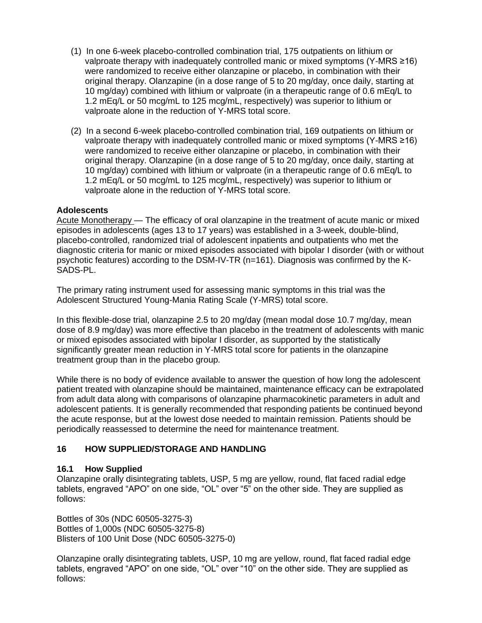- (1) In one 6-week placebo-controlled combination trial, 175 outpatients on lithium or valproate therapy with inadequately controlled manic or mixed symptoms (Y-MRS ≥16) were randomized to receive either olanzapine or placebo, in combination with their original therapy. Olanzapine (in a dose range of 5 to 20 mg/day, once daily, starting at 10 mg/day) combined with lithium or valproate (in a therapeutic range of 0.6 mEq/L to 1.2 mEq/L or 50 mcg/mL to 125 mcg/mL, respectively) was superior to lithium or valproate alone in the reduction of Y-MRS total score.
- (2) In a second 6-week placebo-controlled combination trial, 169 outpatients on lithium or valproate therapy with inadequately controlled manic or mixed symptoms (Y-MRS ≥16) were randomized to receive either olanzapine or placebo, in combination with their original therapy. Olanzapine (in a dose range of 5 to 20 mg/day, once daily, starting at 10 mg/day) combined with lithium or valproate (in a therapeutic range of 0.6 mEq/L to 1.2 mEq/L or 50 mcg/mL to 125 mcg/mL, respectively) was superior to lithium or valproate alone in the reduction of Y-MRS total score.

### **Adolescents**

Acute Monotherapy — The efficacy of oral olanzapine in the treatment of acute manic or mixed episodes in adolescents (ages 13 to 17 years) was established in a 3-week, double-blind, placebo-controlled, randomized trial of adolescent inpatients and outpatients who met the diagnostic criteria for manic or mixed episodes associated with bipolar I disorder (with or without psychotic features) according to the DSM-IV-TR (n=161). Diagnosis was confirmed by the K-SADS-PL.

The primary rating instrument used for assessing manic symptoms in this trial was the Adolescent Structured Young-Mania Rating Scale (Y-MRS) total score.

In this flexible-dose trial, olanzapine 2.5 to 20 mg/day (mean modal dose 10.7 mg/day, mean dose of 8.9 mg/day) was more effective than placebo in the treatment of adolescents with manic or mixed episodes associated with bipolar I disorder, as supported by the statistically significantly greater mean reduction in Y-MRS total score for patients in the olanzapine treatment group than in the placebo group.

While there is no body of evidence available to answer the question of how long the adolescent patient treated with olanzapine should be maintained, maintenance efficacy can be extrapolated from adult data along with comparisons of olanzapine pharmacokinetic parameters in adult and adolescent patients. It is generally recommended that responding patients be continued beyond the acute response, but at the lowest dose needed to maintain remission. Patients should be periodically reassessed to determine the need for maintenance treatment.

# <span id="page-42-0"></span>**16 HOW SUPPLIED/STORAGE AND HANDLING**

### <span id="page-42-1"></span>**16.1 How Supplied**

Olanzapine orally disintegrating tablets, USP, 5 mg are yellow, round, flat faced radial edge tablets, engraved "APO" on one side, "OL" over "5" on the other side. They are supplied as follows:

Bottles of 30s (NDC 60505-3275-3) Bottles of 1,000s (NDC 60505-3275-8) Blisters of 100 Unit Dose (NDC 60505-3275-0)

Olanzapine orally disintegrating tablets, USP, 10 mg are yellow, round, flat faced radial edge tablets, engraved "APO" on one side, "OL" over "10" on the other side. They are supplied as follows: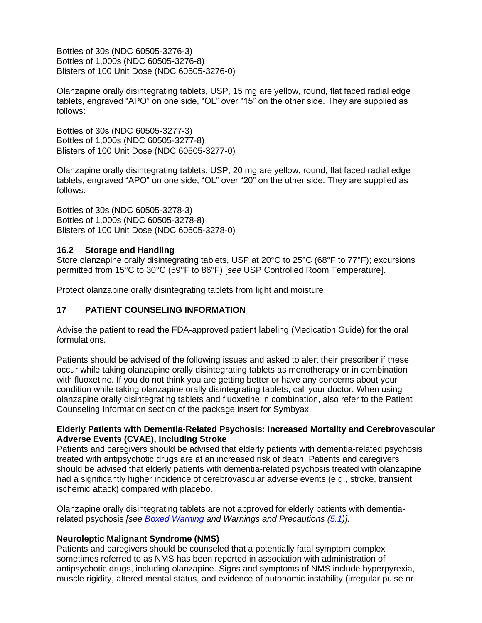Bottles of 30s (NDC 60505-3276-3) Bottles of 1,000s (NDC 60505-3276-8) Blisters of 100 Unit Dose (NDC 60505-3276-0)

Olanzapine orally disintegrating tablets, USP, 15 mg are yellow, round, flat faced radial edge tablets, engraved "APO" on one side, "OL" over "15" on the other side. They are supplied as follows:

Bottles of 30s (NDC 60505-3277-3) Bottles of 1,000s (NDC 60505-3277-8) Blisters of 100 Unit Dose (NDC 60505-3277-0)

Olanzapine orally disintegrating tablets, USP, 20 mg are yellow, round, flat faced radial edge tablets, engraved "APO" on one side, "OL" over "20" on the other side. They are supplied as follows:

Bottles of 30s (NDC 60505-3278-3) Bottles of 1,000s (NDC 60505-3278-8) Blisters of 100 Unit Dose (NDC 60505-3278-0)

# <span id="page-43-1"></span>**16.2 Storage and Handling**

Store olanzapine orally disintegrating tablets, USP at 20°C to 25°C (68°F to 77°F); excursions permitted from 15°C to 30°C (59°F to 86°F) [*see* USP Controlled Room Temperature].

Protect olanzapine orally disintegrating tablets from light and moisture.

# <span id="page-43-0"></span>**17 PATIENT COUNSELING INFORMATION**

Advise the patient to read the FDA-approved patient labeling (Medication Guide) for the oral formulations*.*

Patients should be advised of the following issues and asked to alert their prescriber if these occur while taking olanzapine orally disintegrating tablets as monotherapy or in combination with fluoxetine. If you do not think you are getting better or have any concerns about your condition while taking olanzapine orally disintegrating tablets, call your doctor. When using olanzapine orally disintegrating tablets and fluoxetine in combination, also refer to the Patient Counseling Information section of the package insert for Symbyax.

### <span id="page-43-2"></span>**Elderly Patients with Dementia-Related Psychosis: Increased Mortality and Cerebrovascular Adverse Events (CVAE), Including Stroke**

Patients and caregivers should be advised that elderly patients with dementia-related psychosis treated with antipsychotic drugs are at an increased risk of death. Patients and caregivers should be advised that elderly patients with dementia-related psychosis treated with olanzapine had a significantly higher incidence of cerebrovascular adverse events (e.g., stroke, transient ischemic attack) compared with placebo.

Olanzapine orally disintegrating tablets are not approved for elderly patients with dementiarelated psychosis *[see [Boxed Warning](#page-4-3) and Warnings and Precautions [\(5.1\)](#page-9-0)]*.

# **Neuroleptic Malignant Syndrome (NMS)**

Patients and caregivers should be counseled that a potentially fatal symptom complex sometimes referred to as NMS has been reported in association with administration of antipsychotic drugs, including olanzapine. Signs and symptoms of NMS include hyperpyrexia, muscle rigidity, altered mental status, and evidence of autonomic instability (irregular pulse or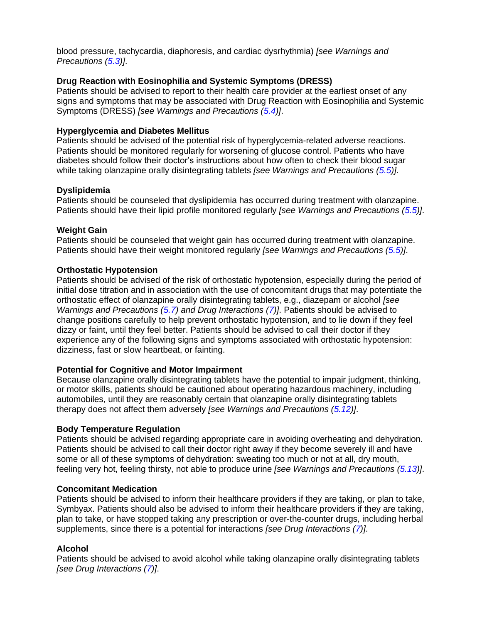blood pressure, tachycardia, diaphoresis, and cardiac dysrhythmia) *[see Warnings and Precautions [\(5.3\)](#page-10-1)]*.

# **Drug Reaction with Eosinophilia and Systemic Symptoms (DRESS)**

Patients should be advised to report to their health care provider at the earliest onset of any signs and symptoms that may be associated with Drug Reaction with Eosinophilia and Systemic Symptoms (DRESS) *[see Warnings and Precautions [\(5.4\)](#page-10-2)]*.

# **Hyperglycemia and Diabetes Mellitus**

Patients should be advised of the potential risk of hyperglycemia-related adverse reactions. Patients should be monitored regularly for worsening of glucose control. Patients who have diabetes should follow their doctor's instructions about how often to check their blood sugar while taking olanzapine orally disintegrating tablets *[see Warnings and Precautions [\(5.5\)](#page-11-0)]*.

# **Dyslipidemia**

Patients should be counseled that dyslipidemia has occurred during treatment with olanzapine. Patients should have their lipid profile monitored regularly *[see Warnings and Precautions [\(5.5\)](#page-11-0)]*.

### **Weight Gain**

Patients should be counseled that weight gain has occurred during treatment with olanzapine. Patients should have their weight monitored regularly *[see Warnings and Precautions [\(5.5\)](#page-11-0)]*.

# **Orthostatic Hypotension**

Patients should be advised of the risk of orthostatic hypotension, especially during the period of initial dose titration and in association with the use of concomitant drugs that may potentiate the orthostatic effect of olanzapine orally disintegrating tablets, e.g., diazepam or alcohol *[see Warnings and Precautions [\(5.7\)](#page-17-0) and Drug Interactions [\(7\)](#page-30-2)]*. Patients should be advised to change positions carefully to help prevent orthostatic hypotension, and to lie down if they feel dizzy or faint, until they feel better. Patients should be advised to call their doctor if they experience any of the following signs and symptoms associated with orthostatic hypotension: dizziness, fast or slow heartbeat, or fainting.

# **Potential for Cognitive and Motor Impairment**

Because olanzapine orally disintegrating tablets have the potential to impair judgment, thinking, or motor skills, patients should be cautioned about operating hazardous machinery, including automobiles, until they are reasonably certain that olanzapine orally disintegrating tablets therapy does not affect them adversely *[see Warnings and Precautions [\(5.12\)](#page-18-3)]*.

### **Body Temperature Regulation**

Patients should be advised regarding appropriate care in avoiding overheating and dehydration. Patients should be advised to call their doctor right away if they become severely ill and have some or all of these symptoms of dehydration: sweating too much or not at all, dry mouth, feeling very hot, feeling thirsty, not able to produce urine *[see Warnings and Precautions [\(5.13\)](#page-18-5)]*.

# **Concomitant Medication**

Patients should be advised to inform their healthcare providers if they are taking, or plan to take, Symbyax. Patients should also be advised to inform their healthcare providers if they are taking, plan to take, or have stopped taking any prescription or over-the-counter drugs, including herbal supplements, since there is a potential for interactions *[see Drug Interactions [\(7\)](#page-30-2)]*.

# **Alcohol**

Patients should be advised to avoid alcohol while taking olanzapine orally disintegrating tablets *[see Drug Interactions [\(7\)](#page-30-2)]*.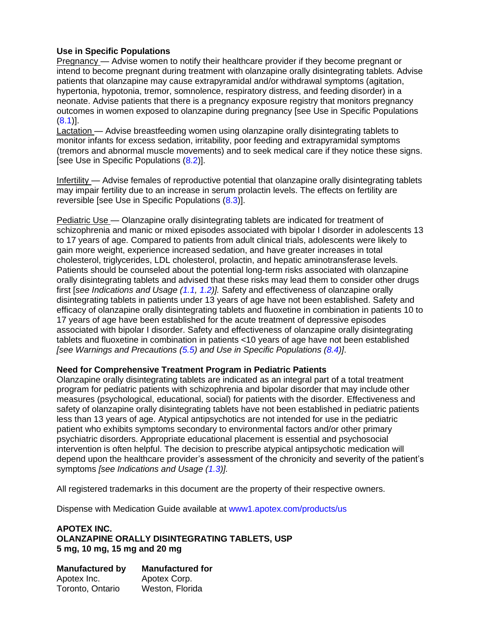# **Use in Specific Populations**

Pregnancy — Advise women to notify their healthcare provider if they become pregnant or intend to become pregnant during treatment with olanzapine orally disintegrating tablets. Advise patients that olanzapine may cause extrapyramidal and/or withdrawal symptoms (agitation, hypertonia, hypotonia, tremor, somnolence, respiratory distress, and feeding disorder) in a neonate. Advise patients that there is a pregnancy exposure registry that monitors pregnancy outcomes in women exposed to olanzapine during pregnancy [see Use in Specific Populations  $(8.1)$ ].

Lactation — Advise breastfeeding women using olanzapine orally disintegrating tablets to monitor infants for excess sedation, irritability, poor feeding and extrapyramidal symptoms (tremors and abnormal muscle movements) and to seek medical care if they notice these signs. [see Use in Specific Populations [\(8.2\)](#page-34-1)].

Infertility — Advise females of reproductive potential that olanzapine orally disintegrating tablets may impair fertility due to an increase in serum prolactin levels. The effects on fertility are reversible [see Use in Specific Populations [\(8.3\)](#page-34-2)].

Pediatric Use — Olanzapine orally disintegrating tablets are indicated for treatment of schizophrenia and manic or mixed episodes associated with bipolar I disorder in adolescents 13 to 17 years of age. Compared to patients from adult clinical trials, adolescents were likely to gain more weight, experience increased sedation, and have greater increases in total cholesterol, triglycerides, LDL cholesterol, prolactin, and hepatic aminotransferase levels. Patients should be counseled about the potential long-term risks associated with olanzapine orally disintegrating tablets and advised that these risks may lead them to consider other drugs first [*see Indications and Usage [\(1.1,](#page-4-1) [1.2\)](#page-4-2)].* Safety and effectiveness of olanzapine orally disintegrating tablets in patients under 13 years of age have not been established. Safety and efficacy of olanzapine orally disintegrating tablets and fluoxetine in combination in patients 10 to 17 years of age have been established for the acute treatment of depressive episodes associated with bipolar I disorder. Safety and effectiveness of olanzapine orally disintegrating tablets and fluoxetine in combination in patients <10 years of age have not been established *[see Warnings and Precautions [\(5.5\)](#page-11-0) and Use in Specific Populations [\(8.4\)](#page-34-0)]*.

# **Need for Comprehensive Treatment Program in Pediatric Patients**

Olanzapine orally disintegrating tablets are indicated as an integral part of a total treatment program for pediatric patients with schizophrenia and bipolar disorder that may include other measures (psychological, educational, social) for patients with the disorder. Effectiveness and safety of olanzapine orally disintegrating tablets have not been established in pediatric patients less than 13 years of age. Atypical antipsychotics are not intended for use in the pediatric patient who exhibits symptoms secondary to environmental factors and/or other primary psychiatric disorders. Appropriate educational placement is essential and psychosocial intervention is often helpful. The decision to prescribe atypical antipsychotic medication will depend upon the healthcare provider's assessment of the chronicity and severity of the patient's symptoms *[see Indications and Usage [\(1.3\)](#page-5-0)].*

All registered trademarks in this document are the property of their respective owners.

Dispense with Medication Guide available at<www1.apotex.com/products/us>

# **APOTEX INC. OLANZAPINE ORALLY DISINTEGRATING TABLETS, USP 5 mg, 10 mg, 15 mg and 20 mg**

**Manufactured by Manufactured for** Apotex Inc. Apotex Corp. Toronto, Ontario Weston, Florida